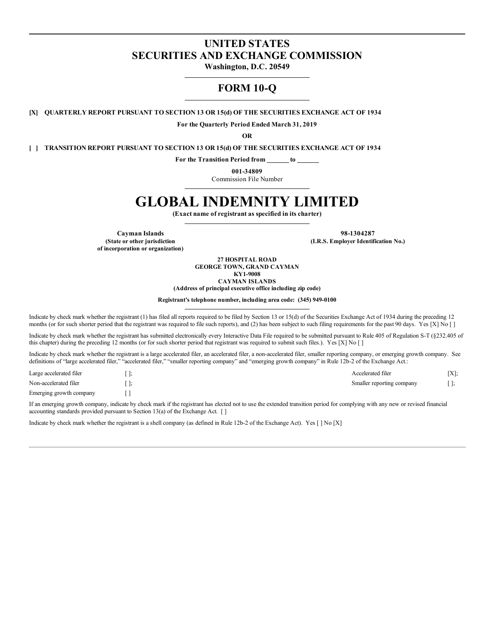# **UNITED STATES SECURITIES AND EXCHANGE COMMISSION**

**Washington, D.C. 20549**

# **FORM 10-Q**

**[X] QUARTERLY REPORT PURSUANT TO SECTION 13 OR 15(d) OF THE SECURITIES EXCHANGE ACT OF 1934**

**For the Quarterly Period Ended March 31, 2019**

**OR**

**[ ] TRANSITION REPORT PURSUANT TO SECTION 13 OR 15(d) OF THE SECURITIES EXCHANGE ACT OF 1934**

**For the Transition Period from to**

**001-34809**

Commission File Number

# **GLOBAL INDEMNITY LIMITED**

**(Exact name of registrant as specified in its charter)**

**Cayman Islands 98-1304287 (State or other jurisdiction of incorporation or organization)**

**(I.R.S. Employer Identification No.)**

**27 HOSPITAL ROAD GEORGE TOWN, GRAND CAYMAN KY1-9008 CAYMAN ISLANDS (Address of principal executive office including zip code)**

**Registrant's telephone number, including area code: (345) 949-0100**

Indicate by check mark whether the registrant (1) has filed all reports required to be filed by Section 13 or 15(d) of the Securities Exchange Act of 1934 during the preceding 12 months (or for such shorter period that the registrant was required to file such reports), and (2) has been subject to such filing requirements for the past 90 days. Yes [X] No []

Indicate by check mark whether the registrant has submitted electronically every Interactive Data File required to be submitted pursuant to Rule 405 of Regulation S-T (§232.405 of this chapter) during the preceding 12 months (or for such shorter period that registrant was required to submit such files.). Yes [X] No [ ]

Indicate by check mark whether the registrant is a large accelerated filer, an accelerated filer, a non-accelerated filer, smaller reporting company, or emerging growth company. See definitions of "large accelerated filer," "accelerated filer," "smaller reporting company" and "emerging growth company" in Rule 12b-2 of the Exchange Act.:

| Large accelerated filer | Accelerated filer         | [X]; |
|-------------------------|---------------------------|------|
| Non-accelerated filer   | Smaller reporting company | íŀ.  |
| Emerging growth company |                           |      |

If an emerging growth company, indicate by check mark if the registrant has elected not to use the extended transition period for complying with any new or revised financial accounting standards provided pursuant to Section 13(a) of the Exchange Act. [ ]

Indicate by check mark whether the registrant is a shell company (as defined in Rule 12b-2 of the Exchange Act). Yes [ ] No [X]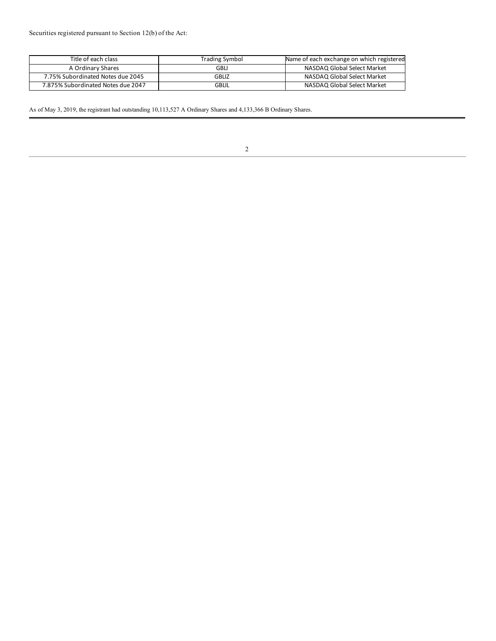Securities registered pursuant to Section 12(b) of the Act:

| Title of each class                | <b>Trading Symbol</b> | Name of each exchange on which registered |
|------------------------------------|-----------------------|-------------------------------------------|
| A Ordinary Shares                  | GBLI                  | NASDAQ Global Select Market               |
| 7.75% Subordinated Notes due 2045  | <b>GBLIZ</b>          | NASDAQ Global Select Market               |
| 7.875% Subordinated Notes due 2047 | GBLIL                 | NASDAQ Global Select Market               |

As of May 3, 2019, the registrant had outstanding 10,113,527 A Ordinary Shares and 4,133,366 B Ordinary Shares.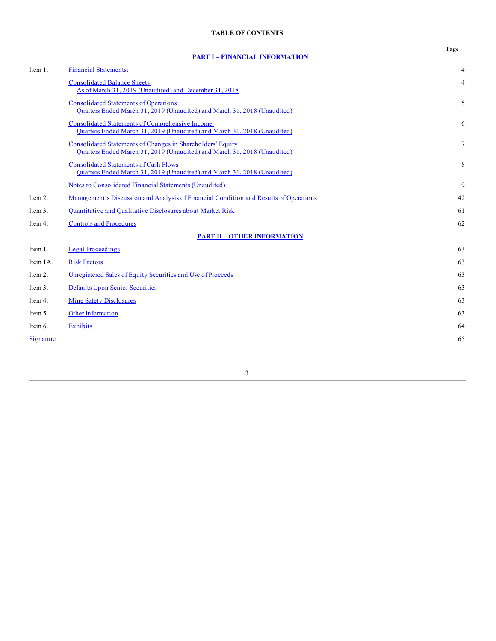# **TABLE OF CONTENTS**

**PART I – FINANCIAL [INFORMATION](#page-3-0)**

**Page**

| Item 1.   | <b>Financial Statements:</b>                                                                                                           | 4      |
|-----------|----------------------------------------------------------------------------------------------------------------------------------------|--------|
|           | <b>Consolidated Balance Sheets</b><br>As of March 31, 2019 (Unaudited) and December 31, 2018                                           | 4      |
|           | <b>Consolidated Statements of Operations</b><br>Ouarters Ended March 31, 2019 (Unaudited) and March 31, 2018 (Unaudited)               | 5      |
|           | <b>Consolidated Statements of Comprehensive Income</b><br>Quarters Ended March 31, 2019 (Unaudited) and March 31, 2018 (Unaudited)     | 6      |
|           | Consolidated Statements of Changes in Shareholders' Equity<br>Ouarters Ended March 31, 2019 (Unaudited) and March 31, 2018 (Unaudited) | $\tau$ |
|           | <b>Consolidated Statements of Cash Flows</b><br>Ouarters Ended March 31, 2019 (Unaudited) and March 31, 2018 (Unaudited)               | 8      |
|           | Notes to Consolidated Financial Statements (Unaudited)                                                                                 | 9      |
| Item 2.   | Management's Discussion and Analysis of Financial Condition and Results of Operations                                                  | 42     |
| Item 3.   | <b>Quantitative and Qualitative Disclosures about Market Risk</b>                                                                      | 61     |
| Item 4.   | <b>Controls and Procedures</b>                                                                                                         | 62     |
|           | <b>PART II - OTHER INFORMATION</b>                                                                                                     |        |
| Item 1.   | <b>Legal Proceedings</b>                                                                                                               | 63     |
| Item 1A.  | <b>Risk Factors</b>                                                                                                                    | 63     |
| Item 2.   | Unregistered Sales of Equity Securities and Use of Proceeds                                                                            | 63     |
| Item 3.   | <b>Defaults Upon Senior Securities</b>                                                                                                 | 63     |
| Item 4.   | <b>Mine Safety Disclosures</b>                                                                                                         | 63     |
| Item 5.   | Other Information                                                                                                                      | 63     |
| Item 6.   | <b>Exhibits</b>                                                                                                                        | 64     |
| Signature |                                                                                                                                        | 65     |
|           |                                                                                                                                        |        |

3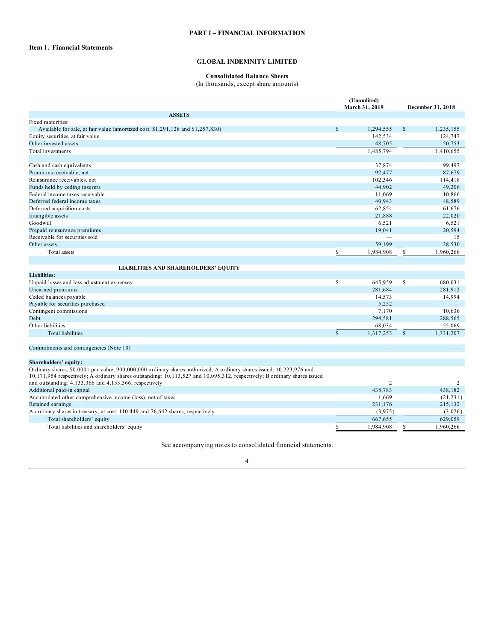# **PART I – FINANCIAL INFORMATION**

# <span id="page-3-0"></span>**Item 1. Financial Statements**

# **GLOBAL INDEMNITY LIMITED**

# **Consolidated Balance Sheets**

# (In thousands, except share amounts)

|                                                                                                                                                                                                                                                                                                              |               | (Unaudited)<br>March 31, 2019 |              | December 31, 2018 |
|--------------------------------------------------------------------------------------------------------------------------------------------------------------------------------------------------------------------------------------------------------------------------------------------------------------|---------------|-------------------------------|--------------|-------------------|
| <b>ASSETS</b>                                                                                                                                                                                                                                                                                                |               |                               |              |                   |
| Fixed maturities:                                                                                                                                                                                                                                                                                            |               |                               |              |                   |
| Available for sale, at fair value (amortized cost: \$1,291,128 and \$1,257,830)                                                                                                                                                                                                                              | $\mathsf{\$}$ | 1,294,555                     | \$           | 1,235,155         |
| Equity securities, at fair value                                                                                                                                                                                                                                                                             |               | 142,534                       |              | 124,747           |
| Other invested assets                                                                                                                                                                                                                                                                                        |               | 48,705                        |              | 50,753            |
| Total investments                                                                                                                                                                                                                                                                                            |               | 1,485,794                     |              | 1,410,655         |
| Cash and cash equivalents                                                                                                                                                                                                                                                                                    |               | 37,874                        |              | 99,497            |
| Premiums receivable, net                                                                                                                                                                                                                                                                                     |               | 92,477                        |              | 87,679            |
| Reinsurance receivables, net                                                                                                                                                                                                                                                                                 |               | 102,346                       |              | 114,418           |
| Funds held by ceding insurers                                                                                                                                                                                                                                                                                |               | 44,902                        |              | 49,206            |
| Federal income taxes receivable                                                                                                                                                                                                                                                                              |               | 11,069                        |              | 10,866            |
| Deferred federal income taxes                                                                                                                                                                                                                                                                                |               | 40,943                        |              | 48,589            |
| Deferred acquisition costs                                                                                                                                                                                                                                                                                   |               | 62,854                        |              | 61,676            |
| Intangible assets                                                                                                                                                                                                                                                                                            |               | 21,888                        |              | 22,020            |
| Goodwill                                                                                                                                                                                                                                                                                                     |               | 6,521                         |              | 6,521             |
| Prepaid reinsurance premiums                                                                                                                                                                                                                                                                                 |               | 19,041                        |              | 20,594            |
| Receivable for securities sold                                                                                                                                                                                                                                                                               |               |                               |              | 15                |
| Other assets                                                                                                                                                                                                                                                                                                 |               | 59,199                        |              | 28,530            |
| Total assets                                                                                                                                                                                                                                                                                                 | S             | 1,984,908                     | \$           | 1,960,266         |
| <b>LIABILITIES AND SHAREHOLDERS' EQUITY</b>                                                                                                                                                                                                                                                                  |               |                               |              |                   |
| <b>Liabilities:</b>                                                                                                                                                                                                                                                                                          |               |                               |              |                   |
| Unpaid losses and loss adjustment expenses                                                                                                                                                                                                                                                                   | \$            | 645,959                       | \$           | 680,031           |
| Unearned premiums                                                                                                                                                                                                                                                                                            |               | 281,684                       |              | 281,912           |
| Ceded balances payable                                                                                                                                                                                                                                                                                       |               | 14,573                        |              | 14,994            |
| Payable for securities purchased                                                                                                                                                                                                                                                                             |               | 5,252                         |              |                   |
| Contingent commissions                                                                                                                                                                                                                                                                                       |               | 7.170                         |              | 10.636            |
| Debt                                                                                                                                                                                                                                                                                                         |               | 294,581                       |              | 288,565           |
| Other liabilities                                                                                                                                                                                                                                                                                            |               | 68,034                        |              | 55,069            |
| <b>Total liabilities</b>                                                                                                                                                                                                                                                                                     | $\mathbf S$   | 1,317,253                     | $\mathbf S$  | 1,331,207         |
| Commitments and contingencies (Note 10)                                                                                                                                                                                                                                                                      |               |                               |              |                   |
| Shareholders' equity:                                                                                                                                                                                                                                                                                        |               |                               |              |                   |
| Ordinary shares, \$0.0001 par value, 900,000,000 ordinary shares authorized; A ordinary shares issued: 10,223,976 and<br>10,171,954 respectively; A ordinary shares outstanding: 10,113,527 and 10,095,312, respectively; B ordinary shares issued<br>and outstanding: 4,133,366 and 4,133,366, respectively |               | 2                             |              | $\overline{c}$    |
| Additional paid-in capital                                                                                                                                                                                                                                                                                   |               | 438,783                       |              | 438,182           |
| Accumulated other comprehensive income (loss), net of taxes                                                                                                                                                                                                                                                  |               | 1,669                         |              | (21, 231)         |
| Retained earnings                                                                                                                                                                                                                                                                                            |               | 231,176                       |              | 215,132           |
| A ordinary shares in treasury, at cost: 110,449 and 76,642 shares, respectively                                                                                                                                                                                                                              |               | (3,975)                       |              | (3,026)           |
| Total shareholders' equity                                                                                                                                                                                                                                                                                   |               | 667,655                       |              | 629,059           |
| Total liabilities and shareholders' equity                                                                                                                                                                                                                                                                   | S             | 1.984.908                     | $\mathbb{S}$ | 1.960.266         |
|                                                                                                                                                                                                                                                                                                              |               |                               |              |                   |

See accompanying notes to consolidated financial statements.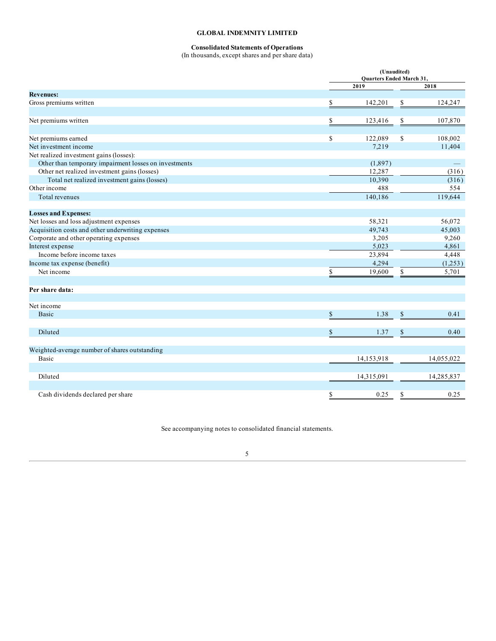#### **Consolidated Statements of Operations** (In thousands, except shares and per share data)

<span id="page-4-0"></span>

|                                                       |              | (Unaudited)<br><b>Ouarters Ended March 31,</b><br>2019 |              |            |  |  |  |  |
|-------------------------------------------------------|--------------|--------------------------------------------------------|--------------|------------|--|--|--|--|
|                                                       |              |                                                        |              | 2018       |  |  |  |  |
| <b>Revenues:</b>                                      |              |                                                        |              |            |  |  |  |  |
| Gross premiums written                                | \$           | 142,201                                                | \$           | 124,247    |  |  |  |  |
| Net premiums written                                  | S            | 123,416                                                | \$           | 107,870    |  |  |  |  |
|                                                       |              |                                                        |              |            |  |  |  |  |
| Net premiums earned                                   | $\mathbb{S}$ | 122,089                                                | $\mathbb{S}$ | 108,002    |  |  |  |  |
| Net investment income                                 |              | 7,219                                                  |              | 11,404     |  |  |  |  |
| Net realized investment gains (losses):               |              |                                                        |              |            |  |  |  |  |
| Other than temporary impairment losses on investments |              | (1,897)                                                |              |            |  |  |  |  |
| Other net realized investment gains (losses)          |              | 12,287                                                 |              | (316)      |  |  |  |  |
| Total net realized investment gains (losses)          |              | 10,390                                                 |              | (316)      |  |  |  |  |
| Other income                                          |              | 488                                                    |              | 554        |  |  |  |  |
| Total revenues                                        |              | 140,186                                                |              | 119,644    |  |  |  |  |
| <b>Losses and Expenses:</b>                           |              |                                                        |              |            |  |  |  |  |
| Net losses and loss adjustment expenses               |              | 58,321                                                 |              | 56,072     |  |  |  |  |
| Acquisition costs and other underwriting expenses     |              | 49,743                                                 |              | 45,003     |  |  |  |  |
| Corporate and other operating expenses                |              | 3,205                                                  |              | 9,260      |  |  |  |  |
| Interest expense                                      |              | 5,023                                                  |              | 4,861      |  |  |  |  |
| Income before income taxes                            |              | 23,894                                                 |              | 4,448      |  |  |  |  |
| Income tax expense (benefit)                          |              | 4,294                                                  |              | (1,253)    |  |  |  |  |
| Net income                                            | S            | 19,600                                                 | \$           | 5,701      |  |  |  |  |
|                                                       |              |                                                        |              |            |  |  |  |  |
| Per share data:                                       |              |                                                        |              |            |  |  |  |  |
| Net income                                            |              |                                                        |              |            |  |  |  |  |
| <b>Basic</b>                                          | $\mathbb{S}$ | 1.38                                                   | \$           | 0.41       |  |  |  |  |
| Diluted                                               | $\$$         | 1.37                                                   | \$           | 0.40       |  |  |  |  |
|                                                       |              |                                                        |              |            |  |  |  |  |
| Weighted-average number of shares outstanding         |              |                                                        |              |            |  |  |  |  |
| <b>Basic</b>                                          |              | 14,153,918                                             |              | 14,055,022 |  |  |  |  |
| Diluted                                               |              | 14,315,091                                             |              | 14,285,837 |  |  |  |  |
|                                                       |              |                                                        |              |            |  |  |  |  |
| Cash dividends declared per share                     | \$           | 0.25                                                   | \$           | 0.25       |  |  |  |  |

See accompanying notes to consolidated financial statements.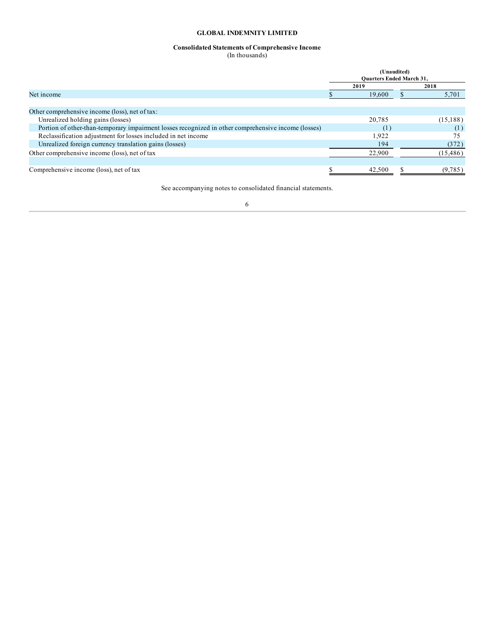### **Consolidated Statements of Comprehensive Income**

(In thousands)

<span id="page-5-0"></span>

|                                                                                                     |  | <b>Quarters Ended March 31,</b> |  |           |
|-----------------------------------------------------------------------------------------------------|--|---------------------------------|--|-----------|
|                                                                                                     |  | 2019                            |  | 2018      |
| Net income                                                                                          |  | 19,600                          |  | 5,701     |
|                                                                                                     |  |                                 |  |           |
| Other comprehensive income (loss), net of tax:                                                      |  |                                 |  |           |
| Unrealized holding gains (losses)                                                                   |  | 20,785                          |  | (15, 188) |
| Portion of other-than-temporary impairment losses recognized in other comprehensive income (losses) |  | (1)                             |  | (1)       |
| Reclassification adjustment for losses included in net income                                       |  | 1,922                           |  | 75        |
| Unrealized foreign currency translation gains (losses)                                              |  | 194                             |  | (372)     |
| Other comprehensive income (loss), net of tax                                                       |  | 22,900                          |  | (15, 486) |
|                                                                                                     |  |                                 |  |           |
| Comprehensive income (loss), net of tax                                                             |  | 42.500                          |  | (9,785)   |

See accompanying notes to consolidated financial statements.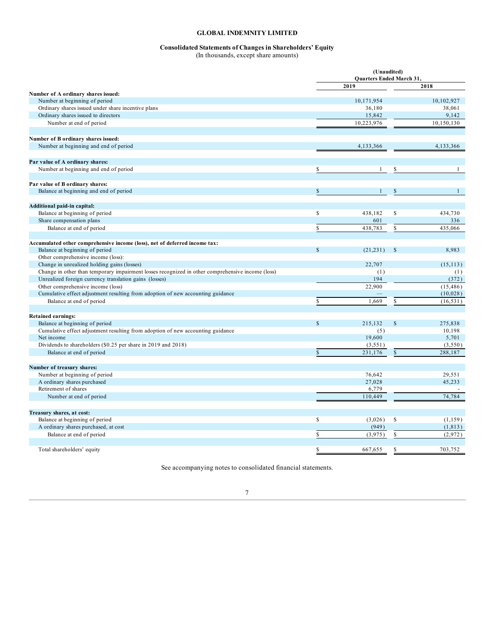# **Consolidated Statements of Changes in Shareholders' Equity**

(In thousands, except share amounts)

<span id="page-6-0"></span>

|                                                                                                  |                    | (Unaudited)<br>Quarters Ended March 31, |               |              |
|--------------------------------------------------------------------------------------------------|--------------------|-----------------------------------------|---------------|--------------|
|                                                                                                  |                    | 2019                                    |               | 2018         |
| Number of A ordinary shares issued:                                                              |                    |                                         |               |              |
| Number at beginning of period                                                                    |                    | 10,171,954                              |               | 10,102,927   |
| Ordinary shares issued under share incentive plans                                               |                    | 36,180                                  |               | 38,061       |
| Ordinary shares issued to directors                                                              |                    | 15,842                                  |               | 9,142        |
| Number at end of period                                                                          |                    | 10,223,976                              |               | 10.150.130   |
| Number of B ordinary shares issued:                                                              |                    |                                         |               |              |
| Number at beginning and end of period                                                            |                    | 4.133.366                               |               | 4.133.366    |
|                                                                                                  |                    |                                         |               |              |
| Par value of A ordinary shares:                                                                  |                    |                                         |               |              |
| Number at beginning and end of period                                                            | \$                 | 1                                       | Ŝ             | 1            |
|                                                                                                  |                    |                                         |               |              |
| Par value of B ordinary shares:                                                                  |                    |                                         |               |              |
| Balance at beginning and end of period                                                           | S                  | $\mathbf{1}$                            | S             | $\mathbf{1}$ |
|                                                                                                  |                    |                                         |               |              |
| Additional paid-in capital:                                                                      |                    |                                         |               |              |
| Balance at beginning of period                                                                   | $\mathbf S$        | 438,182                                 | \$            | 434,730      |
| Share compensation plans                                                                         |                    | 601                                     |               | 336          |
| Balance at end of period                                                                         | \$                 | 438,783                                 | S             | 435,066      |
|                                                                                                  |                    |                                         |               |              |
| Accumulated other comprehensive income (loss), net of deferred income tax:                       |                    |                                         |               |              |
| Balance at beginning of period                                                                   | $\mathbf{\hat{S}}$ | (21, 231)                               | -S            | 8,983        |
| Other comprehensive income (loss):                                                               |                    |                                         |               |              |
| Change in unrealized holding gains (losses)                                                      |                    | 22,707                                  |               | (15, 113)    |
| Change in other than temporary impairment losses recognized in other comprehensive income (loss) |                    | (1)                                     |               | (1)          |
| Unrealized foreign currency translation gains (losses)                                           |                    | 194                                     |               | (372)        |
| Other comprehensive income (loss)                                                                |                    | 22,900                                  |               | (15, 486)    |
| Cumulative effect adjustment resulting from adoption of new accounting guidance                  |                    |                                         |               | (10,028)     |
| Balance at end of period                                                                         | S                  | 1,669                                   | S             | (16, 531)    |
|                                                                                                  |                    |                                         |               |              |
| <b>Retained earnings:</b>                                                                        |                    |                                         |               |              |
| Balance at beginning of period                                                                   | \$                 | 215,132                                 | $\mathsf{s}$  | 275,838      |
| Cumulative effect adjustment resulting from adoption of new accounting guidance                  |                    | (5)                                     |               | 10,198       |
| Net income                                                                                       |                    | 19,600                                  |               | 5,701        |
| Dividends to shareholders (\$0.25 per share in 2019 and 2018)                                    |                    | (3,551)                                 |               | (3,550)      |
| Balance at end of period                                                                         | $\mathbf S$        | 231,176                                 | $\mathbf S$   | 288,187      |
|                                                                                                  |                    |                                         |               |              |
| Number of treasury shares:                                                                       |                    |                                         |               |              |
| Number at beginning of period                                                                    |                    | 76,642                                  |               | 29,551       |
| A ordinary shares purchased                                                                      |                    | 27,028                                  |               | 45,233       |
| Retirement of shares                                                                             |                    | 6,779                                   |               |              |
| Number at end of period                                                                          |                    | 110,449                                 |               | 74,784       |
|                                                                                                  |                    |                                         |               |              |
| Treasury shares, at cost:                                                                        |                    |                                         |               |              |
| Balance at beginning of period                                                                   | \$                 | (3,026)                                 | <sup>\$</sup> | (1, 159)     |
| A ordinary shares purchased, at cost                                                             |                    | (949)                                   |               | (1, 813)     |
| Balance at end of period                                                                         | S                  | (3,975)                                 | S             | (2,972)      |
|                                                                                                  |                    |                                         |               |              |
| Total shareholders' equity                                                                       | \$                 | 667,655                                 | \$            | 703,752      |
|                                                                                                  |                    |                                         |               |              |

See accompanying notes to consolidated financial statements.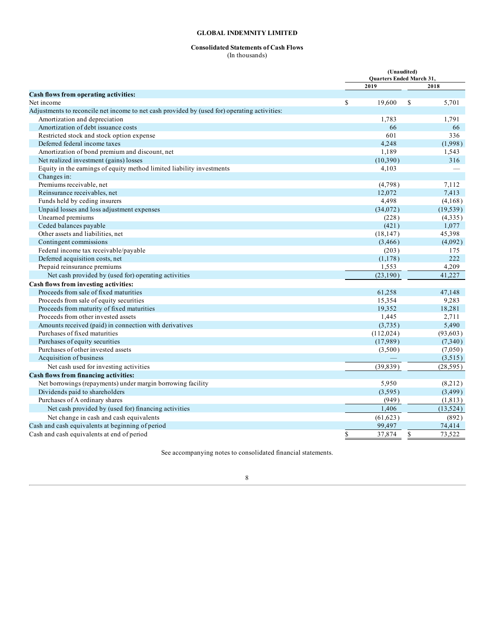#### **Consolidated Statements of Cash Flows** (In thousands)

<span id="page-7-0"></span>

|                                                                                              | (Unaudited)<br>Quarters Ended March 31, |            |    |           |
|----------------------------------------------------------------------------------------------|-----------------------------------------|------------|----|-----------|
|                                                                                              |                                         | 2019       |    | 2018      |
| Cash flows from operating activities:                                                        |                                         |            |    |           |
| Net income                                                                                   | \$                                      | 19,600     | \$ | 5,701     |
| Adjustments to reconcile net income to net cash provided by (used for) operating activities: |                                         |            |    |           |
| Amortization and depreciation                                                                |                                         | 1,783      |    | 1,791     |
| Amortization of debt issuance costs                                                          |                                         | 66         |    | 66        |
| Restricted stock and stock option expense                                                    |                                         | 601        |    | 336       |
| Deferred federal income taxes                                                                |                                         | 4,248      |    | (1,998)   |
| Amortization of bond premium and discount, net                                               |                                         | 1,189      |    | 1,543     |
| Net realized investment (gains) losses                                                       |                                         | (10,390)   |    | 316       |
| Equity in the earnings of equity method limited liability investments                        |                                         | 4,103      |    |           |
| Changes in:                                                                                  |                                         |            |    |           |
| Premiums receivable, net                                                                     |                                         | (4,798)    |    | 7,112     |
| Reinsurance receivables, net                                                                 |                                         | 12,072     |    | 7,413     |
| Funds held by ceding insurers                                                                |                                         | 4,498      |    | (4,168)   |
| Unpaid losses and loss adjustment expenses                                                   |                                         | (34,072)   |    | (19, 539) |
| Unearned premiums                                                                            |                                         | (228)      |    | (4, 335)  |
| Ceded balances payable                                                                       |                                         | (421)      |    | 1,077     |
| Other assets and liabilities, net                                                            |                                         | (18, 147)  |    | 45,398    |
| Contingent commissions                                                                       |                                         | (3,466)    |    | (4,092)   |
| Federal income tax receivable/payable                                                        |                                         | (203)      |    | 175       |
| Deferred acquisition costs, net                                                              |                                         | (1,178)    |    | 222       |
| Prepaid reinsurance premiums                                                                 |                                         | 1,553      |    | 4,209     |
| Net cash provided by (used for) operating activities                                         |                                         | (23, 190)  |    | 41,227    |
| Cash flows from investing activities:                                                        |                                         |            |    |           |
| Proceeds from sale of fixed maturities                                                       |                                         | 61,258     |    | 47,148    |
| Proceeds from sale of equity securities                                                      |                                         | 15,354     |    | 9,283     |
| Proceeds from maturity of fixed maturities                                                   |                                         | 19,352     |    | 18,281    |
| Proceeds from other invested assets                                                          |                                         | 1,445      |    | 2,711     |
| Amounts received (paid) in connection with derivatives                                       |                                         | (3,735)    |    | 5,490     |
| Purchases of fixed maturities                                                                |                                         | (112, 024) |    | (93, 603) |
| Purchases of equity securities                                                               |                                         | (17,989)   |    | (7,340)   |
| Purchases of other invested assets                                                           |                                         | (3,500)    |    | (7,050)   |
| Acquisition of business                                                                      |                                         |            |    | (3,515)   |
| Net cash used for investing activities                                                       |                                         | (39,839)   |    | (28, 595) |
| Cash flows from financing activities:                                                        |                                         |            |    |           |
| Net borrowings (repayments) under margin borrowing facility                                  |                                         | 5,950      |    | (8,212)   |
| Dividends paid to shareholders                                                               |                                         | (3,595)    |    | (3, 499)  |
| Purchases of A ordinary shares                                                               |                                         | (949)      |    | (1, 813)  |
| Net cash provided by (used for) financing activities                                         |                                         | 1,406      |    | (13, 524) |
| Net change in cash and cash equivalents                                                      |                                         | (61, 623)  |    | (892)     |
| Cash and cash equivalents at beginning of period                                             |                                         | 99,497     |    | 74,414    |
| Cash and cash equivalents at end of period                                                   | \$                                      | 37,874     | \$ | 73,522    |

See accompanying notes to consolidated financial statements.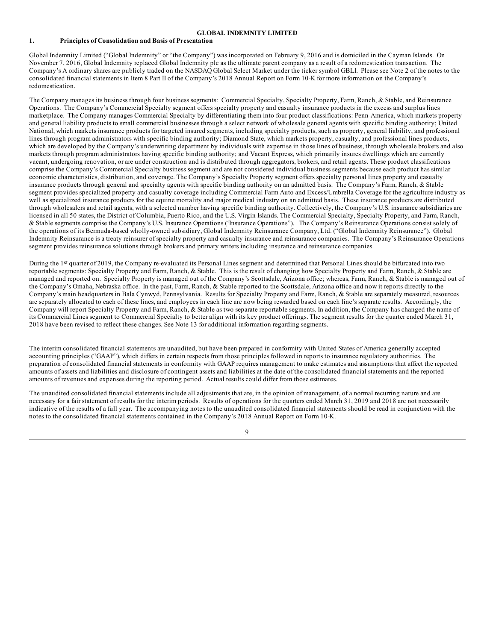# <span id="page-8-0"></span>**1. Principles of Consolidation and Basis of Presentation**

Global Indemnity Limited ("Global Indemnity" or "the Company") was incorporated on February 9, 2016 and is domiciled in the Cayman Islands. On November 7, 2016, Global Indemnity replaced Global Indemnity plc as the ultimate parent company as a result of a redomestication transaction. The Company's A ordinary shares are publicly traded on the NASDAQ Global Select Market under the ticker symbol GBLI. Please see Note 2 of the notes to the consolidated financial statements in Item 8 Part II of the Company's 2018 Annual Report on Form 10-K for more information on the Company's redomestication.

The Company manages its business through four business segments: Commercial Specialty, Specialty Property, Farm, Ranch, & Stable, and Reinsurance Operations. The Company's Commercial Specialty segment offers specialty property and casualty insurance products in the excess and surplus lines marketplace. The Company manages Commercial Specialty by differentiating them into four product classifications: Penn-America, which markets property and general liability products to small commercial businesses through a select network of wholesale general agents with specific binding authority; United National, which markets insurance products for targeted insured segments, including specialty products, such as property, general liability, and professional lines through program administrators with specific binding authority; Diamond State, which markets property, casualty, and professional lines products, which are developed by the Company's underwriting department by individuals with expertise in those lines of business, through wholesale brokers and also markets through program administrators having specific binding authority; and Vacant Express, which primarily insures dwellings which are currently vacant, undergoing renovation, or are under construction and is distributed through aggregators, brokers, and retail agents. These product classifications comprise the Company's Commercial Specialty business segment and are not considered individual business segments because each product has similar economic characteristics, distribution, and coverage. The Company's Specialty Property segment offers specialty personal lines property and casualty insurance products through general and specialty agents with specific binding authority on an admitted basis. The Company's Farm, Ranch, & Stable segment provides specialized property and casualty coverage including Commercial Farm Auto and Excess/Umbrella Coverage for the agriculture industry as well as specialized insurance products for the equine mortality and major medical industry on an admitted basis. These insurance products are distributed through wholesalers and retail agents, with a selected number having specific binding authority. Collectively, the Company's U.S. insurance subsidiaries are licensed in all 50 states, the District of Columbia, Puerto Rico, and the U.S. Virgin Islands. The Commercial Specialty, Specialty Property, and Farm, Ranch, & Stable segments comprise the Company's U.S. Insurance Operations ('Insurance Operations"). The Company's Reinsurance Operations consist solely of the operations of its Bermuda-based wholly-owned subsidiary, Global Indemnity Reinsurance Company, Ltd. ("Global Indemnity Reinsurance"). Global Indemnity Reinsurance is a treaty reinsurer of specialty property and casualty insurance and reinsurance companies. The Company's Reinsurance Operations segment provides reinsurance solutions through brokers and primary writers including insurance and reinsurance companies.

During the 1st quarter of 2019, the Company re-evaluated its Personal Lines segment and determined that Personal Lines should be bifurcated into two reportable segments: Specialty Property and Farm, Ranch, & Stable. This is the result of changing how Specialty Property and Farm, Ranch, & Stable are managed and reported on. Specialty Property is managed out of the Company's Scottsdale, Arizona office; whereas, Farm, Ranch, & Stable is managed out of the Company's Omaha, Nebraska office. In the past, Farm, Ranch, & Stable reported to the Scottsdale, Arizona office and now it reports directly to the Company's main headquarters in Bala Cynwyd, Pennsylvania. Results for Specialty Property and Farm, Ranch, & Stable are separately measured, resources are separately allocated to each of these lines, and employees in each line are now being rewarded based on each line's separate results. Accordingly, the Company will report Specialty Property and Farm, Ranch, & Stable as two separate reportable segments. In addition, the Company has changed the name of its Commercial Lines segment to Commercial Specialty to better align with its key product offerings. The segment results for the quarter ended March 31, 2018 have been revised to reflect these changes. See Note 13 for additional information regarding segments.

The interim consolidated financial statements are unaudited, but have been prepared in conformity with United States of America generally accepted accounting principles ("GAAP"), which differs in certain respects from those principles followed in reports to insurance regulatory authorities. The preparation of consolidated financial statements in conformity with GAAP requires management to make estimates and assumptions that affect the reported amounts of assets and liabilities and disclosure of contingent assets and liabilities at the date of the consolidated financial statements and the reported amounts of revenues and expenses during the reporting period. Actual results could differ from those estimates.

The unaudited consolidated financial statements include all adjustments that are, in the opinion of management, of a normal recurring nature and are necessary for a fair statement of results for the interim periods. Results of operations for the quarters ended March 31, 2019 and 2018 are not necessarily indicative of the results of a full year. The accompanying notes to the unaudited consolidated financial statements should be read in conjunction with the notes to the consolidated financial statements contained in the Company's 2018 Annual Report on Form 10-K.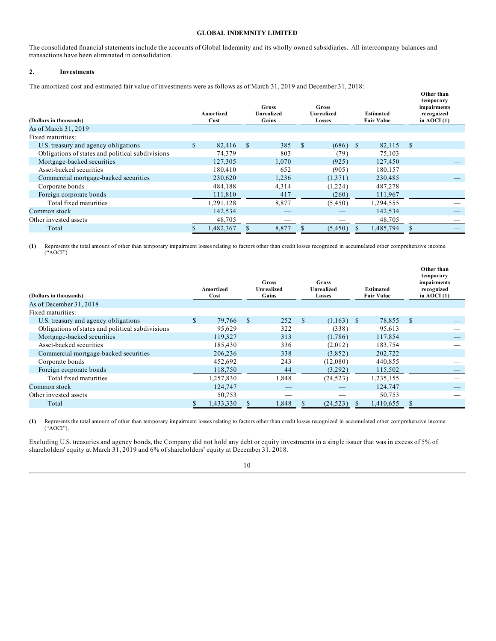The consolidated financial statements include the accounts of Global Indemnity and its wholly owned subsidiaries. All intercompany balances and transactions have been eliminated in consolidation.

# **2. Investments**

The amortized cost and estimated fair value of investments were as follows as of March 31, 2019 and December 31, 2018:

| (Dollars in thousands)                           | Amortized<br>Cost |    | Gross<br><b>Unrealized</b><br>Gains |   | Gross<br>Unrealized<br>Losses | <b>Estimated</b><br><b>Fair Value</b> |               | Other than<br>temporary<br>impairments<br>recognized<br>in AOCI $(1)$ |
|--------------------------------------------------|-------------------|----|-------------------------------------|---|-------------------------------|---------------------------------------|---------------|-----------------------------------------------------------------------|
| As of March 31, 2019                             |                   |    |                                     |   |                               |                                       |               |                                                                       |
| Fixed maturities:                                |                   |    |                                     |   |                               |                                       |               |                                                                       |
| U.S. treasury and agency obligations             | \$<br>82,416      | -S | 385                                 | S | $(686)$ \$                    | 82,115                                | <sup>\$</sup> |                                                                       |
| Obligations of states and political subdivisions | 74.379            |    | 803                                 |   | (79)                          | 75,103                                |               |                                                                       |
| Mortgage-backed securities                       | 127,305           |    | 1,070                               |   | (925)                         | 127,450                               |               |                                                                       |
| Asset-backed securities                          | 180,410           |    | 652                                 |   | (905)                         | 180,157                               |               |                                                                       |
| Commercial mortgage-backed securities            | 230,620           |    | 1,236                               |   | (1,371)                       | 230,485                               |               |                                                                       |
| Corporate bonds                                  | 484,188           |    | 4,314                               |   | (1,224)                       | 487,278                               |               |                                                                       |
| Foreign corporate bonds                          | 111,810           |    | 417                                 |   | (260)                         | 111,967                               |               |                                                                       |
| Total fixed maturities                           | 1,291,128         |    | 8,877                               |   | (5,450)                       | 1,294,555                             |               |                                                                       |
| Common stock                                     | 142,534           |    |                                     |   |                               | 142,534                               |               |                                                                       |
| Other invested assets                            | 48,705            |    | __                                  |   |                               | 48,705                                |               |                                                                       |
| Total                                            | 1,482,367         |    | 8,877                               |   | (5,450)                       | 1,485,794                             |               |                                                                       |

**(1)** Represents the total amount of other than temporary impairment losses relating to factors other than credit losses recognized in accumulated other comprehensive income ("AOCI").

| (Dollars in thousands)                           |    | Amortized<br>Cost |      | Gross<br><b>Unrealized</b><br>Gains | Gross<br>Unrealized<br><b>Losses</b> |              |  | <b>Estimated</b><br><b>Fair Value</b> |    | Other than<br>temporary<br>impairments<br>recognized<br>in AOCI $(1)$ |
|--------------------------------------------------|----|-------------------|------|-------------------------------------|--------------------------------------|--------------|--|---------------------------------------|----|-----------------------------------------------------------------------|
| As of December 31, 2018                          |    |                   |      |                                     |                                      |              |  |                                       |    |                                                                       |
| Fixed maturities:                                |    |                   |      |                                     |                                      |              |  |                                       |    |                                                                       |
| U.S. treasury and agency obligations             | \$ | 79,766            | - \$ | 252                                 | <b>S</b>                             | $(1,163)$ \$ |  | 78,855                                | -S |                                                                       |
| Obligations of states and political subdivisions |    | 95,629            |      | 322                                 |                                      | (338)        |  | 95,613                                |    |                                                                       |
| Mortgage-backed securities                       |    | 119,327           |      | 313                                 |                                      | (1,786)      |  | 117,854                               |    |                                                                       |
| Asset-backed securities                          |    | 185,430           |      | 336                                 |                                      | (2,012)      |  | 183,754                               |    |                                                                       |
| Commercial mortgage-backed securities            |    | 206,236           |      | 338                                 |                                      | (3,852)      |  | 202,722                               |    |                                                                       |
| Corporate bonds                                  |    | 452,692           |      | 243                                 |                                      | (12,080)     |  | 440,855                               |    |                                                                       |
| Foreign corporate bonds                          |    | 118,750           |      | 44                                  |                                      | (3,292)      |  | 115,502                               |    |                                                                       |
| Total fixed maturities                           |    | 1,257,830         |      | 1,848                               |                                      | (24, 523)    |  | 1,235,155                             |    |                                                                       |
| Common stock                                     |    | 124,747           |      |                                     |                                      |              |  | 124,747                               |    |                                                                       |
| Other invested assets                            |    | 50,753            |      |                                     |                                      | --           |  | 50,753                                |    |                                                                       |
| Total                                            |    | 1,433,330         |      | 1,848                               |                                      | (24, 523)    |  | 1,410,655                             |    |                                                                       |

**(1)** Represents the total amount of other than temporary impairment losses relating to factors other than credit losses recognized in accumulated other comprehensive income ("AOCI").

Excluding U.S. treasuries and agency bonds, the Company did not hold any debt or equity investments in a single issuer that was in excess of 5% of shareholders' equity at March 31, 2019 and 6% of shareholders' equity at December 31, 2018.

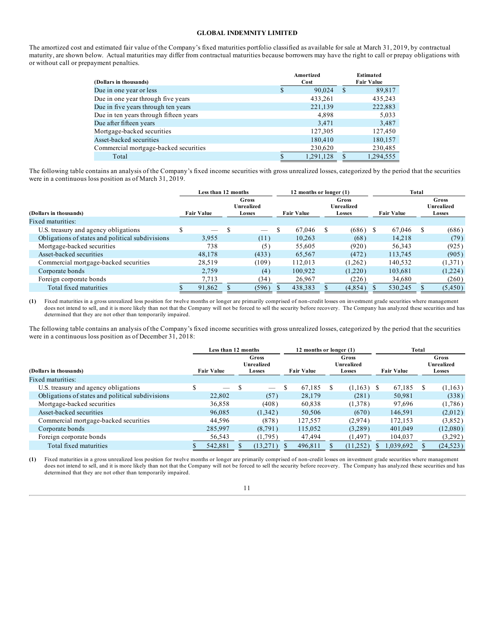The amortized cost and estimated fair value of the Company's fixed maturities portfolio classified as available for sale at March 31, 2019, by contractual maturity, are shown below. Actual maturities may differ from contractual maturities because borrowers may have the right to call or prepay obligations with or without call or prepayment penalties.

|                                        | Amortized       |     | <b>Estimated</b>  |
|----------------------------------------|-----------------|-----|-------------------|
| (Dollars in thousands)                 | Cost            |     | <b>Fair Value</b> |
| Due in one year or less                | \$<br>90,024    | \$. | 89,817            |
| Due in one year through five years     | 433,261         |     | 435,243           |
| Due in five years through ten years    | 221,139         |     | 222,883           |
| Due in ten years through fifteen years | 4,898           |     | 5,033             |
| Due after fifteen years                | 3,471           |     | 3,487             |
| Mortgage-backed securities             | 127,305         |     | 127,450           |
| Asset-backed securities                | 180,410         |     | 180,157           |
| Commercial mortgage-backed securities  | 230,620         |     | 230,485           |
| Total                                  | \$<br>1.291.128 | \$. | 1.294.555         |

The following table contains an analysis of the Company's fixed income securities with gross unrealized losses, categorized by the period that the securities were in a continuous loss position as of March 31, 2019.

|                                                  | Less than 12 months |                   |    |                                      |   | 12 months or longer (1) |   |                                      |               | Total             |   |                                      |
|--------------------------------------------------|---------------------|-------------------|----|--------------------------------------|---|-------------------------|---|--------------------------------------|---------------|-------------------|---|--------------------------------------|
| (Dollars in thousands)                           |                     | <b>Fair Value</b> |    | Gross<br><b>Unrealized</b><br>Losses |   | <b>Fair Value</b>       |   | Gross<br><b>Unrealized</b><br>Losses |               | <b>Fair Value</b> |   | Gross<br><b>Unrealized</b><br>Losses |
| Fixed maturities:                                |                     |                   |    |                                      |   |                         |   |                                      |               |                   |   |                                      |
| U.S. treasury and agency obligations             |                     |                   | \$ |                                      | S | 67,046                  | S | (686)                                | <sup>\$</sup> | 67,046            | S | (686)                                |
| Obligations of states and political subdivisions |                     | 3,955             |    | (11)                                 |   | 10.263                  |   | (68)                                 |               | 14,218            |   | (79)                                 |
| Mortgage-backed securities                       |                     | 738               |    | (5)                                  |   | 55,605                  |   | (920)                                |               | 56,343            |   | (925)                                |
| Asset-backed securities                          |                     | 48.178            |    | (433)                                |   | 65,567                  |   | (472)                                |               | 113.745           |   | (905)                                |
| Commercial mortgage-backed securities            |                     | 28,519            |    | (109)                                |   | 112,013                 |   | (1,262)                              |               | 140,532           |   | (1,371)                              |
| Corporate bonds                                  |                     | 2.759             |    | (4)                                  |   | 100.922                 |   | (1,220)                              |               | 103,681           |   | (1,224)                              |
| Foreign corporate bonds                          |                     | 7,713             |    | (34)                                 |   | 26,967                  |   | (226)                                |               | 34,680            |   | (260)                                |
| Total fixed maturities                           |                     | 91,862            |    | (596)                                |   | 438.383                 |   | (4, 854)                             |               | 530.245           |   | (5,450)                              |

**(1)** Fixed maturities in a gross unrealized loss position for twelve months or longer are primarily comprised of non-credit losses on investment grade securities where management does not intend to sell, and it is more likely than not that the Company will not be forced to sell the security before recovery. The Company has analyzed these securities and has determined that they are not other than temporarily impaired.

The following table contains an analysis of the Company's fixed income securities with gross unrealized losses, categorized by the period that the securities were in a continuous loss position as of December 31, 2018:

|                                                  | Less than 12 months |                          | 12 months or longer (1)       |                   |   | Total             |   |                               |  |                   |   |                               |
|--------------------------------------------------|---------------------|--------------------------|-------------------------------|-------------------|---|-------------------|---|-------------------------------|--|-------------------|---|-------------------------------|
| (Dollars in thousands)                           | <b>Fair Value</b>   |                          | Gross<br>Unrealized<br>Losses |                   |   | <b>Fair Value</b> |   | Gross<br>Unrealized<br>Losses |  | <b>Fair Value</b> |   | Gross<br>Unrealized<br>Losses |
| Fixed maturities:                                |                     |                          |                               |                   |   |                   |   |                               |  |                   |   |                               |
| U.S. treasury and agency obligations             | \$                  | $\overline{\phantom{a}}$ | S                             | $\hspace{0.05cm}$ | S | 67,185            | S | $(1,163)$ \$                  |  | 67,185            | S | (1,163)                       |
| Obligations of states and political subdivisions | 22,802              |                          |                               | (57)              |   | 28,179            |   | (281)                         |  | 50,981            |   | (338)                         |
| Mortgage-backed securities                       | 36,858              |                          |                               | (408)             |   | 60,838            |   | (1,378)                       |  | 97,696            |   | (1,786)                       |
| Asset-backed securities                          | 96,085              |                          | (1,342)                       |                   |   | 50,506            |   | (670)                         |  | 146,591           |   | (2,012)                       |
| Commercial mortgage-backed securities            | 44,596              |                          |                               | (878)             |   | 127.557           |   | (2,974)                       |  | 172,153           |   | (3,852)                       |
| Corporate bonds                                  | 285,997             |                          | (8, 791)                      |                   |   | 115.052           |   | (3,289)                       |  | 401.049           |   | (12,080)                      |
| Foreign corporate bonds                          | 56,543              |                          | (1,795)                       |                   |   | 47,494            |   | (1, 497)                      |  | 104,037           |   | (3,292)                       |
| Total fixed maturities                           | 542,881             |                          | (13, 271)                     |                   |   | 496,811           |   | (11,252)                      |  | 1,039,692         |   | (24, 523)                     |

**(1)** Fixed maturities in a gross unrealized loss position for twelve months or longer are primarily comprised of non-credit losses on investment grade securities where management does not intend to sell, and it is more likely than not that the Company will not be forced to sell the security before recovery. The Company has analyzed these securities and has determined that they are not other than temporarily impaired.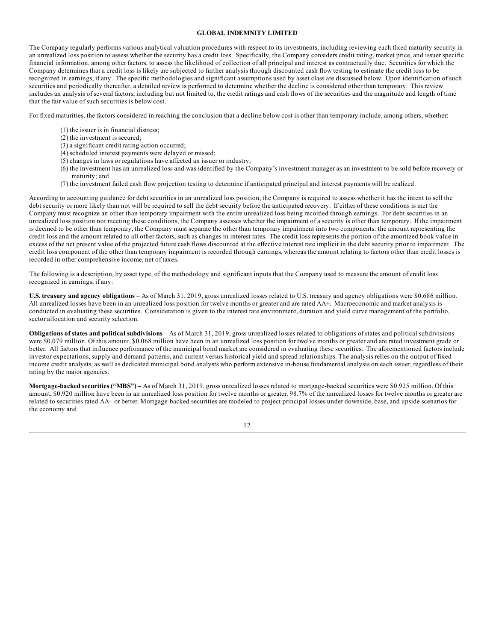The Company regularly performs various analytical valuation procedures with respect to its investments, including reviewing each fixed maturity security in an unrealized loss position to assess whether the security has a credit loss. Specifically, the Company considers credit rating, market price, and issuer specific financial information, among other factors, to assess the likelihood of collection of all principal and interest as contractually due. Securities for which the Company determines that a credit loss is likely are subjected to further analysis through discounted cash flow testing to estimate the credit loss to be recognized in earnings, if any. The specific methodologies and significant assumptions used by asset class are discussed below. Upon identification of such securities and periodically thereafter, a detailed review is performed to determine whether the decline is considered other than temporary. This review includes an analysis of several factors, including but not limited to, the credit ratings and cash flows of the securities and the magnitude and length of time that the fair value of such securities is below cost.

For fixed maturities, the factors considered in reaching the conclusion that a decline below cost is other than temporary include, among others, whether:

- (1) the issuer is in financial distress;
- (2) the investment is secured;
- (3) a significant credit rating action occurred;
- (4) scheduled interest payments were delayed or missed;
- (5) changes in laws or regulations have affected an issuer or industry;
- (6) the investment has an unrealized loss and was identified by the Company's investment manager as an investment to be sold before recovery or maturity; and
- (7) the investment failed cash flow projection testing to determine if anticipated principal and interest payments will be realized.

According to accounting guidance for debt securities in an unrealized loss position, the Company is required to assess whether it has the intent to sell the debt security or more likely than not will be required to sell the debt security before the anticipated recovery. If either of these conditions is met the Company must recognize an other than temporary impairment with the entire unrealized loss being recorded through earnings. For debt securities in an unrealized loss position not meeting these conditions, the Company assesses whether the impairment of a security is other than temporary. If the impairment is deemed to be other than temporary, the Company must separate the other than temporary impairment into two components: the amount representing the credit loss and the amount related to all other factors, such as changes in interest rates. The credit loss represents the portion of the amortized book value in excess of the net present value of the projected future cash flows discounted at the effective interest rate implicit in the debt security prior to impairment. The credit loss component of the other than temporary impairment is recorded through earnings, whereas the amount relating to factors other than credit losses is recorded in other comprehensive income, net of taxes.

The following is a description, by asset type, of the methodology and significant inputs that the Company used to measure the amount of credit loss recognized in earnings, if any:

**U.S. treasury and agency obligations** – As of March 31, 2019, gross unrealized losses related to U.S. treasury and agency obligations were \$0.686 million. All unrealized losses have been in an unrealized loss position for twelve months or greater and are rated AA+. Macroeconomic and market analysis is conducted in evaluating these securities. Consideration is given to the interest rate environment, duration and yield curve management of the portfolio, sector allocation and security selection.

**Obligations of states and political subdivisions –** As of March 31, 2019, gross unrealized losses related to obligations of states and political subdivisions were \$0.079 million. Of this amount, \$0.068 million have been in an unrealized loss position for twelve months or greater and are rated investment grade or better. All factors that influence performance of the municipal bond market are considered in evaluating these securities. The aforementioned factors include investor expectations, supply and demand patterns, and current versus historical yield and spread relationships. The analysis relies on the output of fixed income credit analysts, as well as dedicated municipal bond analysts who perform extensive in-house fundamental analysis on each issuer, regardless of their rating by the major agencies.

**Mortgage-backed securities ("MBS") –** As of March 31, 2019, gross unrealized losses related to mortgage-backed securities were \$0.925 million. Of this amount, \$0.920 million have been in an unrealized loss position for twelve months or greater. 98.7% of the unrealized losses for twelve months or greater are related to securities rated AA+ or better. Mortgage-backed securities are modeled to project principal losses under downside, base, and upside scenarios for the economy and

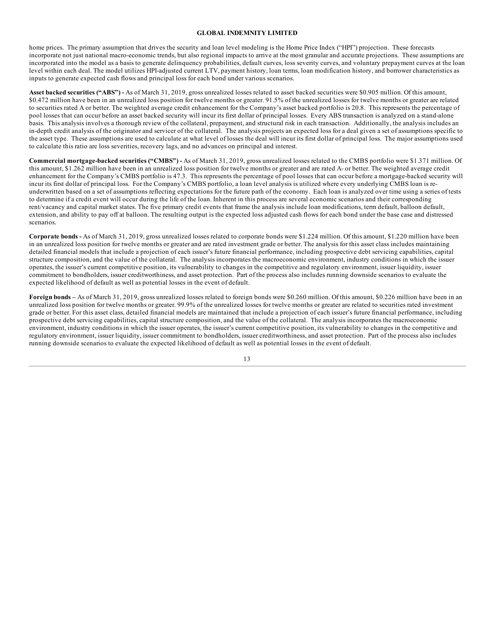home prices. The primary assumption that drives the security and loan level modeling is the Home Price Index ("HPI") projection. These forecasts incorporate not just national macro-economic trends, but also regional impacts to arrive at the most granular and accurate projections. These assumptions are incorporated into the model as a basis to generate delinquency probabilities, default curves, loss severity curves, and voluntary prepayment curves at the loan level within each deal. The model utilizes HPI-adjusted current LTV, payment history, loan terms, loan modification history, and borrower characteristics as inputs to generate expected cash flows and principal loss for each bond under various scenarios.

**Asset backed securities ("ABS") -** As of March 31, 2019, gross unrealized losses related to asset backed securities were \$0.905 million. Of this amount, \$0.472 million have been in an unrealized loss position for twelve months or greater. 91.5% of the unrealized losses for twelve months or greater are related to securities rated A or better. The weighted average credit enhancement for the Company's asset backed portfolio is 20.8. This represents the percentage of pool losses that can occur before an asset backed security will incur its first dollar of principal losses. Every ABS transaction is analyzed on a stand-alone basis. This analysis involves a thorough review of the collateral, prepayment, and structural risk in each transaction. Additionally, the analysis includes an in-depth credit analysis of the originator and servicer of the collateral. The analysis projects an expected loss for a deal given a set of assumptions specific to the asset type. These assumptions are used to calculate at what level of losses the deal will incur its first dollar of principal loss. The major assumptions used to calculate this ratio are loss severities, recovery lags, and no advances on principal and interest.

**Commercial mortgage-backed securities ("CMBS") -** As of March 31, 2019, gross unrealized losses related to the CMBS portfolio were \$1.371 million. Of this amount, \$1.262 million have been in an unrealized loss position for twelve months or greater and are rated A- or better. The weighted average credit enhancement for the Company's CMBS portfolio is 47.3. This represents the percentage of pool losses that can occur before a mortgage-backed security will incur its first dollar of principal loss. For the Company's CMBS portfolio, a loan level analysis is utilized where every underlying CMBS loan is reunderwritten based on a set of assumptions reflecting expectations for the future path of the economy. Each loan is analyzed over time using a series of tests to determine if a credit event will occur during the life of the loan. Inherent in this process are several economic scenarios and their corresponding rent/vacancy and capital market states. The five primary credit events that frame the analysis include loan modifications, term default, balloon default, extension, and ability to pay off at balloon. The resulting output is the expected loss adjusted cash flows for each bond under the base case and distressed scenarios.

**Corporate bonds -** As of March 31, 2019, gross unrealized losses related to corporate bonds were \$1.224 million. Of this amount, \$1.220 million have been in an unrealized loss position for twelve months or greater and are rated investment grade or better. The analysis for this asset class includes maintaining detailed financial models that include a projection of each issuer's future financial performance, including prospective debt servicing capabilities, capital structure composition, and the value of the collateral. The analysis incorporates the macroeconomic environment, industry conditions in which the issuer operates, the issuer's current competitive position, its vulnerability to changes in the competitive and regulatory environment, issuer liquidity, issuer commitment to bondholders, issuer creditworthiness, and asset protection. Part of the process also includes running downside scenarios to evaluate the expected likelihood of default as well as potential losses in the event of default.

**Foreign bonds** – As of March 31, 2019, gross unrealized losses related to foreign bonds were \$0.260 million. Of this amount, \$0.226 million have been in an unrealized loss position for twelve months or greater. 99.9% of the unrealized losses for twelve months or greater are related to securities rated investment grade or better. For this asset class, detailed financial models are maintained that include a projection of each issuer's future financial performance, including prospective debt servicing capabilities, capital structure composition, and the value of the collateral. The analysis incorporates the macroeconomic environment, industry conditions in which the issuer operates, the issuer's current competitive position, its vulnerability to changes in the competitive and regulatory environment, issuer liquidity, issuer commitment to bondholders, issuer creditworthiness, and asset protection. Part of the process also includes running downside scenarios to evaluate the expected likelihood of default as well as potential losses in the event of default.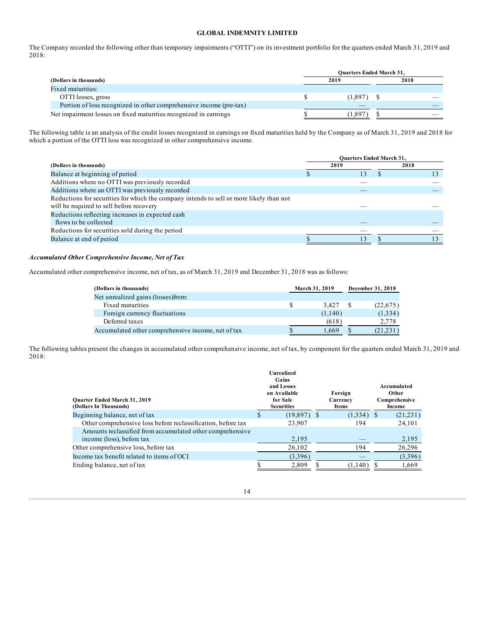The Company recorded the following other than temporary impairments ("OTTI") on its investment portfolio for the quarters ended March 31, 2019 and 2018:

|                                                                    | <b>Ouarters Ended March 31,</b> |         |  |      |  |  |  |
|--------------------------------------------------------------------|---------------------------------|---------|--|------|--|--|--|
| (Dollars in thousands)                                             |                                 | 2019    |  | 2018 |  |  |  |
| Fixed maturities:                                                  |                                 |         |  |      |  |  |  |
| OTTI losses, gross                                                 |                                 | (1,897) |  |      |  |  |  |
| Portion of loss recognized in other comprehensive income (pre-tax) |                                 |         |  |      |  |  |  |
| Net impairment losses on fixed maturities recognized in earnings   |                                 | 1.897   |  |      |  |  |  |

The following table is an analysis of the credit losses recognized in earnings on fixed maturities held by the Company as of March 31, 2019 and 2018 for which a portion of the OTTI loss was recognized in other comprehensive income.

|                                                                                         | Quarters Ended March 31, |      |
|-----------------------------------------------------------------------------------------|--------------------------|------|
| (Dollars in thousands)                                                                  | 2019                     | 2018 |
| Balance at beginning of period                                                          | 13                       |      |
| Additions where no OTTI was previously recorded                                         |                          |      |
| Additions where an OTTI was previously recorded                                         |                          |      |
| Reductions for securities for which the company intends to sell or more likely than not |                          |      |
| will be required to sell before recovery                                                |                          |      |
| Reductions reflecting increases in expected cash                                        |                          |      |
| flows to be collected                                                                   |                          |      |
| Reductions for securities sold during the period                                        |                          |      |
| Balance at end of period                                                                |                          |      |

# *Accumulated Other Comprehensive Income, Net of Tax*

Accumulated other comprehensive income, net of tax, as of March 31, 2019 and December 31, 2018 was as follows:

| (Dollars in thousands)                             | <b>March 31, 2019</b> |    | December 31, 2018 |
|----------------------------------------------------|-----------------------|----|-------------------|
| Net unrealized gains (losses) from:                |                       |    |                   |
| Fixed maturities                                   | 3.427                 |    | (22,675)          |
| Foreign currency fluctuations                      | (1,140)               |    | (1,334)           |
| Deferred taxes                                     | (618)                 |    | 2.778             |
| Accumulated other comprehensive income, net of tax | 1.669                 | S. | (21, 231)         |

The following tables present the changes in accumulated other comprehensive income, net of tax, by component for the quarters ended March 31, 2019 and 2018:

| <b>Ouarter Ended March 31, 2019</b><br>(Dollars In Thousands) |   | <b>Unrealized</b><br>Gains<br>and Losses<br>on Available<br>for Sale<br><b>Securities</b> | Foreign<br>Currency<br>Items | Accumulated<br>Other<br>Comprehensive<br>Income |
|---------------------------------------------------------------|---|-------------------------------------------------------------------------------------------|------------------------------|-------------------------------------------------|
| Beginning balance, net of tax                                 | S | (19,897)                                                                                  | $(1,334)$ \$                 | (21, 231)                                       |
| Other comprehensive loss before reclassification, before tax  |   | 23,907                                                                                    | 194                          | 24,101                                          |
| Amounts reclassified from accumulated other comprehensive     |   |                                                                                           |                              |                                                 |
| income (loss), before tax                                     |   | 2,195                                                                                     |                              | 2,195                                           |
| Other comprehensive loss, before tax                          |   | 26,102                                                                                    | 194                          | 26,296                                          |
| Income tax benefit related to items of OCI                    |   | (3,396)                                                                                   |                              | (3,396)                                         |
| Ending balance, net of tax                                    |   | 2.809                                                                                     | (1,140)                      | 1.669                                           |

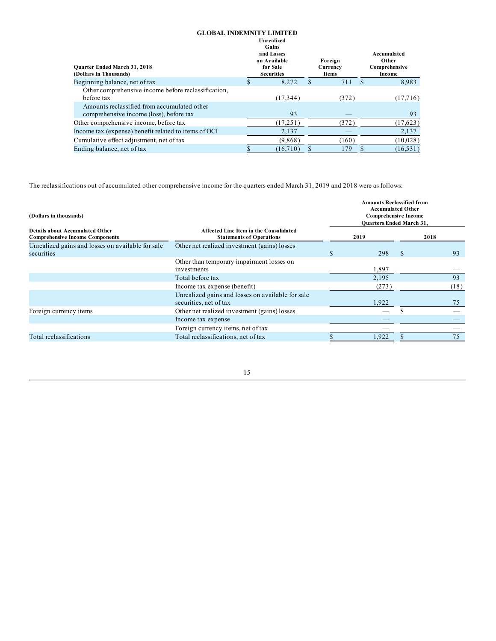| <b>Ouarter Ended March 31, 2018</b><br>(Dollars In Thousands)                          | Unrealized<br>Gains<br>and Losses<br>on Available<br>for Sale<br><b>Securities</b> | Foreign<br>Currency<br>Items | Accumulated<br>Other<br>Comprehensive<br>Income |
|----------------------------------------------------------------------------------------|------------------------------------------------------------------------------------|------------------------------|-------------------------------------------------|
| Beginning balance, net of tax                                                          | \$<br>8.272                                                                        | 711                          | 8.983                                           |
| Other comprehensive income before reclassification,                                    |                                                                                    |                              |                                                 |
| before tax                                                                             | (17, 344)                                                                          | (372)                        | (17,716)                                        |
| Amounts reclassified from accumulated other<br>comprehensive income (loss), before tax | 93                                                                                 |                              | 93                                              |
| Other comprehensive income, before tax                                                 | (17,251)                                                                           | (372)                        | (17,623)                                        |
| Income tax (expense) benefit related to items of OCI                                   | 2,137                                                                              |                              | 2,137                                           |
| Cumulative effect adjustment, net of tax                                               | (9,868)                                                                            | (160)                        | (10,028)                                        |
| Ending balance, net of tax                                                             | (16,710)                                                                           | 179                          | (16, 531)                                       |

The reclassifications out of accumulated other comprehensive income for the quarters ended March 31, 2019 and 2018 were as follows:

| (Dollars in thousands)                                                           |                                                                             | <b>Amounts Reclassified from</b><br><b>Accumulated Other</b><br><b>Comprehensive Income</b><br>Quarters Ended March 31, |       |               |      |  |  |  |
|----------------------------------------------------------------------------------|-----------------------------------------------------------------------------|-------------------------------------------------------------------------------------------------------------------------|-------|---------------|------|--|--|--|
| <b>Details about Accumulated Other</b><br><b>Comprehensive Income Components</b> | Affected Line Item in the Consolidated<br><b>Statements of Operations</b>   |                                                                                                                         | 2019  |               | 2018 |  |  |  |
| Unrealized gains and losses on available for sale<br>securities                  | Other net realized investment (gains) losses                                | \$.                                                                                                                     | 298   | <sup>\$</sup> | 93   |  |  |  |
|                                                                                  | Other than temporary impairment losses on<br>investments                    |                                                                                                                         | 1,897 |               |      |  |  |  |
|                                                                                  | Total before tax                                                            |                                                                                                                         | 2,195 |               | 93   |  |  |  |
|                                                                                  | Income tax expense (benefit)                                                |                                                                                                                         | (273) |               | (18) |  |  |  |
|                                                                                  | Unrealized gains and losses on available for sale<br>securities, net of tax |                                                                                                                         | 1,922 |               | 75   |  |  |  |
| Foreign currency items                                                           | Other net realized investment (gains) losses                                |                                                                                                                         |       |               |      |  |  |  |
|                                                                                  | Income tax expense                                                          |                                                                                                                         |       |               |      |  |  |  |
|                                                                                  | Foreign currency items, net of tax                                          |                                                                                                                         |       |               |      |  |  |  |
| Total reclassifications                                                          | Total reclassifications, net of tax                                         |                                                                                                                         | 1.922 |               | 75   |  |  |  |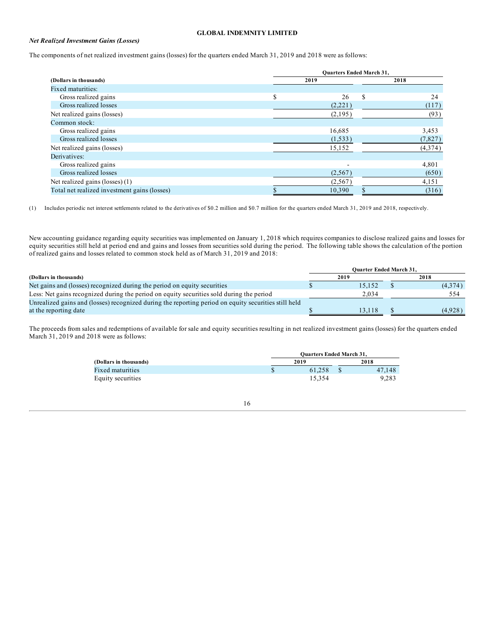# *Net Realized Investment Gains (Losses)*

The components of net realized investment gains (losses) for the quarters ended March 31, 2019 and 2018 were as follows:

|                                              | <b>Ouarters Ended March 31,</b> |   |         |  |  |  |  |  |  |
|----------------------------------------------|---------------------------------|---|---------|--|--|--|--|--|--|
| (Dollars in thousands)                       | 2019                            |   | 2018    |  |  |  |  |  |  |
| Fixed maturities:                            |                                 |   |         |  |  |  |  |  |  |
| Gross realized gains                         | \$<br>26                        | S | 24      |  |  |  |  |  |  |
| Gross realized losses                        | (2,221)                         |   | (117)   |  |  |  |  |  |  |
| Net realized gains (losses)                  | (2,195)                         |   | (93)    |  |  |  |  |  |  |
| Common stock:                                |                                 |   |         |  |  |  |  |  |  |
| Gross realized gains                         | 16,685                          |   | 3,453   |  |  |  |  |  |  |
| Gross realized losses                        | (1,533)                         |   | (7,827) |  |  |  |  |  |  |
| Net realized gains (losses)                  | 15,152                          |   | (4,374) |  |  |  |  |  |  |
| Derivatives:                                 |                                 |   |         |  |  |  |  |  |  |
| Gross realized gains                         |                                 |   | 4,801   |  |  |  |  |  |  |
| Gross realized losses                        | (2,567)                         |   | (650)   |  |  |  |  |  |  |
| Net realized gains (losses) (1)              | (2,567)                         |   | 4,151   |  |  |  |  |  |  |
| Total net realized investment gains (losses) | 10.390                          | S | (316)   |  |  |  |  |  |  |

(1) Includes periodic net interest settlements related to the derivatives of \$0.2 million and \$0.7 million for the quarters ended March 31, 2019 and 2018, respectively.

New accounting guidance regarding equity securities was implemented on January 1, 2018 which requires companies to disclose realized gains and losses for equity securities still held at period end and gains and losses from securities sold during the period. The following table shows the calculation of the portion of realized gains and losses related to common stock held as of March 31, 2019 and 2018:

|                                                                                                      |  | <b>Ouarter Ended March 31,</b> |  |         |
|------------------------------------------------------------------------------------------------------|--|--------------------------------|--|---------|
| (Dollars in thousands)                                                                               |  | 2019                           |  | 2018    |
| Net gains and (losses) recognized during the period on equity securities                             |  | 15.152                         |  | (4,374) |
| Less: Net gains recognized during the period on equity securities sold during the period             |  | 2.034                          |  | 554     |
| Unrealized gains and (losses) recognized during the reporting period on equity securities still held |  |                                |  |         |
| at the reporting date                                                                                |  | 13.118                         |  | (4.928) |

The proceeds from sales and redemptions of available for sale and equity securities resulting in net realized investment gains (losses) for the quarters ended March 31, 2019 and 2018 were as follows:

|                        | <b>Ouarters Ended March 31,</b> |        |  |        |  |  |
|------------------------|---------------------------------|--------|--|--------|--|--|
| (Dollars in thousands) |                                 | 2019   |  | 2018   |  |  |
| Fixed maturities       |                                 | 61.258 |  | 47.148 |  |  |
| Equity securities      |                                 | 15.354 |  | 9.283  |  |  |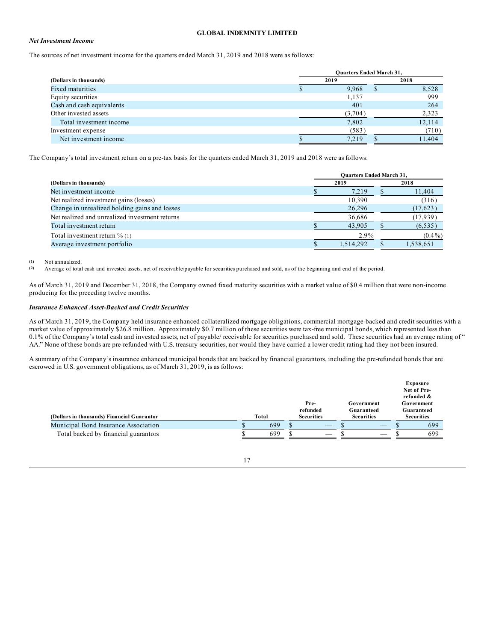# *Net Investment Income*

The sources of net investment income for the quarters ended March 31, 2019 and 2018 were as follows:

|                           |      | <b>Ouarters Ended March 31,</b> |   |        |  |  |  |  |
|---------------------------|------|---------------------------------|---|--------|--|--|--|--|
| (Dollars in thousands)    | 2019 |                                 |   | 2018   |  |  |  |  |
| Fixed maturities          |      | 9.968                           | S | 8.528  |  |  |  |  |
| Equity securities         |      | 1,137                           |   | 999    |  |  |  |  |
| Cash and cash equivalents |      | 401                             |   | 264    |  |  |  |  |
| Other invested assets     |      | (3,704)                         |   | 2,323  |  |  |  |  |
| Total investment income   |      | 7.802                           |   | 12,114 |  |  |  |  |
| Investment expense        |      | (583)                           |   | (710)  |  |  |  |  |
| Net investment income     |      | 7.219                           |   | 11.404 |  |  |  |  |

The Company's total investment return on a pre-tax basis for the quarters ended March 31, 2019 and 2018 were as follows:

|                                                | <b>Ouarters Ended March 31,</b> |           |  |           |  |  |  |
|------------------------------------------------|---------------------------------|-----------|--|-----------|--|--|--|
| (Dollars in thousands)                         |                                 | 2019      |  |           |  |  |  |
| Net investment income                          |                                 | 7.219     |  | 11,404    |  |  |  |
| Net realized investment gains (losses)         |                                 | 10,390    |  | (316)     |  |  |  |
| Change in unrealized holding gains and losses  |                                 | 26,296    |  | (17,623)  |  |  |  |
| Net realized and unrealized investment returns |                                 | 36,686    |  | (17,939)  |  |  |  |
| Total investment return                        |                                 | 43,905    |  | (6,535)   |  |  |  |
| Total investment return $\%$ (1)               |                                 | 2.9%      |  | $(0.4\%)$ |  |  |  |
| Average investment portfolio                   |                                 | 1,514,292 |  | 1,538,651 |  |  |  |

**(1)** Not annualized.

**(2)** Average of total cash and invested assets, net of receivable/payable for securities purchased and sold, as of the beginning and end of the period.

As of March 31, 2019 and December 31, 2018, the Company owned fixed maturity securities with a market value of \$0.4 million that were non-income producing for the preceding twelve months.

### *Insurance Enhanced Asset-Backed and Credit Securities*

As of March 31, 2019, the Company held insurance enhanced collateralized mortgage obligations, commercial mortgage-backed and credit securities with a market value of approximately \$26.8 million. Approximately \$0.7 million of these securities were tax-free municipal bonds, which represented less than 0.1% of the Company's total cash and invested assets, net of payable/ receivable for securities purchased and sold. These securities had an average rating of " AA." None of these bonds are pre-refunded with U.S. treasury securities, nor would they have carried a lower credit rating had they not been insured.

A summary of the Company's insurance enhanced municipal bonds that are backed by financial guarantors, including the pre-refunded bonds that are escrowed in U.S. government obligations, as of March 31, 2019, is as follows:

| (Dollars in thousands) Financial Guarantor | Total | Pre-<br>refunded<br><b>Securities</b> | Government<br>Guaranteed<br><b>Securities</b> | Exposure<br>Net of Pre-<br>refunded &<br>Government<br>Guaranteed<br><b>Securities</b> |
|--------------------------------------------|-------|---------------------------------------|-----------------------------------------------|----------------------------------------------------------------------------------------|
| Municipal Bond Insurance Association       | 699   |                                       |                                               | 699                                                                                    |
| Total backed by financial guarantors       | 699   | $\overline{\phantom{a}}$              | $\overline{\phantom{a}}$                      | 699                                                                                    |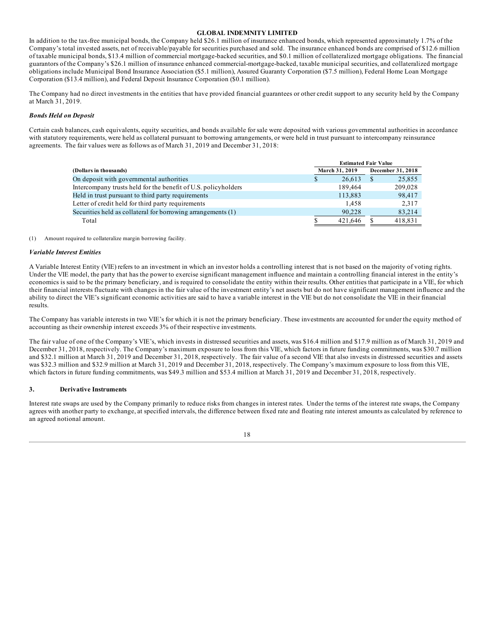In addition to the tax-free municipal bonds, the Company held \$26.1 million of insurance enhanced bonds, which represented approximately 1.7% of the Company's total invested assets, net of receivable/payable for securities purchased and sold. The insurance enhanced bonds are comprised of \$12.6 million of taxable municipal bonds, \$13.4 million of commercial mortgage-backed securities, and \$0.1 million of collateralized mortgage obligations. The financial guarantors of the Company's \$26.1 million of insurance enhanced commercial-mortgage-backed, taxable municipal securities, and collateralized mortgage obligations include Municipal Bond Insurance Association (\$5.1 million), Assured Guaranty Corporation (\$7.5 million), Federal Home Loan Mortgage Corporation (\$13.4 million), and Federal Deposit Insurance Corporation (\$0.1 million).

The Company had no direct investments in the entities that have provided financial guarantees or other credit support to any security held by the Company at March 31, 2019.

# *Bonds Held on Deposit*

Certain cash balances, cash equivalents, equity securities, and bonds available for sale were deposited with various governmental authorities in accordance with statutory requirements, were held as collateral pursuant to borrowing arrangements, or were held in trust pursuant to intercompany reinsurance agreements. The fair values were as follows as of March 31, 2019 and December 31, 2018:

|                                                                |   | <b>Estimated Fair Value</b> |                   |
|----------------------------------------------------------------|---|-----------------------------|-------------------|
| (Dollars in thousands)                                         |   | March 31, 2019              | December 31, 2018 |
| On deposit with governmental authorities                       | S | 26.613                      | 25,855            |
| Intercompany trusts held for the benefit of U.S. policyholders |   | 189,464                     | 209,028           |
| Held in trust pursuant to third party requirements             |   | 113,883                     | 98.417            |
| Letter of credit held for third party requirements             |   | 1.458                       | 2.317             |
| Securities held as collateral for borrowing arrangements (1)   |   | 90.228                      | 83.214            |
| Total                                                          |   | 421.646                     | 418.831           |

### (1) Amount required to collateralize margin borrowing facility.

### *Variable Interest Entities*

A Variable Interest Entity (VIE) refers to an investment in which an investor holds a controlling interest that is not based on the majority of voting rights. Under the VIE model, the party that has the power to exercise significant management influence and maintain a controlling financial interest in the entity's economics is said to be the primary beneficiary, and is required to consolidate the entity within their results. Other entities that participate in a VIE, for which their financial interests fluctuate with changes in the fair value of the investment entity's net assets but do not have significant management influence and the ability to direct the VIE's significant economic activities are said to have a variable interest in the VIE but do not consolidate the VIE in their financial results.

The Company has variable interests in two VIE's for which it is not the primary beneficiary. These investments are accounted for under the equity method of accounting as their ownership interest exceeds 3% of their respective investments.

The fair value of one of the Company's VIE's, which invests in distressed securities and assets, was \$16.4 million and \$17.9 million as of March 31, 2019 and December 31, 2018, respectively. The Company's maximum exposure to loss from this VIE, which factors in future funding commitments, was \$30.7 million and \$32.1 million at March 31, 2019 and December 31, 2018, respectively. The fair value of a second VIE that also invests in distressed securities and assets was \$32.3 million and \$32.9 million at March 31, 2019 and December 31, 2018, respectively. The Company's maximum exposure to loss from this VIE, which factors in future funding commitments, was \$49.3 million and \$53.4 million at March 31, 2019 and December 31, 2018, respectively.

# **3. Derivative Instruments**

Interest rate swaps are used by the Company primarily to reduce risks from changes in interest rates. Under the terms of the interest rate swaps, the Company agrees with another party to exchange, at specified intervals, the difference between fixed rate and floating rate interest amounts as calculated by reference to an agreed notional amount.

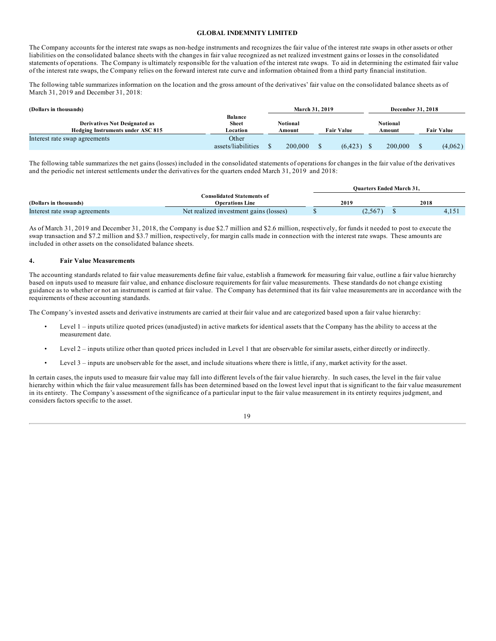The Company accounts for the interest rate swaps as non-hedge instruments and recognizes the fair value of the interest rate swaps in other assets or other liabilities on the consolidated balance sheets with the changes in fair value recognized as net realized investment gains or losses in the consolidated statements of operations. The Company is ultimately responsible for the valuation of the interest rate swaps. To aid in determining the estimated fair value of the interest rate swaps, the Company relies on the forward interest rate curve and information obtained from a third party financial institution.

The following table summarizes information on the location and the gross amount of the derivatives' fair value on the consolidated balance sheets as of March 31, 2019 and December 31, 2018:

| (Dollars in thousands)                                                           |                                            | <b>March 31, 2019</b> |                                         |  | December 31, 2018  |                   |         |
|----------------------------------------------------------------------------------|--------------------------------------------|-----------------------|-----------------------------------------|--|--------------------|-------------------|---------|
| <b>Derivatives Not Designated as</b><br><b>Hedging Instruments under ASC 815</b> | <b>Balance</b><br><b>Sheet</b><br>Location |                       | Notional<br><b>Fair Value</b><br>Amount |  | Notional<br>Amount | <b>Fair Value</b> |         |
| Interest rate swap agreements                                                    | Other<br>assets/liabilities                |                       | 200,000                                 |  | (6, 423)           | 200,000           | (4,062) |

The following table summarizes the net gains (losses) included in the consolidated statements of operations for changes in the fair value of the derivatives and the periodic net interest settlements under the derivatives for the quarters ended March 31, 2019 and 2018:

|                               |                                        | <b>Ouarters Ended March 31.</b> |      |       |
|-------------------------------|----------------------------------------|---------------------------------|------|-------|
|                               | <b>Consolidated Statements of</b>      |                                 |      |       |
| (Dollars in thousands)        | Operations Line                        | 2019                            | 2018 |       |
| Interest rate swap agreements | Net realized investment gains (losses) | (2.567)                         |      | 4.151 |

As of March 31, 2019 and December 31, 2018, the Company is due \$2.7 million and \$2.6 million, respectively, for funds it needed to post to execute the swap transaction and \$7.2 million and \$3.7 million, respectively, for margin calls made in connection with the interest rate swaps. These amounts are included in other assets on the consolidated balance sheets.

# **4. Fair Value Measurements**

The accounting standards related to fair value measurements define fair value, establish a framework for measuring fair value, outline a fair value hierarchy based on inputs used to measure fair value, and enhance disclosure requirements for fair value measurements. These standards do not change existing guidance as to whether or not an instrument is carried at fair value. The Company has determined that its fair value measurements are in accordance with the requirements of these accounting standards.

The Company's invested assets and derivative instruments are carried at their fair value and are categorized based upon a fair value hierarchy:

- Level 1 inputs utilize quoted prices (unadjusted) in active markets for identical assets that the Company has the ability to access at the measurement date.
- Level 2 inputs utilize other than quoted prices included in Level 1 that are observable for similar assets, either directly or indirectly.
- Level 3 inputs are unobservable for the asset, and include situations where there is little, if any, market activity for the asset.

In certain cases, the inputs used to measure fair value may fall into different levels of the fair value hierarchy. In such cases, the level in the fair value hierarchy within which the fair value measurement falls has been determined based on the lowest level input that is significant to the fair value measurement in its entirety. The Company's assessment of the significance of a particular input to the fair value measurement in its entirety requires judgment, and considers factors specific to the asset.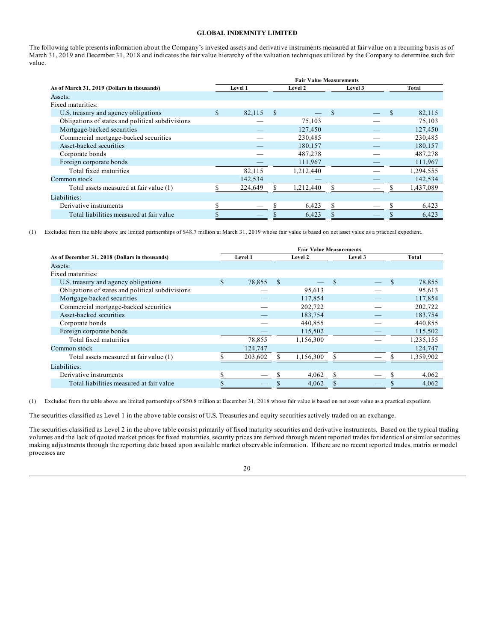The following table presents information about the Company's invested assets and derivative instruments measured at fair value on a recurring basis as of March 31, 2019 and December 31, 2018 and indicates the fair value hierarchy of the valuation techniques utilized by the Company to determine such fair value.

|                                                  | <b>Fair Value Measurements</b> |         |               |           |     |         |     |           |  |  |
|--------------------------------------------------|--------------------------------|---------|---------------|-----------|-----|---------|-----|-----------|--|--|
| As of March 31, 2019 (Dollars in thousands)      |                                | Level 1 |               | Level 2   |     | Level 3 |     | Total     |  |  |
| Assets:                                          |                                |         |               |           |     |         |     |           |  |  |
| Fixed maturities:                                |                                |         |               |           |     |         |     |           |  |  |
| U.S. treasury and agency obligations             | \$                             | 82,115  | <sup>\$</sup> |           | \$. |         | \$. | 82,115    |  |  |
| Obligations of states and political subdivisions |                                |         |               | 75,103    |     |         |     | 75,103    |  |  |
| Mortgage-backed securities                       |                                |         |               | 127,450   |     |         |     | 127,450   |  |  |
| Commercial mortgage-backed securities            |                                |         |               | 230,485   |     |         |     | 230,485   |  |  |
| Asset-backed securities                          |                                |         |               | 180,157   |     |         |     | 180,157   |  |  |
| Corporate bonds                                  |                                |         |               | 487,278   |     |         |     | 487,278   |  |  |
| Foreign corporate bonds                          |                                |         |               | 111,967   |     |         |     | 111,967   |  |  |
| Total fixed maturities                           |                                | 82,115  |               | 1,212,440 |     |         |     | 1,294,555 |  |  |
| Common stock                                     |                                | 142,534 |               |           |     |         |     | 142,534   |  |  |
| Total assets measured at fair value (1)          |                                | 224,649 |               | 1,212,440 | \$  |         |     | 1,437,089 |  |  |
| Liabilities:                                     |                                |         |               |           |     |         |     |           |  |  |
| Derivative instruments                           |                                |         |               | 6,423     | \$  |         |     | 6,423     |  |  |
| Total liabilities measured at fair value         |                                |         |               | 6,423     |     |         |     | 6,423     |  |  |

(1) Excluded from the table above are limited partnerships of \$48.7 million at March 31, 2019 whose fair value is based on net asset value as a practical expedient.

|                                                  |     |                |               | <b>Fair Value Measurements</b> |              |         |   |           |
|--------------------------------------------------|-----|----------------|---------------|--------------------------------|--------------|---------|---|-----------|
| As of December 31, 2018 (Dollars in thousands)   |     | <b>Level 1</b> | Level 2       |                                |              | Level 3 |   | Total     |
| Assets:                                          |     |                |               |                                |              |         |   |           |
| Fixed maturities:                                |     |                |               |                                |              |         |   |           |
| U.S. treasury and agency obligations             | \$. | 78,855         | <sup>\$</sup> |                                | $\mathbb{S}$ |         | S | 78,855    |
| Obligations of states and political subdivisions |     |                |               | 95,613                         |              |         |   | 95,613    |
| Mortgage-backed securities                       |     |                |               | 117,854                        |              |         |   | 117,854   |
| Commercial mortgage-backed securities            |     |                |               | 202,722                        |              |         |   | 202,722   |
| Asset-backed securities                          |     |                |               | 183,754                        |              |         |   | 183,754   |
| Corporate bonds                                  |     |                |               | 440,855                        |              |         |   | 440,855   |
| Foreign corporate bonds                          |     |                |               | 115,502                        |              |         |   | 115,502   |
| Total fixed maturities                           |     | 78,855         |               | 1,156,300                      |              |         |   | 1,235,155 |
| Common stock                                     |     | 124,747        |               |                                |              |         |   | 124,747   |
| Total assets measured at fair value (1)          |     | 203,602        |               | 1,156,300                      | S            |         |   | 1,359,902 |
| Liabilities:                                     |     |                |               |                                |              |         |   |           |
| Derivative instruments                           |     |                |               | 4.062                          | \$.          |         |   | 4,062     |
| Total liabilities measured at fair value         |     |                |               | 4.062                          |              |         |   | 4.062     |

(1) Excluded from the table above are limited partnerships of \$50.8 million at December 31, 2018 whose fair value is based on net asset value as a practical expedient.

The securities classified as Level 1 in the above table consist of U.S. Treasuries and equity securities actively traded on an exchange.

The securities classified as Level 2 in the above table consist primarily of fixed maturity securities and derivative instruments. Based on the typical trading volumes and the lack of quoted market prices for fixed maturities, security prices are derived through recent reported trades for identical or similar securities making adjustments through the reporting date based upon available market observable information. If there are no recent reported trades, matrix or model processes are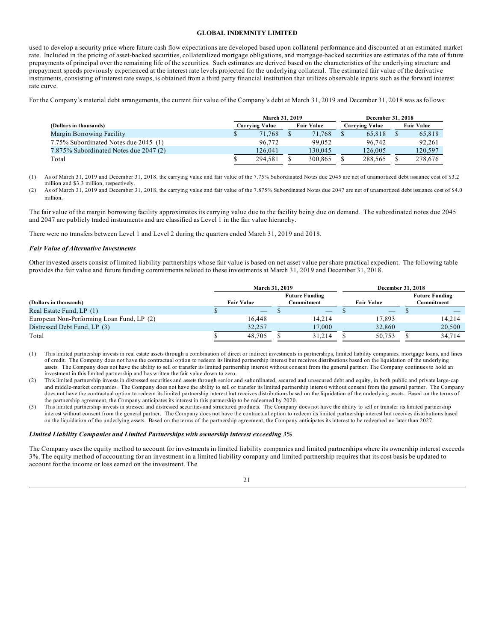used to develop a security price where future cash flow expectations are developed based upon collateral performance and discounted at an estimated market rate. Included in the pricing of asset-backed securities, collateralized mortgage obligations, and mortgage-backed securities are estimates of the rate of future prepayments of principal over the remaining life of the securities. Such estimates are derived based on the characteristics of the underlying structure and prepayment speeds previously experienced at the interest rate levels projected for the underlying collateral. The estimated fair value of the derivative instruments, consisting of interest rate swaps, is obtained from a third party financial institution that utilizes observable inputs such as the forward interest rate curve.

For the Company's material debt arrangements, the current fair value of the Company's debt at March 31, 2019 and December 31, 2018 was as follows:

|                                        | <b>March 31, 2019</b> |                   | December 31, 2018 |                   |
|----------------------------------------|-----------------------|-------------------|-------------------|-------------------|
| (Dollars in thousands)                 | <b>Carrying Value</b> | <b>Fair Value</b> | Carrving Value    | <b>Fair Value</b> |
| <b>Margin Borrowing Facility</b>       | 71.768                | 71.768            | 65.818            | 65,818            |
| 7.75% Subordinated Notes due 2045 (1)  | 96,772                | 99.052            | 96.742            | 92,261            |
| 7.875% Subordinated Notes due 2047 (2) | 126.041               | 130.045           | 126.005           | 120.597           |
| Total                                  | 294.581               | 300,865           | 288.565           | 278,676           |

<sup>(1)</sup> As of March 31, 2019 and December 31, 2018, the carrying value and fair value of the 7.75% Subordinated Notes due 2045 are net of unamortized debt issuance cost of \$3.2 million and \$3.3 million, respectively.

The fair value of the margin borrowing facility approximates its carrying value due to the facility being due on demand. The subordinated notes due 2045 and 2047 are publicly traded instruments and are classified as Level 1 in the fair value hierarchy.

There were no transfers between Level 1 and Level 2 during the quarters ended March 31, 2019 and 2018.

#### *Fair Value of Alternative Investments*

Other invested assets consist of limited liability partnerships whose fair value is based on net asset value per share practical expedient. The following table provides the fair value and future funding commitments related to these investments at March 31, 2019 and December 31, 2018.

|                                           | <b>March 31, 2019</b> |                                     |                   | December 31, 2018 |                                     |  |
|-------------------------------------------|-----------------------|-------------------------------------|-------------------|-------------------|-------------------------------------|--|
| (Dollars in thousands)                    | <b>Fair Value</b>     | <b>Future Funding</b><br>Commitment | <b>Fair Value</b> |                   | <b>Future Funding</b><br>Commitment |  |
| Real Estate Fund, LP (1)                  |                       |                                     |                   |                   |                                     |  |
| European Non-Performing Loan Fund, LP (2) | 16.448                | 14.214                              | 17,893            |                   | 14.214                              |  |
| Distressed Debt Fund, LP (3)              | 32,257                | 17,000                              | 32,860            |                   | 20,500                              |  |
| Total                                     | 48,705                | 31,214                              | 50,753            |                   | 34,714                              |  |

- (1) This limited partnership invests in real estate assets through a combination of direct or indirect investments in partnerships, limited liability companies, mortgage loans, and lines of credit. The Company does not have the contractual option to redeem its limited partnership interest but receives distributions based on the liquidation of the underlying assets. The Company does not have the ability to sell or transfer its limited partnership interest without consent from the general partner. The Company continues to hold an investment in this limited partnership and has written the fair value down to zero.
- (2) This limited partnership invests in distressed securities and assets through senior and subordinated, secured and unsecured debt and equity, in both public and private large-cap and middle-market companies. The Company does not have the ability to sell or transfer its limited partnership interest without consent from the general partner. The Company does not have the contractual option to redeem its limited partnership interest but receives distributions based on the liquidation of the underlying assets. Based on the terms of the partnership agreement, the Company anticipates its interest in this partnership to be redeemed by 2020.
- (3) This limited partnership invests in stressed and distressed securities and structured products. The Company does not have the ability to sell or transfer its limited partnership interest without consent from the general partner. The Company does not have the contractual option to redeem its limited partnership interest but receives distributions based on the liquidation of the underlying assets. Based on the terms of the partnership agreement, the Company anticipates its interest to be redeemed no later than 2027.

#### *Limited Liability Companies and Limited Partnerships with ownership interest exceeding 3%*

The Company uses the equity method to account for investments in limited liability companies and limited partnerships where its ownership interest exceeds 3%. The equity method of accounting for an investment in a limited liability company and limited partnership requires that its cost basis be updated to account for the income or loss earned on the investment. The



<sup>(2)</sup> As of March 31, 2019 and December 31, 2018, the carrying value and fair value of the 7.875% Subordinated Notes due 2047 are net of unamortized debt issuance cost of \$4.0 million.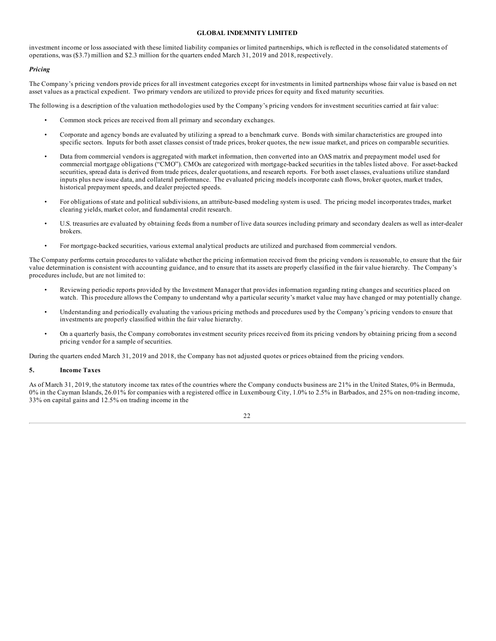investment income or loss associated with these limited liability companies or limited partnerships, which is reflected in the consolidated statements of operations, was (\$3.7) million and \$2.3 million for the quarters ended March 31, 2019 and 2018, respectively.

# *Pricing*

The Company's pricing vendors provide prices for all investment categories except for investments in limited partnerships whose fair value is based on net asset values as a practical expedient. Two primary vendors are utilized to provide prices for equity and fixed maturity securities.

The following is a description of the valuation methodologies used by the Company's pricing vendors for investment securities carried at fair value:

- Common stock prices are received from all primary and secondary exchanges.
- Corporate and agency bonds are evaluated by utilizing a spread to a benchmark curve. Bonds with similar characteristics are grouped into specific sectors. Inputs for both asset classes consist of trade prices, broker quotes, the new issue market, and prices on comparable securities.
- Data from commercial vendors is aggregated with market information, then converted into an OAS matrix and prepayment model used for commercial mortgage obligations ("CMO"). CMOs are categorized with mortgage-backed securities in the tables listed above. For asset-backed securities, spread data is derived from trade prices, dealer quotations, and research reports. For both asset classes, evaluations utilize standard inputs plus new issue data, and collateral performance. The evaluated pricing models incorporate cash flows, broker quotes, market trades, historical prepayment speeds, and dealer projected speeds.
- For obligations of state and political subdivisions, an attribute-based modeling system is used. The pricing model incorporates trades, market clearing yields, market color, and fundamental credit research.
- U.S. treasuries are evaluated by obtaining feeds from a number of live data sources including primary and secondary dealers as well as inter-dealer brokers.
- For mortgage-backed securities, various external analytical products are utilized and purchased from commercial vendors.

The Company performs certain procedures to validate whether the pricing information received from the pricing vendors is reasonable, to ensure that the fair value determination is consistent with accounting guidance, and to ensure that its assets are properly classified in the fair value hierarchy. The Company's procedures include, but are not limited to:

- Reviewing periodic reports provided by the Investment Manager that provides information regarding rating changes and securities placed on watch. This procedure allows the Company to understand why a particular security's market value may have changed or may potentially change.
- Understanding and periodically evaluating the various pricing methods and procedures used by the Company's pricing vendors to ensure that investments are properly classified within the fair value hierarchy.
- On a quarterly basis, the Company corroborates investment security prices received from its pricing vendors by obtaining pricing from a second pricing vendor for a sample of securities.

During the quarters ended March 31, 2019 and 2018, the Company has not adjusted quotes or prices obtained from the pricing vendors.

# **5. Income Taxes**

As of March 31, 2019, the statutory income tax rates of the countries where the Company conducts business are 21% in the United States, 0% in Bermuda, 0% in the Cayman Islands, 26.01% for companies with a registered office in Luxembourg City, 1.0% to 2.5% in Barbados, and 25% on non-trading income, 33% on capital gains and 12.5% on trading income in the

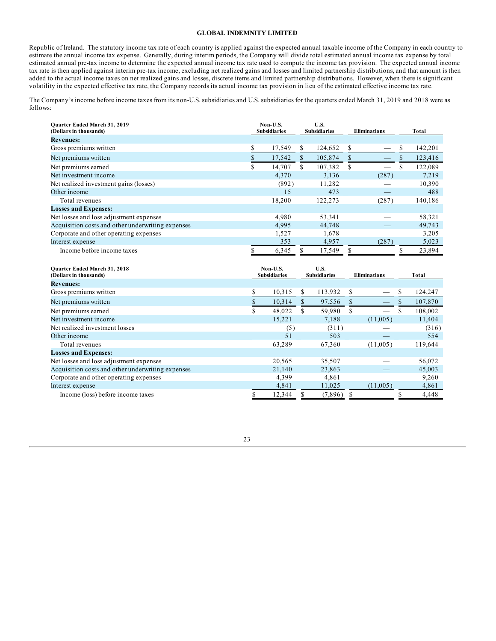Republic of Ireland. The statutory income tax rate of each country is applied against the expected annual taxable income of the Company in each country to estimate the annual income tax expense. Generally, during interim periods, the Company will divide total estimated annual income tax expense by total estimated annual pre-tax income to determine the expected annual income tax rate used to compute the income tax provision. The expected annual income tax rate is then applied against interim pre-tax income, excluding net realized gains and losses and limited partnership distributions, and that amount is then added to the actual income taxes on net realized gains and losses, discrete items and limited partnership distributions. However, when there is significant volatility in the expected effective tax rate, the Company records its actual income tax provision in lieu of the estimated effective income tax rate.

The Company's income before income taxes from its non-U.S. subsidiaries and U.S. subsidiaries for the quarters ended March 31, 2019 and 2018 were as follows:

| <b>Ouarter Ended March 31, 2019</b><br>(Dollars in thousands) | Non-U.S.<br><b>Subsidiaries</b> |          | U.S.<br><b>Subsidiaries</b> |         | <b>Eliminations</b> |       |   | Total   |
|---------------------------------------------------------------|---------------------------------|----------|-----------------------------|---------|---------------------|-------|---|---------|
| <b>Revenues:</b>                                              |                                 |          |                             |         |                     |       |   |         |
| Gross premiums written                                        |                                 | 17,549   |                             | 124,652 | S                   |       |   | 142,201 |
| Net premiums written                                          |                                 | 17,542   |                             | 105,874 |                     |       |   | 123,416 |
| Net premiums earned                                           | S                               | 14,707   |                             | 107,382 | S                   |       | S | 122,089 |
| Net investment income                                         |                                 | 4,370    |                             | 3,136   |                     | (287) |   | 7,219   |
| Net realized investment gains (losses)                        |                                 | (892)    |                             | 11,282  |                     |       |   | 10,390  |
| Other income                                                  |                                 | 15       |                             | 473     |                     |       |   | 488     |
| Total revenues                                                |                                 | 18,200   |                             | 122,273 |                     | (287) |   | 140,186 |
| <b>Losses and Expenses:</b>                                   |                                 |          |                             |         |                     |       |   |         |
| Net losses and loss adjustment expenses                       |                                 | 4,980    |                             | 53,341  |                     |       |   | 58,321  |
| Acquisition costs and other underwriting expenses             |                                 | 4,995    |                             | 44,748  |                     |       |   | 49,743  |
| Corporate and other operating expenses                        |                                 | 1,527    |                             | 1,678   |                     |       |   | 3,205   |
| Interest expense                                              |                                 | 353      |                             | 4,957   |                     | (287) |   | 5,023   |
| Income before income taxes                                    |                                 | 6,345    |                             | 17,549  |                     |       |   | 23,894  |
| <b>Ouarter Ended March 31, 2018</b>                           |                                 | Non-U.S. |                             | U.S.    |                     |       |   |         |

| (Dollars in thousands)                            |   | <b>Subsidiaries</b> |        | <b>Subsidiaries</b> |         | <b>Eliminations</b> |          | Total    |         |
|---------------------------------------------------|---|---------------------|--------|---------------------|---------|---------------------|----------|----------|---------|
| <b>Revenues:</b>                                  |   |                     |        |                     |         |                     |          |          |         |
| Gross premiums written                            |   |                     | 10,315 | \$                  | 113,932 |                     |          | <b>S</b> | 124,247 |
| Net premiums written                              |   |                     | 10,314 |                     | 97,556  |                     |          |          | 107,870 |
| Net premiums earned                               | S |                     | 48,022 |                     | 59,980  | S                   |          |          | 108,002 |
| Net investment income                             |   |                     | 15.221 |                     | 7,188   |                     | (11,005) |          | 11,404  |
| Net realized investment losses                    |   |                     | (5)    |                     | (311)   |                     |          |          | (316)   |
| Other income                                      |   |                     | 51     |                     | 503     |                     |          |          | 554     |
| Total revenues                                    |   |                     | 63,289 |                     | 67,360  |                     | (11,005) |          | 119,644 |
| <b>Losses and Expenses:</b>                       |   |                     |        |                     |         |                     |          |          |         |
| Net losses and loss adjustment expenses           |   |                     | 20,565 |                     | 35,507  |                     |          |          | 56,072  |
| Acquisition costs and other underwriting expenses |   |                     | 21,140 |                     | 23,863  |                     |          |          | 45,003  |
| Corporate and other operating expenses            |   |                     | 4,399  |                     | 4,861   |                     |          |          | 9,260   |
| Interest expense                                  |   |                     | 4,841  |                     | 11,025  |                     | (11,005) |          | 4,861   |
| Income (loss) before income taxes                 |   |                     | 12,344 |                     | (7,896) |                     |          |          | 4,448   |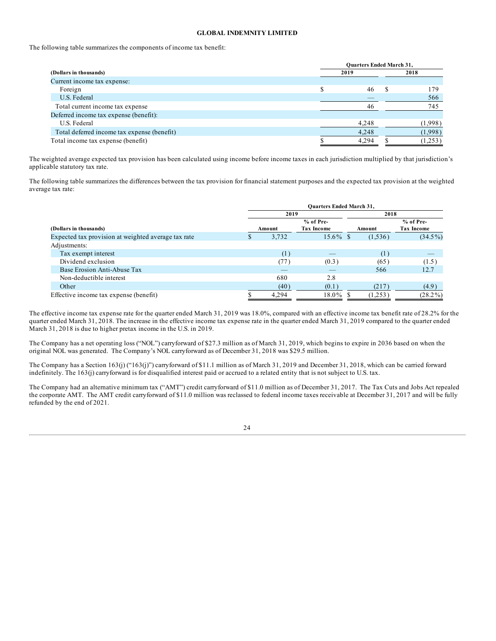The following table summarizes the components of income tax benefit:

|                                             | <b>Ouarters Ended March 31,</b> |       |    |         |  |  |  |  |  |
|---------------------------------------------|---------------------------------|-------|----|---------|--|--|--|--|--|
| (Dollars in thousands)                      |                                 | 2019  |    | 2018    |  |  |  |  |  |
| Current income tax expense:                 |                                 |       |    |         |  |  |  |  |  |
| Foreign                                     | S                               | 46    | -S | 179     |  |  |  |  |  |
| U.S. Federal                                |                                 |       |    | 566     |  |  |  |  |  |
| Total current income tax expense            |                                 | 46    |    | 745     |  |  |  |  |  |
| Deferred income tax expense (benefit):      |                                 |       |    |         |  |  |  |  |  |
| U.S. Federal                                |                                 | 4,248 |    | (1,998) |  |  |  |  |  |
| Total deferred income tax expense (benefit) |                                 | 4,248 |    | (1,998) |  |  |  |  |  |
| Total income tax expense (benefit)          |                                 | 4.294 |    | (1,253) |  |  |  |  |  |

The weighted average expected tax provision has been calculated using income before income taxes in each jurisdiction multiplied by that jurisdiction's applicable statutory tax rate.

The following table summarizes the differences between the tax provision for financial statement purposes and the expected tax provision at the weighted average tax rate:

|                                                     | <b>Ouarters Ended March 31,</b> |        |                                  |  |          |                                  |  |  |  |  |  |
|-----------------------------------------------------|---------------------------------|--------|----------------------------------|--|----------|----------------------------------|--|--|--|--|--|
|                                                     |                                 | 2019   |                                  |  | 2018     |                                  |  |  |  |  |  |
| (Dollars in thousands)                              |                                 | Amount | $%$ of Pre-<br><b>Tax Income</b> |  | Amount   | $%$ of Pre-<br><b>Tax Income</b> |  |  |  |  |  |
| Expected tax provision at weighted average tax rate |                                 | 3,732  | $15.6\%$ \$                      |  | (1, 536) | $(34.5\%)$                       |  |  |  |  |  |
| Adjustments:                                        |                                 |        |                                  |  |          |                                  |  |  |  |  |  |
| Tax exempt interest                                 |                                 | (1)    |                                  |  | (1)      |                                  |  |  |  |  |  |
| Dividend exclusion                                  |                                 | (77)   | (0.3)                            |  | (65)     | (1.5)                            |  |  |  |  |  |
| Base Erosion Anti-Abuse Tax                         |                                 | --     |                                  |  | 566      | 12.7                             |  |  |  |  |  |
| Non-deductible interest                             |                                 | 680    | 2.8                              |  |          |                                  |  |  |  |  |  |
| Other                                               |                                 | (40)   | (0.1)                            |  | (217)    | (4.9)                            |  |  |  |  |  |
| Effective income tax expense (benefit)              |                                 | 4.294  | $18.0\%$                         |  | (1,253)  | $(28.2\%)$                       |  |  |  |  |  |

The effective income tax expense rate for the quarter ended March 31, 2019 was 18.0%, compared with an effective income tax benefit rate of 28.2% for the quarter ended March 31, 2018. The increase in the effective income tax expense rate in the quarter ended March 31, 2019 compared to the quarter ended March 31, 2018 is due to higher pretax income in the U.S. in 2019.

The Company has a net operating loss ("NOL") carryforward of \$27.3 million as of March 31, 2019, which begins to expire in 2036 based on when the original NOL was generated. The Company's NOL carryforward as of December 31, 2018 was \$29.5 million.

The Company has a Section 163(j) ("163(j)") carryforward of \$11.1 million as of March 31, 2019 and December 31, 2018, which can be carried forward indefinitely. The 163(j) carryforward is for disqualified interest paid or accrued to a related entity that is not subject to U.S. tax.

The Company had an alternative minimum tax ("AMT") credit carryforward of \$11.0 million as of December 31, 2017. The Tax Cuts and Jobs Act repealed the corporate AMT. The AMT credit carryforward of \$11.0 million was reclassed to federal income taxes receivable at December 31, 2017 and will be fully refunded by the end of 2021.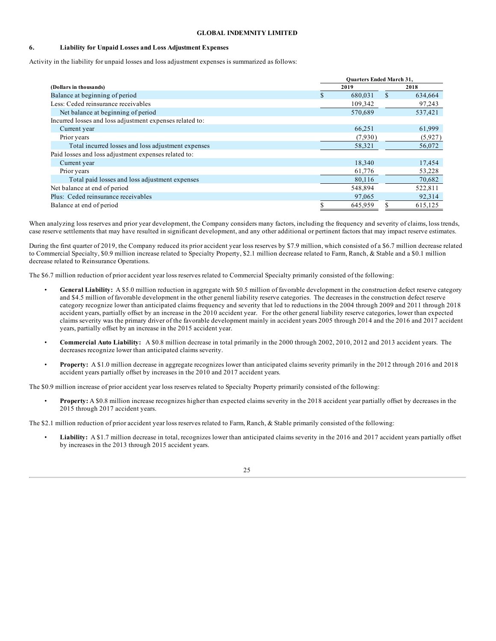### **6. Liability for Unpaid Losses and Loss Adjustment Expenses**

Activity in the liability for unpaid losses and loss adjustment expenses is summarized as follows:

|                                                          | <b>Ouarters Ended March 31,</b> |         |     |         |  |  |  |
|----------------------------------------------------------|---------------------------------|---------|-----|---------|--|--|--|
| (Dollars in thousands)                                   | 2019                            |         |     | 2018    |  |  |  |
| Balance at beginning of period                           |                                 | 680.031 | \$. | 634,664 |  |  |  |
| Less: Ceded reinsurance receivables                      |                                 | 109,342 |     | 97,243  |  |  |  |
| Net balance at beginning of period                       |                                 | 570,689 |     | 537,421 |  |  |  |
| Incurred losses and loss adjustment expenses related to: |                                 |         |     |         |  |  |  |
| Current year                                             |                                 | 66,251  |     | 61,999  |  |  |  |
| Prior years                                              |                                 | (7,930) |     | (5,927) |  |  |  |
| Total incurred losses and loss adjustment expenses       |                                 | 58,321  |     | 56,072  |  |  |  |
| Paid losses and loss adjustment expenses related to:     |                                 |         |     |         |  |  |  |
| Current year                                             |                                 | 18,340  |     | 17,454  |  |  |  |
| Prior years                                              |                                 | 61,776  |     | 53,228  |  |  |  |
| Total paid losses and loss adjustment expenses           |                                 | 80,116  |     | 70,682  |  |  |  |
| Net balance at end of period                             |                                 | 548,894 |     | 522,811 |  |  |  |
| Plus: Ceded reinsurance receivables                      |                                 | 97,065  |     | 92,314  |  |  |  |
| Balance at end of period                                 |                                 | 645,959 |     | 615,125 |  |  |  |

When analyzing loss reserves and prior year development, the Company considers many factors, including the frequency and severity of claims, loss trends, case reserve settlements that may have resulted in significant development, and any other additional or pertinent factors that may impact reserve estimates.

During the first quarter of 2019, the Company reduced its prior accident year loss reserves by \$7.9 million, which consisted of a \$6.7 million decrease related to Commercial Specialty, \$0.9 million increase related to Specialty Property, \$2.1 million decrease related to Farm, Ranch, & Stable and a \$0.1 million decrease related to Reinsurance Operations.

The \$6.7 million reduction of prior accident year loss reserves related to Commercial Specialty primarily consisted of the following:

- **General Liability:** A \$5.0 million reduction in aggregate with \$0.5 million of favorable development in the construction defect reserve category and \$4.5 million of favorable development in the other general liability reserve categories. The decreases in the construction defect reserve category recognize lower than anticipated claims frequency and severity that led to reductions in the 2004 through 2009 and 2011 through 2018 accident years, partially offset by an increase in the 2010 accident year. For the other general liability reserve categories, lower than expected claims severity was the primary driver of the favorable development mainly in accident years 2005 through 2014 and the 2016 and 2017 accident years, partially offset by an increase in the 2015 accident year.
- **Commercial Auto Liability:** A \$0.8 million decrease in total primarily in the 2000 through 2002, 2010, 2012 and 2013 accident years. The decreases recognize lower than anticipated claims severity.
- **Property:** A \$1.0 million decrease in aggregate recognizes lower than anticipated claims severity primarily in the 2012 through 2016 and 2018 accident years partially offset by increases in the 2010 and 2017 accident years.

The \$0.9 million increase of prior accident year loss reserves related to Specialty Property primarily consisted of the following:

• **Property:** A \$0.8 million increase recognizes higher than expected claims severity in the 2018 accident year partially offset by decreases in the 2015 through 2017 accident years.

The \$2.1 million reduction of prior accident year loss reserves related to Farm, Ranch, & Stable primarily consisted of the following:

• **Liability:** A \$1.7 million decrease in total, recognizes lower than anticipated claims severity in the 2016 and 2017 accident years partially offset by increases in the 2013 through 2015 accident years.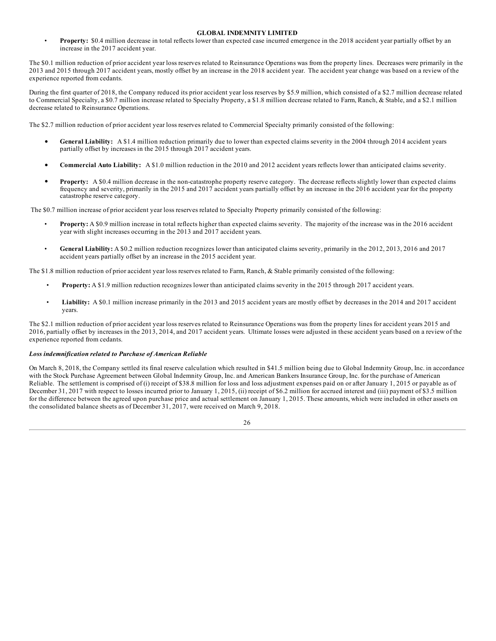• **Property:** \$0.4 million decrease in total reflects lower than expected case incurred emergence in the 2018 accident year partially offset by an increase in the 2017 accident year.

The \$0.1 million reduction of prior accident year loss reserves related to Reinsurance Operations was from the property lines. Decreases were primarily in the 2013 and 2015 through 2017 accident years, mostly offset by an increase in the 2018 accident year. The accident year change was based on a review of the experience reported from cedants.

During the first quarter of 2018, the Company reduced its prior accident year loss reserves by \$5.9 million, which consisted of a \$2.7 million decrease related to Commercial Specialty, a \$0.7 million increase related to Specialty Property, a \$1.8 million decrease related to Farm, Ranch, & Stable, and a \$2.1 million decrease related to Reinsurance Operations.

The \$2.7 million reduction of prior accident year loss reserves related to Commercial Specialty primarily consisted of the following:

- **General Liability:** <sup>A</sup> \$1.4 million reduction primarily due to lower than expected claims severity in the <sup>2004</sup> through <sup>2014</sup> accident years partially offset by increases in the 2015 through 2017 accident years.
- **Commercial Auto Liability:** <sup>A</sup> \$1.0 million reduction in the <sup>2010</sup> and <sup>2012</sup> accident years reflects lower than anticipated claims severity.
- **Property:** <sup>A</sup> \$0.4 million decrease in the non-catastrophe property reserve category. The decrease reflects slightly lower than expected claims frequency and severity, primarily in the 2015 and 2017 accident years partially offset by an increase in the 2016 accident year for the property catastrophe reserve category.

The \$0.7 million increase of prior accident year loss reserves related to Specialty Property primarily consisted of the following:

- **Property:** A \$0.9 million increase in total reflects higher than expected claims severity. The majority of the increase was in the 2016 accident year with slight increases occurring in the 2013 and 2017 accident years.
- **General Liability:** A \$0.2 million reduction recognizes lower than anticipated claims severity, primarily in the 2012, 2013, 2016 and 2017 accident years partially offset by an increase in the 2015 accident year.

The \$1.8 million reduction of prior accident year loss reserves related to Farm, Ranch, & Stable primarily consisted of the following:

- **Property:** A \$1.9 million reduction recognizes lower than anticipated claims severity in the 2015 through 2017 accident years.
- **Liability:** A \$0.1 million increase primarily in the 2013 and 2015 accident years are mostly offset by decreases in the 2014 and 2017 accident years.

The \$2.1 million reduction of prior accident year loss reserves related to Reinsurance Operations was from the property lines for accident years 2015 and 2016, partially offset by increases in the 2013, 2014, and 2017 accident years. Ultimate losses were adjusted in these accident years based on a review of the experience reported from cedants.

# *Loss indemnification related to Purchase of American Reliable*

On March 8, 2018, the Company settled its final reserve calculation which resulted in \$41.5 million being due to Global Indemnity Group, Inc. in accordance with the Stock Purchase Agreement between Global Indemnity Group, Inc. and American Bankers Insurance Group, Inc. for the purchase of American Reliable. The settlement is comprised of (i) receipt of \$38.8 million for loss and loss adjustment expenses paid on or after January 1, 2015 or payable as of December 31, 2017 with respect to losses incurred prior to January 1, 2015, (ii) receipt of \$6.2 million for accrued interest and (iii) payment of \$3.5 million for the difference between the agreed upon purchase price and actual settlement on January 1, 2015. These amounts, which were included in other assets on the consolidated balance sheets as of December 31, 2017, were received on March 9, 2018.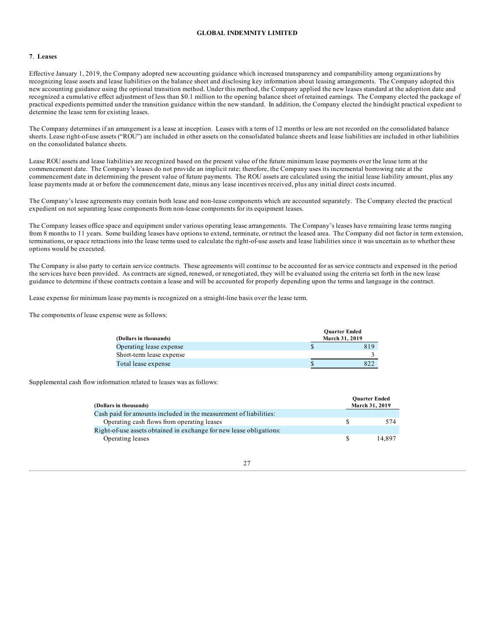### **7**. **Leases**

Effective January 1, 2019, the Company adopted new accounting guidance which increased transparency and comparability among organizations by recognizing lease assets and lease liabilities on the balance sheet and disclosing key information about leasing arrangements. The Company adopted this new accounting guidance using the optional transition method. Under this method, the Company applied the new leases standard at the adoption date and recognized a cumulative effect adjustment of less than \$0.1 million to the opening balance sheet of retained earnings. The Company elected the package of practical expedients permitted under the transition guidance within the new standard. In addition, the Company elected the hindsight practical expedient to determine the lease term for existing leases.

The Company determines if an arrangement is a lease at inception. Leases with a term of 12 months or less are not recorded on the consolidated balance sheets. Lease right-of-use assets ("ROU") are included in other assets on the consolidated balance sheets and lease liabilities are included in other liabilities on the consolidated balance sheets.

Lease ROU assets and lease liabilities are recognized based on the present value of the future minimum lease payments over the lease term at the commencement date. The Company's leases do not provide an implicit rate; therefore, the Company uses its incremental borrowing rate at the commencement date in determining the present value of future payments. The ROU assets are calculated using the initial lease liability amount, plus any lease payments made at or before the commencement date, minus any lease incentives received, plus any initial direct costs incurred.

The Company's lease agreements may contain both lease and non-lease components which are accounted separately. The Company elected the practical expedient on not separating lease components from non-lease components for its equipment leases.

The Company leases office space and equipment under various operating lease arrangements. The Company's leases have remaining lease terms ranging from 8 months to 11 years. Some building leases have options to extend, terminate, or retract the leased area. The Company did not factor in term extension, terminations, or space retractions into the lease terms used to calculate the right-of-use assets and lease liabilities since it was uncertain as to whether these options would be executed.

The Company is also party to certain service contracts. These agreements will continue to be accounted for as service contracts and expensed in the period the services have been provided. As contracts are signed, renewed, or renegotiated, they will be evaluated using the criteria set forth in the new lease guidance to determine if these contracts contain a lease and will be accounted for properly depending upon the terms and language in the contract.

Lease expense for minimum lease payments is recognized on a straight-line basis over the lease term.

The components of lease expense were as follows:

| (Dollars in thousands)   | <b>Ouarter Ended</b><br>March 31, 2019 |     |
|--------------------------|----------------------------------------|-----|
| Operating lease expense  |                                        | 819 |
| Short-term lease expense |                                        |     |
| Total lease expense      |                                        |     |

Supplemental cash flow information related to leases was as follows:

| (Dollars in thousands)                                              |               | <b>Ouarter Ended</b><br>March 31, 2019 |
|---------------------------------------------------------------------|---------------|----------------------------------------|
| Cash paid for amounts included in the measurement of liabilities:   |               |                                        |
| Operating cash flows from operating leases                          | \$.           | 574                                    |
| Right-of-use assets obtained in exchange for new lease obligations: |               |                                        |
| Operating leases                                                    | <sup>\$</sup> | 14.897                                 |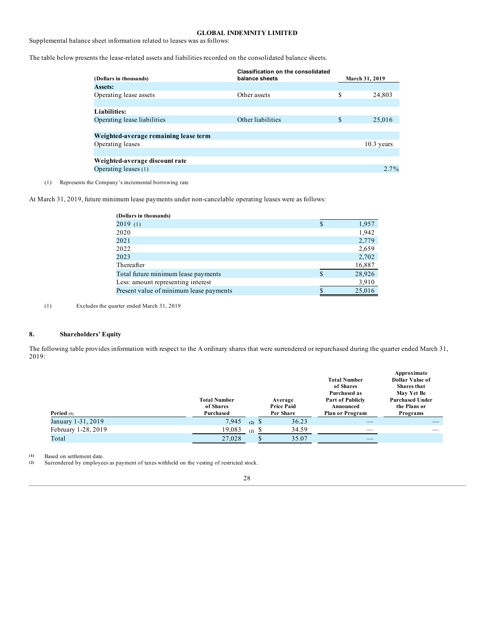Supplemental balance sheet information related to leases was as follows:

The table below presents the lease-related assets and liabilities recorded on the consolidated balance sheets.

| (Dollars in thousands)                | <b>Classification on the consolidated</b><br>balance sheets |               | March 31, 2019 |
|---------------------------------------|-------------------------------------------------------------|---------------|----------------|
| <b>Assets:</b>                        |                                                             |               |                |
| Operating lease assets                | Other assets                                                | \$            | 24,803         |
|                                       |                                                             |               |                |
| Liabilities:                          |                                                             |               |                |
| Operating lease liabilities           | Other liabilities                                           | <sup>\$</sup> | 25,016         |
|                                       |                                                             |               |                |
| Weighted-average remaining lease term |                                                             |               |                |
| Operating leases                      |                                                             |               | $10.3$ years   |
|                                       |                                                             |               |                |
| Weighted-average discount rate        |                                                             |               |                |
| Operating leases $(1)$                |                                                             |               | $2.7\%$        |

(1) Represents the Company's incremental borrowing rate

At March 31, 2019, future minimum lease payments under non-cancelable operating leases were as follows:

| (Dollars in thousands)                  |   |        |
|-----------------------------------------|---|--------|
| 2019(1)                                 | S | 1,957  |
| 2020                                    |   | 1,942  |
| 2021                                    |   | 2,779  |
| 2022                                    |   | 2,659  |
| 2023                                    |   | 2,702  |
| Thereafter                              |   | 16,887 |
| Total future minimum lease payments     |   | 28,926 |
| Less: amount representing interest      |   | 3,910  |
| Present value of minimum lease payments |   | 25,016 |

(1) Excludes the quarter ended March 31, 2019

# **8. Shareholders' Equity**

The following table provides information with respect to the A ordinary shares that were surrendered or repurchased during the quarter ended March 31, 2019:

| Period $(1)$        | <b>Total Number</b><br>of Shares<br>Purchased |           | Average<br><b>Price Paid</b><br>Per Share | <b>Total Number</b><br>of Shares<br>Purchased as<br><b>Part of Publicly</b><br>Announced<br>Plan or Program | Approximate<br>Dollar Value of<br><b>Shares</b> that<br>May Yet Be<br><b>Purchased Under</b><br>the Plans or<br>Programs |
|---------------------|-----------------------------------------------|-----------|-------------------------------------------|-------------------------------------------------------------------------------------------------------------|--------------------------------------------------------------------------------------------------------------------------|
| January 1-31, 2019  | 7,945                                         | \$<br>(2) | 36.23                                     |                                                                                                             |                                                                                                                          |
| February 1-28, 2019 | 19,083                                        | S<br>(2)  | 34.59                                     | $\overline{\phantom{a}}$                                                                                    |                                                                                                                          |
| Total               | 27,028                                        |           | 35.07                                     |                                                                                                             |                                                                                                                          |

**(1)** Based on settlement date.

**(2)** Surrendered by employees as payment of taxes withheld on the vesting of restricted stock.

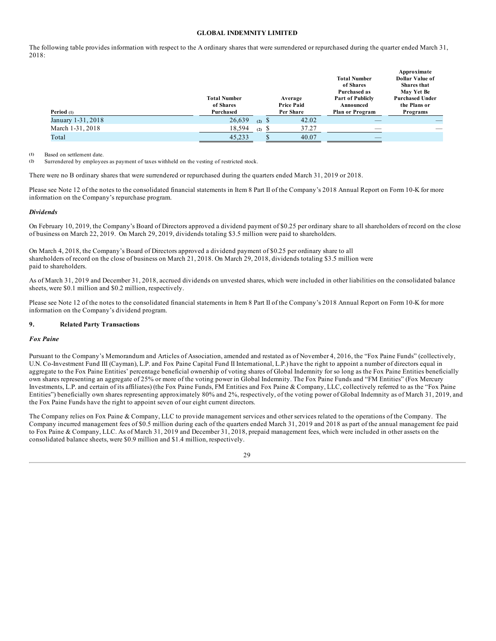The following table provides information with respect to the A ordinary shares that were surrendered or repurchased during the quarter ended March 31, 2018:

| Period (1)         | <b>Total Number</b><br>of Shares<br>Purchased |     |      | Average<br><b>Price Paid</b><br>Per Share | <b>Total Number</b><br>of Shares<br>Purchased as<br><b>Part of Publicly</b><br>Announced<br>Plan or Program | Approximate<br><b>Dollar Value of</b><br><b>Shares</b> that<br>May Yet Be<br><b>Purchased Under</b><br>the Plans or<br>Programs |
|--------------------|-----------------------------------------------|-----|------|-------------------------------------------|-------------------------------------------------------------------------------------------------------------|---------------------------------------------------------------------------------------------------------------------------------|
| January 1-31, 2018 | 26,639                                        | (2) | - \$ | 42.02                                     |                                                                                                             |                                                                                                                                 |
| March 1-31, 2018   | 18,594                                        | (2) |      | 37.27                                     |                                                                                                             |                                                                                                                                 |
| Total              | 45,233                                        |     |      | 40.07                                     |                                                                                                             |                                                                                                                                 |

#### **(1)** Based on settlement date.

**(2)** Surrendered by employees as payment of taxes withheld on the vesting of restricted stock.

There were no B ordinary shares that were surrendered or repurchased during the quarters ended March 31, 2019 or 2018.

Please see Note 12 of the notes to the consolidated financial statements in Item 8 Part II of the Company's 2018 Annual Report on Form 10-K for more information on the Company's repurchase program.

#### *Dividends*

On February 10, 2019, the Company's Board of Directors approved a dividend payment of \$0.25 per ordinary share to all shareholders of record on the close of business on March 22, 2019. On March 29, 2019, dividends totaling \$3.5 million were paid to shareholders.

On March 4, 2018, the Company's Board of Directors approved a dividend payment of \$0.25 per ordinary share to all shareholders of record on the close of business on March 21, 2018. On March 29, 2018, dividends totaling \$3.5 million were paid to shareholders.

As of March 31, 2019 and December 31, 2018, accrued dividends on unvested shares, which were included in other liabilities on the consolidated balance sheets, were \$0.1 million and \$0.2 million, respectively.

Please see Note 12 of the notes to the consolidated financial statements in Item 8 Part II of the Company's 2018 Annual Report on Form 10-K for more information on the Company's dividend program.

# **9. Related Party Transactions**

### *Fox Paine*

Pursuant to the Company's Memorandum and Articles of Association, amended and restated as of November 4, 2016, the "Fox Paine Funds" (collectively, U.N. Co-Investment Fund III (Cayman), L.P. and Fox Paine Capital Fund II International, L.P.) have the right to appoint a number of directors equal in aggregate to the Fox Paine Entities' percentage beneficial ownership of voting shares of Global Indemnity for so long as the Fox Paine Entities beneficially own shares representing an aggregate of 25% or more of the voting power in Global Indemnity. The Fox Paine Funds and "FM Entities" (Fox Mercury Investments, L.P. and certain of its affiliates) (the Fox Paine Funds, FM Entities and Fox Paine & Company, LLC, collectively referred to as the "Fox Paine Entities") beneficially own shares representing approximately 80% and 2%, respectively, of the voting power of Global Indemnity as of March 31, 2019, and the Fox Paine Funds have the right to appoint seven of our eight current directors.

The Company relies on Fox Paine & Company, LLC to provide management services and other services related to the operations of the Company. The Company incurred management fees of \$0.5 million during each of the quarters ended March 31, 2019 and 2018 as part of the annual management fee paid to Fox Paine & Company, LLC. As of March 31, 2019 and December 31, 2018, prepaid management fees, which were included in other assets on the consolidated balance sheets, were \$0.9 million and \$1.4 million, respectively.

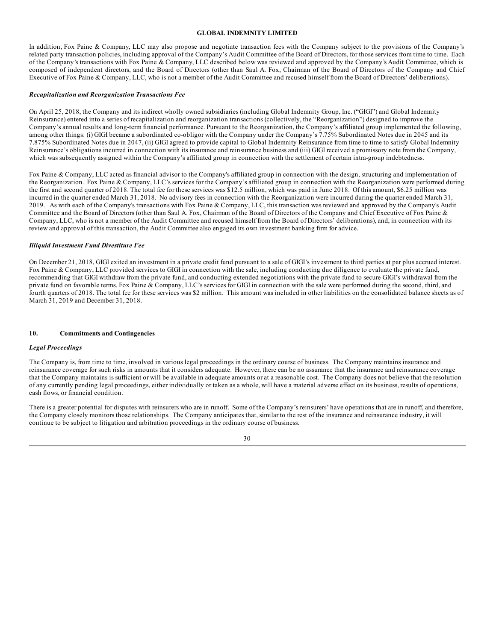In addition, Fox Paine & Company, LLC may also propose and negotiate transaction fees with the Company subject to the provisions of the Company's related party transaction policies, including approval of the Company's Audit Committee of the Board of Directors, for those services from time to time. Each of the Company's transactions with Fox Paine & Company, LLC described below was reviewed and approved by the Company's Audit Committee, which is composed of independent directors, and the Board of Directors (other than Saul A. Fox, Chairman of the Board of Directors of the Company and Chief Executive of Fox Paine & Company, LLC, who is not a member of the Audit Committee and recused himself from the Board of Directors' deliberations).

# *Recapitalization and Reorganization Transactions Fee*

On April 25, 2018, the Company and its indirect wholly owned subsidiaries (including Global Indemnity Group, Inc. ("GIGI") and Global Indemnity Reinsurance) entered into a series of recapitalization and reorganization transactions (collectively, the "Reorganization") designed to improve the Company's annual results and long-term financial performance. Pursuant to the Reorganization, the Company's affiliated group implemented the following, among other things: (i) GIGI became a subordinated co-obligor with the Company under the Company's 7.75% Subordinated Notes due in 2045 and its 7.875% Subordinated Notes due in 2047, (ii) GIGI agreed to provide capital to Global Indemnity Reinsurance from time to time to satisfy Global Indemnity Reinsurance's obligations incurred in connection with its insurance and reinsurance business and (iii) GIGI received a promissory note from the Company, which was subsequently assigned within the Company's affiliated group in connection with the settlement of certain intra-group indebtedness.

Fox Paine & Company, LLC acted as financial advisor to the Company's affiliated group in connection with the design, structuring and implementation of the Reorganization. Fox Paine & Company, LLC's services for the Company's affiliated group in connection with the Reorganization were performed during the first and second quarter of 2018. The total fee for these services was \$12.5 million, which was paid in June 2018. Of this amount, \$6.25 million was incurred in the quarter ended March 31, 2018. No advisory fees in connection with the Reorganization were incurred during the quarter ended March 31, 2019. As with each of the Company's transactions with Fox Paine & Company, LLC, this transaction was reviewed and approved by the Company's Audit Committee and the Board of Directors (other than Saul A. Fox, Chairman of the Board of Directors of the Company and Chief Executive of Fox Paine & Company, LLC, who is not a member of the Audit Committee and recused himself from the Board of Directors' deliberations), and, in connection with its review and approval of this transaction, the Audit Committee also engaged its own investment banking firm for advice.

### *Illiquid Investment Fund Divestiture Fee*

On December 21, 2018, GIGI exited an investment in a private credit fund pursuant to a sale of GIGI's investment to third parties at par plus accrued interest. Fox Paine & Company, LLC provided services to GIGI in connection with the sale, including conducting due diligence to evaluate the private fund, recommending that GIGI withdraw from the private fund, and conducting extended negotiations with the private fund to secure GIGI's withdrawal from the private fund on favorable terms. Fox Paine & Company, LLC's services for GIGI in connection with the sale were performed during the second, third, and fourth quarters of 2018. The total fee for these services was \$2 million. This amount was included in other liabilities on the consolidated balance sheets as of March 31, 2019 and December 31, 2018.

# **10. Commitments and Contingencies**

### *Legal Proceedings*

The Company is, from time to time, involved in various legal proceedings in the ordinary course of business. The Company maintains insurance and reinsurance coverage for such risks in amounts that it considers adequate. However, there can be no assurance that the insurance and reinsurance coverage that the Company maintains is sufficient or will be available in adequate amounts or at a reasonable cost. The Company does not believe that the resolution of any currently pending legal proceedings, either individually or taken as a whole, will have a material adverse effect on its business, results of operations, cash flows, or financial condition.

There is a greater potential for disputes with reinsurers who are in runoff. Some of the Company's reinsurers' have operations that are in runoff, and therefore, the Company closely monitors those relationships. The Company anticipates that, similar to the rest of the insurance and reinsurance industry, it will continue to be subject to litigation and arbitration proceedings in the ordinary course of business.

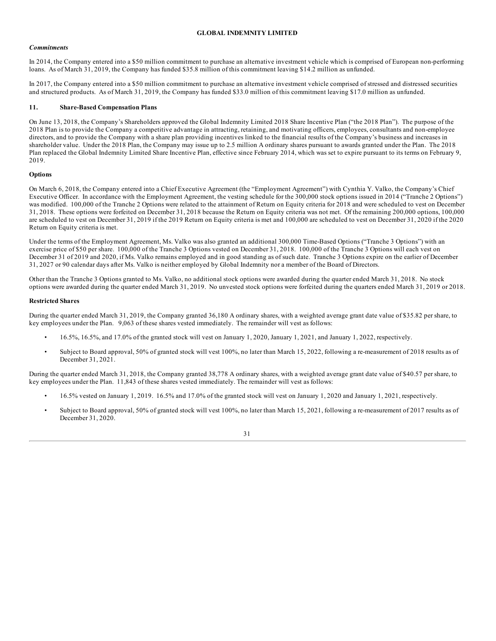#### *Commitments*

In 2014, the Company entered into a \$50 million commitment to purchase an alternative investment vehicle which is comprised of European non-performing loans. As of March 31, 2019, the Company has funded \$35.8 million of this commitment leaving \$14.2 million as unfunded.

In 2017, the Company entered into a \$50 million commitment to purchase an alternative investment vehicle comprised of stressed and distressed securities and structured products. As of March 31, 2019, the Company has funded \$33.0 million of this commitment leaving \$17.0 million as unfunded.

#### **11. Share-Based Compensation Plans**

On June 13, 2018, the Company's Shareholders approved the Global Indemnity Limited 2018 Share Incentive Plan ("the 2018 Plan"). The purpose of the 2018 Plan is to provide the Company a competitive advantage in attracting, retaining, and motivating officers, employees, consultants and non-employee directors, and to provide the Company with a share plan providing incentives linked to the financial results of the Company's business and increases in shareholder value. Under the 2018 Plan, the Company may issue up to 2.5 million A ordinary shares pursuant to awards granted under the Plan. The 2018 Plan replaced the Global Indemnity Limited Share Incentive Plan, effective since February 2014, which was set to expire pursuant to its terms on February 9, 2019.

### **Options**

On March 6, 2018, the Company entered into a Chief Executive Agreement (the "Employment Agreement") with Cynthia Y. Valko, the Company's Chief Executive Officer. In accordance with the Employment Agreement, the vesting schedule for the 300,000 stock options issued in 2014 ("Tranche 2 Options") was modified. 100,000 of the Tranche 2 Options were related to the attainment of Return on Equity criteria for 2018 and were scheduled to vest on December 31, 2018. These options were forfeited on December 31, 2018 because the Return on Equity criteria was not met. Of the remaining 200,000 options, 100,000 are scheduled to vest on December 31, 2019 if the 2019 Return on Equity criteria is met and 100,000 are scheduled to vest on December 31, 2020 if the 2020 Return on Equity criteria is met.

Under the terms of the Employment Agreement, Ms. Valko was also granted an additional 300,000 Time-Based Options ("Tranche 3 Options") with an exercise price of \$50 per share. 100,000 of the Tranche 3 Options vested on December 31, 2018. 100,000 of the Tranche 3 Options will each vest on December 31 of 2019 and 2020, if Ms. Valko remains employed and in good standing as of such date. Tranche 3 Options expire on the earlier of December 31, 2027 or 90 calendar days after Ms. Valko is neither employed by Global Indemnity nor a member of the Board of Directors.

Other than the Tranche 3 Options granted to Ms. Valko, no additional stock options were awarded during the quarter ended March 31, 2018. No stock options were awarded during the quarter ended March 31, 2019. No unvested stock options were forfeited during the quarters ended March 31, 2019 or 2018.

#### **Restricted Shares**

During the quarter ended March 31, 2019, the Company granted 36,180 A ordinary shares, with a weighted average grant date value of \$35.82 per share, to key employees under the Plan. 9,063 of these shares vested immediately. The remainder will vest as follows:

- 16.5%, 16.5%, and 17.0% of the granted stock will vest on January 1, 2020, January 1, 2021, and January 1, 2022, respectively.
- Subject to Board approval, 50% of granted stock will vest 100%, no later than March 15, 2022, following a re-measurement of 2018 results as of December 31, 2021.

During the quarter ended March 31, 2018, the Company granted 38,778 A ordinary shares, with a weighted average grant date value of \$40.57 per share, to key employees under the Plan. 11,843 of these shares vested immediately. The remainder will vest as follows:

- 16.5% vested on January 1, 2019. 16.5% and 17.0% of the granted stock will vest on January 1, 2020 and January 1, 2021, respectively.
- Subject to Board approval, 50% of granted stock will vest 100%, no later than March 15, 2021, following a re-measurement of 2017 results as of December 31, 2020.

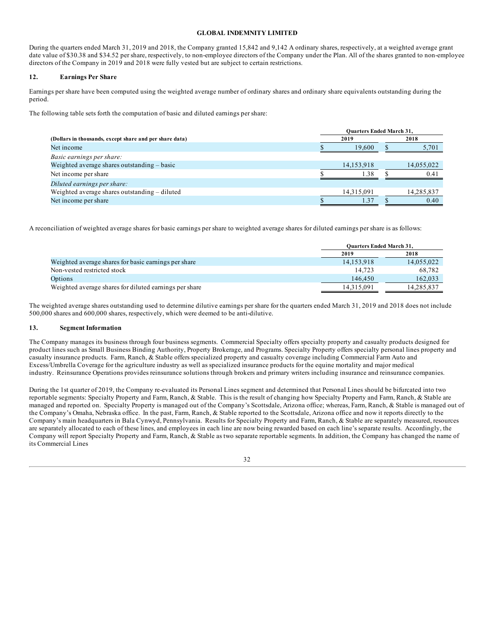During the quarters ended March 31, 2019 and 2018, the Company granted 15,842 and 9,142 A ordinary shares, respectively, at a weighted average grant date value of \$30.38 and \$34.52 per share, respectively, to non-employee directors of the Company under the Plan. All of the shares granted to non-employee directors of the Company in 2019 and 2018 were fully vested but are subject to certain restrictions.

# **12. Earnings Per Share**

Earnings per share have been computed using the weighted average number of ordinary shares and ordinary share equivalents outstanding during the period.

The following table sets forth the computation of basic and diluted earnings per share:

|                                                         | <b>Ouarters Ended March 31,</b> |            |      |            |  |  |  |  |  |
|---------------------------------------------------------|---------------------------------|------------|------|------------|--|--|--|--|--|
| (Dollars in thousands, except share and per share data) |                                 |            | 2018 |            |  |  |  |  |  |
| Net income                                              |                                 | 19.600     |      | 5.701      |  |  |  |  |  |
| Basic earnings per share:                               |                                 |            |      |            |  |  |  |  |  |
| Weighted average shares outstanding $-$ basic           |                                 | 14,153,918 |      | 14,055,022 |  |  |  |  |  |
| Net income per share                                    |                                 | 1.38       |      | 0.41       |  |  |  |  |  |
| Diluted earnings per share:                             |                                 |            |      |            |  |  |  |  |  |
| Weighted average shares outstanding – diluted           |                                 | 14,315,091 |      | 14,285,837 |  |  |  |  |  |
| Net income per share                                    |                                 | 1.37       |      | 0.40       |  |  |  |  |  |

A reconciliation of weighted average shares for basic earnings per share to weighted average shares for diluted earnings per share is as follows:

|                                                        | <b>Ouarters Ended March 31,</b> |            |
|--------------------------------------------------------|---------------------------------|------------|
|                                                        | 2019                            | 2018       |
| Weighted average shares for basic earnings per share   | 14,153,918                      | 14,055,022 |
| Non-vested restricted stock                            | 14.723                          | 68,782     |
| Options                                                | 146,450                         | 162,033    |
| Weighted average shares for diluted earnings per share | 14.315.091                      | 14,285,837 |

The weighted average shares outstanding used to determine dilutive earnings per share for the quarters ended March 31, 2019 and 2018 does not include 500,000 shares and 600,000 shares, respectively, which were deemed to be anti-dilutive.

### **13. Segment Information**

The Company manages its business through four business segments. Commercial Specialty offers specialty property and casualty products designed for product lines such as Small Business Binding Authority, Property Brokerage, and Programs. Specialty Property offers specialty personal lines property and casualty insurance products. Farm, Ranch, & Stable offers specialized property and casualty coverage including Commercial Farm Auto and Excess/Umbrella Coverage for the agriculture industry as well as specialized insurance products for the equine mortality and major medical industry. Reinsurance Operations provides reinsurance solutions through brokers and primary writers including insurance and reinsurance companies.

During the 1st quarter of 2019, the Company re-evaluated its Personal Lines segment and determined that Personal Lines should be bifurcated into two reportable segments: Specialty Property and Farm, Ranch, & Stable. This is the result of changing how Specialty Property and Farm, Ranch, & Stable are managed and reported on. Specialty Property is managed out of the Company's Scottsdale, Arizona office; whereas, Farm, Ranch, & Stable is managed out of the Company's Omaha, Nebraska office. In the past, Farm, Ranch, & Stable reported to the Scottsdale, Arizona office and now it reports directly to the Company's main headquarters in Bala Cynwyd, Pennsylvania. Results for Specialty Property and Farm, Ranch, & Stable are separately measured, resources are separately allocated to each of these lines, and employees in each line are now being rewarded based on each line's separate results. Accordingly, the Company will report Specialty Property and Farm, Ranch, & Stable as two separate reportable segments. In addition, the Company has changed the name of its Commercial Lines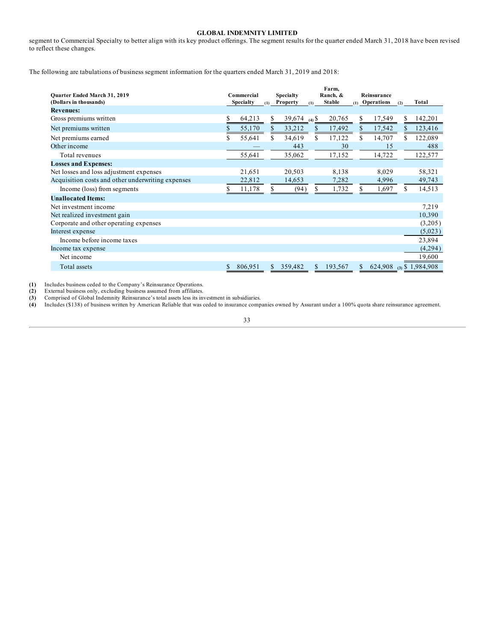segment to Commercial Specialty to better align with its key product offerings. The segment results for the quarter ended March 31, 2018 have been revised to reflect these changes.

The following are tabulations of business segment information for the quarters ended March 31, 2019 and 2018:

| <b>Ouarter Ended March 31, 2019</b><br>(Dollars in thousands) | Commercial<br><b>Specialty</b> | (1) | <b>Specialty</b><br>Property | (1) | Farm.<br>Ranch. &<br><b>Stable</b> | Reinsurance<br>(1) Operations   | (2) | <b>Total</b> |
|---------------------------------------------------------------|--------------------------------|-----|------------------------------|-----|------------------------------------|---------------------------------|-----|--------------|
| <b>Revenues:</b>                                              |                                |     |                              |     |                                    |                                 |     |              |
| Gross premiums written                                        | 64,213                         | \$  | 39,674 (4) \$                |     | 20,765                             | 17,549                          |     | 142,201      |
| Net premiums written                                          | 55,170                         |     | 33,212                       |     | 17,492                             | 17,542                          |     | 123,416      |
| Net premiums earned                                           | \$<br>55,641                   | \$  | 34,619                       |     | 17,122                             | S<br>14,707                     |     | 122,089      |
| Other income                                                  |                                |     | 443                          |     | 30                                 | 15                              |     | 488          |
| Total revenues                                                | 55,641                         |     | 35,062                       |     | 17,152                             | 14,722                          |     | 122,577      |
| <b>Losses and Expenses:</b>                                   |                                |     |                              |     |                                    |                                 |     |              |
| Net losses and loss adjustment expenses                       | 21,651                         |     | 20,503                       |     | 8,138                              | 8,029                           |     | 58,321       |
| Acquisition costs and other underwriting expenses             | 22,812                         |     | 14,653                       |     | 7,282                              | 4,996                           |     | 49,743       |
| Income (loss) from segments                                   | 11,178                         | \$  | (94)                         | \$  | 1,732                              | 1,697<br>S                      | \$  | 14,513       |
| <b>Unallocated Items:</b>                                     |                                |     |                              |     |                                    |                                 |     |              |
| Net investment income                                         |                                |     |                              |     |                                    |                                 |     | 7,219        |
| Net realized investment gain                                  |                                |     |                              |     |                                    |                                 |     | 10,390       |
| Corporate and other operating expenses                        |                                |     |                              |     |                                    |                                 |     | (3,205)      |
| Interest expense                                              |                                |     |                              |     |                                    |                                 |     | (5,023)      |
| Income before income taxes                                    |                                |     |                              |     |                                    |                                 |     | 23,894       |
| Income tax expense                                            |                                |     |                              |     |                                    |                                 |     | (4,294)      |
| Net income                                                    |                                |     |                              |     |                                    |                                 |     | 19,600       |
| Total assets                                                  | \$<br>806,951                  | S.  | 359,482                      |     | 193,567                            | 624,908 (3) \$ 1,984,908<br>\$. |     |              |

(1) Includes business ceded to the Company's Reinsurance Operations.<br>
(2) External business only, excluding business assumed from affiliates.<br> **(3)** Comprised of Global Indemnity Reinsurance's total assets less its in **(2)** External business only, excluding business assumed from affiliates.

**(3)** Comprised of Global Indemnity Reinsurance's total assets less its investment in subsidiaries.

**(4)** Includes (\$138) of business written by American Reliable that was ceded to insurance companies owned by Assurant under a 100% quota share reinsurance agreement.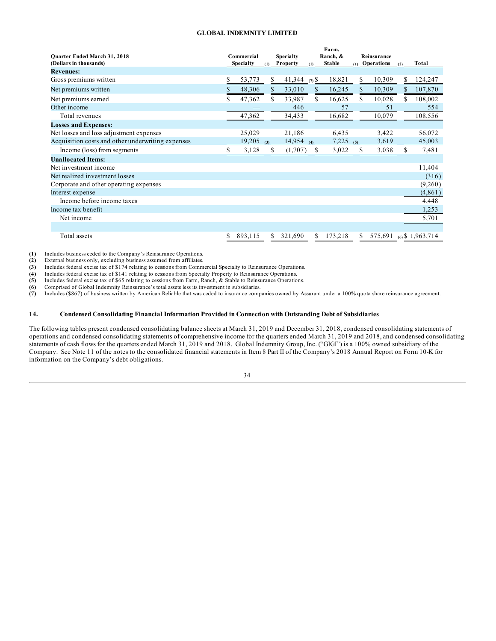|                                                   |    |            |     |                  |                     | Farm.         |     |                  |     |                    |
|---------------------------------------------------|----|------------|-----|------------------|---------------------|---------------|-----|------------------|-----|--------------------|
| <b>Ouarter Ended March 31, 2018</b>               |    | Commercial |     | <b>Specialty</b> |                     | Ranch, &      |     | Reinsurance      |     |                    |
| (Dollars in thousands)                            |    | Specialty  | (1) | Property         | (1)                 | <b>Stable</b> |     | $(n)$ Operations | (2) | Total              |
| <b>Revenues:</b>                                  |    |            |     |                  |                     |               |     |                  |     |                    |
| Gross premiums written                            | S  | 53,773     | \$  | 41,344           | $(7)$ $\frac{1}{2}$ | 18,821        |     | S<br>10,309      |     | 124,247            |
| Net premiums written                              |    | 48,306     | \$  | 33,010           | \$                  | 16,245        |     | 10,309           |     | 107,870            |
| Net premiums earned                               | \$ | 47,362     | \$  | 33,987           | \$                  | 16,625        |     | 10,028           |     | 108,002            |
| Other income                                      |    |            |     | 446              |                     | 57            |     | 51               |     | 554                |
| Total revenues                                    |    | 47,362     |     | 34,433           |                     | 16,682        |     | 10,079           |     | 108,556            |
| <b>Losses and Expenses:</b>                       |    |            |     |                  |                     |               |     |                  |     |                    |
| Net losses and loss adjustment expenses           |    | 25,029     |     | 21,186           |                     | 6,435         |     | 3,422            |     | 56,072             |
| Acquisition costs and other underwriting expenses |    | 19,205     | (3) | 14,954 (4)       |                     | 7,225         | (5) | 3,619            |     | 45,003             |
| Income (loss) from segments                       |    | 3,128      | S.  | (1,707)          |                     | 3,022         |     | 3,038            | \$  | 7,481              |
| <b>Unallocated Items:</b>                         |    |            |     |                  |                     |               |     |                  |     |                    |
| Net investment income                             |    |            |     |                  |                     |               |     |                  |     | 11,404             |
| Net realized investment losses                    |    |            |     |                  |                     |               |     |                  |     | (316)              |
| Corporate and other operating expenses            |    |            |     |                  |                     |               |     |                  |     | (9,260)            |
| Interest expense                                  |    |            |     |                  |                     |               |     |                  |     | (4, 861)           |
| Income before income taxes                        |    |            |     |                  |                     |               |     |                  |     | 4,448              |
| Income tax benefit                                |    |            |     |                  |                     |               |     |                  |     | 1,253              |
| Net income                                        |    |            |     |                  |                     |               |     |                  |     | 5,701              |
|                                                   |    |            |     |                  |                     |               |     |                  |     |                    |
| Total assets                                      |    | 893,115    | S   | 321,690          |                     | 173,218       |     | 575,691<br>S.    |     | $(6)$ \$ 1,963,714 |

**(1)** Includes business ceded to the Company's Reinsurance Operations.

**(2)** External business only, excluding business assumed from affiliates.

**(3)** Includes federal excise tax of \$174 relating to cessions from Commercial Specialty to Reinsurance Operations.

**(4)** Includes federal excise tax of \$141 relating to cessions from Specialty Property to Reinsurance Operations.

**(5)** Includes federal excise tax of \$65 relating to cessions from Farm, Ranch, & Stable to Reinsurance Operations.

**(6)** Comprised of Global Indemnity Reinsurance's total assets less its investment in subsidiaries.

**(7)** Includes (\$867) of business written by American Reliable that was ceded to insurance companies owned by Assurant under a 100% quota share reinsurance agreement.

# **14. Condensed Consolidating Financial Information Provided in Connection with Outstanding Debt of Subsidiaries**

The following tables present condensed consolidating balance sheets at March 31, 2019 and December 31, 2018, condensed consolidating statements of operations and condensed consolidating statements of comprehensive income for the quarters ended March 31, 2019 and 2018, and condensed consolidating statements of cash flows for the quarters ended March 31, 2019 and 2018. Global Indemnity Group, Inc. ("GIGI") is a 100% owned subsidiary of the Company. See Note 11 of the notes to the consolidated financial statements in Item 8 Part II of the Company's 2018 Annual Report on Form 10-K for information on the Company's debt obligations.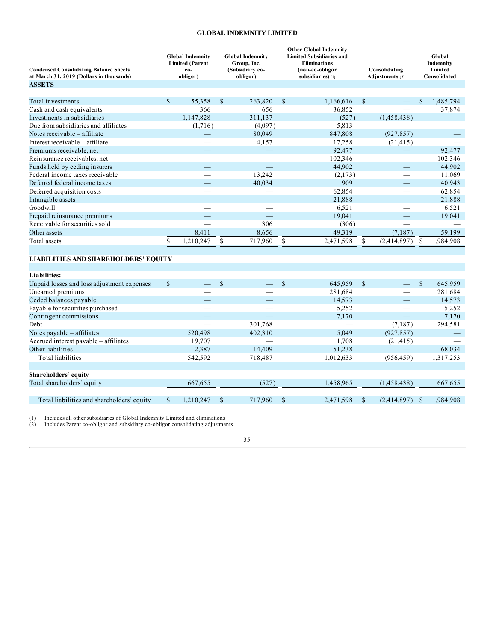| <b>Condensed Consolidating Balance Sheets</b><br>at March 31, 2019 (Dollars in thousands) |              | <b>Global Indemnity</b><br><b>Limited</b> (Parent<br>co-<br>obligor) |               |                          |               | <b>Global Indemnity</b><br>Group, Inc.<br>(Subsidiary co-<br>obligor) |              |                          |               | <b>Other Global Indemnity</b><br><b>Limited Subsidiaries and</b><br><b>Eliminations</b><br>(non-co-obligor<br>subsidiaries) (1) |  | Consolidating<br>Adjustments (2) |  | Global<br>Indemnity<br>Limited<br>Consolidated |  |
|-------------------------------------------------------------------------------------------|--------------|----------------------------------------------------------------------|---------------|--------------------------|---------------|-----------------------------------------------------------------------|--------------|--------------------------|---------------|---------------------------------------------------------------------------------------------------------------------------------|--|----------------------------------|--|------------------------------------------------|--|
| <b>ASSETS</b>                                                                             |              |                                                                      |               |                          |               |                                                                       |              |                          |               |                                                                                                                                 |  |                                  |  |                                                |  |
|                                                                                           |              |                                                                      |               |                          |               |                                                                       |              |                          |               |                                                                                                                                 |  |                                  |  |                                                |  |
| Total investments                                                                         | $\mathbb{S}$ | 55,358                                                               | $\mathbb{S}$  | 263,820                  | $\mathbf S$   | 1,166,616                                                             | $\mathbb{S}$ |                          | \$            | 1,485,794                                                                                                                       |  |                                  |  |                                                |  |
| Cash and cash equivalents                                                                 |              | 366                                                                  |               | 656                      |               | 36,852                                                                |              |                          |               | 37,874                                                                                                                          |  |                                  |  |                                                |  |
| Investments in subsidiaries                                                               |              | 1,147,828                                                            |               | 311,137                  |               | (527)                                                                 |              | (1,458,438)              |               |                                                                                                                                 |  |                                  |  |                                                |  |
| Due from subsidiaries and affiliates                                                      |              | (1,716)                                                              |               | (4,097)                  |               | 5,813                                                                 |              |                          |               |                                                                                                                                 |  |                                  |  |                                                |  |
| Notes receivable – affiliate                                                              |              |                                                                      |               | 80,049                   |               | 847,808                                                               |              | (927, 857)               |               |                                                                                                                                 |  |                                  |  |                                                |  |
| Interest receivable – affiliate                                                           |              |                                                                      |               | 4,157                    |               | 17,258                                                                |              | (21, 415)                |               |                                                                                                                                 |  |                                  |  |                                                |  |
| Premiums receivable, net                                                                  |              |                                                                      |               | $\overline{\phantom{m}}$ |               | 92,477                                                                |              |                          |               | 92,477                                                                                                                          |  |                                  |  |                                                |  |
| Reinsurance receivables, net                                                              |              |                                                                      |               | $\overline{\phantom{0}}$ |               | 102,346                                                               |              | $\equiv$                 |               | 102,346                                                                                                                         |  |                                  |  |                                                |  |
| Funds held by ceding insurers                                                             |              |                                                                      |               | $\equiv$                 |               | 44,902                                                                |              |                          |               | 44,902                                                                                                                          |  |                                  |  |                                                |  |
| Federal income taxes receivable                                                           |              |                                                                      |               | 13,242                   |               | (2,173)                                                               |              |                          |               | 11,069                                                                                                                          |  |                                  |  |                                                |  |
| Deferred federal income taxes                                                             |              |                                                                      |               | 40,034                   |               | 909                                                                   |              | $\overline{\phantom{0}}$ |               | 40,943                                                                                                                          |  |                                  |  |                                                |  |
| Deferred acquisition costs                                                                |              |                                                                      |               |                          |               | 62,854                                                                |              |                          |               | 62,854                                                                                                                          |  |                                  |  |                                                |  |
| Intangible assets                                                                         |              |                                                                      |               |                          |               | 21,888                                                                |              |                          |               | 21,888                                                                                                                          |  |                                  |  |                                                |  |
| Goodwill                                                                                  |              |                                                                      |               |                          |               | 6,521                                                                 |              |                          |               | 6,521                                                                                                                           |  |                                  |  |                                                |  |
| Prepaid reinsurance premiums                                                              |              |                                                                      |               |                          |               | 19,041                                                                |              | $\overline{\phantom{0}}$ |               | 19,041                                                                                                                          |  |                                  |  |                                                |  |
| Receivable for securities sold                                                            |              |                                                                      |               | 306                      |               | (306)                                                                 |              |                          |               |                                                                                                                                 |  |                                  |  |                                                |  |
| Other assets                                                                              |              | 8,411                                                                |               | 8,656                    |               | 49,319                                                                |              | (7,187)                  |               | 59.199                                                                                                                          |  |                                  |  |                                                |  |
| Total assets                                                                              | \$           | 1,210,247                                                            | \$            | 717,960                  | \$            | 2,471,598                                                             | \$           | (2,414,897)              | \$            | 1,984,908                                                                                                                       |  |                                  |  |                                                |  |
|                                                                                           |              |                                                                      |               |                          |               |                                                                       |              |                          |               |                                                                                                                                 |  |                                  |  |                                                |  |
| <b>LIABILITIES AND SHAREHOLDERS' EQUITY</b>                                               |              |                                                                      |               |                          |               |                                                                       |              |                          |               |                                                                                                                                 |  |                                  |  |                                                |  |
|                                                                                           |              |                                                                      |               |                          |               |                                                                       |              |                          |               |                                                                                                                                 |  |                                  |  |                                                |  |
| Liabilities:                                                                              |              |                                                                      |               |                          |               |                                                                       |              |                          |               |                                                                                                                                 |  |                                  |  |                                                |  |
| Unpaid losses and loss adjustment expenses                                                | $\mathbb{S}$ | $\overline{\phantom{0}}$                                             | $\mathcal{S}$ | $\equiv$                 | $\mathcal{S}$ | 645,959                                                               | $\mathbb{S}$ |                          | $\mathbb{S}$  | 645,959                                                                                                                         |  |                                  |  |                                                |  |
| Unearned premiums                                                                         |              |                                                                      |               |                          |               | 281,684                                                               |              |                          |               | 281,684                                                                                                                         |  |                                  |  |                                                |  |
| Ceded balances payable                                                                    |              |                                                                      |               |                          |               | 14,573                                                                |              |                          |               | 14,573                                                                                                                          |  |                                  |  |                                                |  |
| Payable for securities purchased                                                          |              |                                                                      |               | $\overline{\phantom{a}}$ |               | 5,252                                                                 |              | $\overline{\phantom{0}}$ |               | 5,252                                                                                                                           |  |                                  |  |                                                |  |
| Contingent commissions                                                                    |              |                                                                      |               | $\equiv$                 |               | 7,170                                                                 |              |                          |               | 7,170                                                                                                                           |  |                                  |  |                                                |  |
| Debt                                                                                      |              | $\overline{\phantom{0}}$                                             |               | 301,768                  |               |                                                                       |              | (7, 187)                 |               | 294,581                                                                                                                         |  |                                  |  |                                                |  |
| Notes payable $-$ affiliates                                                              |              | 520,498                                                              |               | 402,310                  |               | 5,049                                                                 |              | (927, 857)               |               |                                                                                                                                 |  |                                  |  |                                                |  |
| Accrued interest payable - affiliates                                                     |              | 19,707                                                               |               |                          |               | 1,708                                                                 |              | (21, 415)                |               |                                                                                                                                 |  |                                  |  |                                                |  |
| Other liabilities                                                                         |              | 2,387                                                                |               | 14,409                   |               | 51,238                                                                |              |                          |               | 68,034                                                                                                                          |  |                                  |  |                                                |  |
| <b>Total liabilities</b>                                                                  |              | 542,592                                                              |               | 718,487                  |               | 1,012,633                                                             |              | (956, 459)               |               | 1,317,253                                                                                                                       |  |                                  |  |                                                |  |
|                                                                                           |              |                                                                      |               |                          |               |                                                                       |              |                          |               |                                                                                                                                 |  |                                  |  |                                                |  |
| Shareholders' equity                                                                      |              |                                                                      |               |                          |               |                                                                       |              |                          |               |                                                                                                                                 |  |                                  |  |                                                |  |
| Total shareholders' equity                                                                |              | 667,655                                                              |               | (527)                    |               | 1,458,965                                                             |              | (1,458,438)              |               | 667,655                                                                                                                         |  |                                  |  |                                                |  |
| Total liabilities and shareholders' equity                                                | \$           | 1,210,247                                                            | \$            | 717,960                  | \$            | 2,471,598                                                             | \$           | (2,414,897)              | $\mathcal{S}$ | 1,984,908                                                                                                                       |  |                                  |  |                                                |  |

(1) Includes all other subsidiaries of Global Indemnity Limited and eliminations

(2) Includes Parent co-obligor and subsidiary co-obligor consolidating adjustments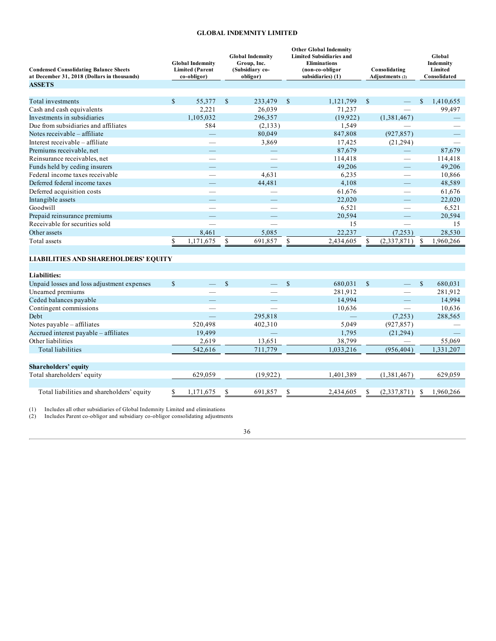| <b>Condensed Consolidating Balance Sheets</b><br>at December 31, 2018 (Dollars in thousands) |               | <b>Global Indemnity</b><br><b>Limited</b> (Parent<br>co-obligor) |              | <b>Global Indemnity</b><br>Group, Inc.<br>(Subsidiary co-<br>obligor) | <b>Other Global Indemnity</b><br><b>Limited Subsidiaries and</b><br><b>Eliminations</b><br>(non-co-obligor<br>subsidiaries) (1) |           | Consolidating<br>Adjustments (2) |                          |              | Global<br>Indemnity<br>Limited<br>Consolidated |
|----------------------------------------------------------------------------------------------|---------------|------------------------------------------------------------------|--------------|-----------------------------------------------------------------------|---------------------------------------------------------------------------------------------------------------------------------|-----------|----------------------------------|--------------------------|--------------|------------------------------------------------|
| <b>ASSETS</b>                                                                                |               |                                                                  |              |                                                                       |                                                                                                                                 |           |                                  |                          |              |                                                |
|                                                                                              |               |                                                                  |              |                                                                       |                                                                                                                                 |           |                                  |                          |              |                                                |
| Total investments                                                                            | $\mathbb{S}$  | 55,377                                                           | $\mathbb{S}$ | 233,479                                                               | $\mathcal{S}$                                                                                                                   | 1,121,799 | $\$$                             |                          | $\mathbf S$  | 1,410,655                                      |
| Cash and cash equivalents                                                                    |               | 2,221                                                            |              | 26,039                                                                |                                                                                                                                 | 71,237    |                                  |                          |              | 99,497                                         |
| Investments in subsidiaries                                                                  |               | 1,105,032                                                        |              | 296,357                                                               |                                                                                                                                 | (19.922)  |                                  | (1,381,467)              |              |                                                |
| Due from subsidiaries and affiliates                                                         |               | 584                                                              |              | (2,133)                                                               |                                                                                                                                 | 1,549     |                                  |                          |              |                                                |
| Notes receivable – affiliate                                                                 |               |                                                                  |              | 80,049                                                                |                                                                                                                                 | 847,808   |                                  | (927, 857)               |              |                                                |
| Interest receivable – affiliate                                                              |               |                                                                  |              | 3,869                                                                 |                                                                                                                                 | 17,425    |                                  | (21, 294)                |              | $\qquad \qquad$                                |
| Premiums receivable, net                                                                     |               |                                                                  |              |                                                                       |                                                                                                                                 | 87,679    |                                  |                          |              | 87,679                                         |
| Reinsurance receivables, net                                                                 |               |                                                                  |              |                                                                       |                                                                                                                                 | 114,418   |                                  | $\overline{\phantom{0}}$ |              | 114,418                                        |
| Funds held by ceding insurers                                                                |               |                                                                  |              |                                                                       |                                                                                                                                 | 49,206    |                                  | $\overline{\phantom{0}}$ |              | 49,206                                         |
| Federal income taxes receivable                                                              |               |                                                                  |              | 4,631                                                                 |                                                                                                                                 | 6,235     |                                  | $\overline{\phantom{0}}$ |              | 10,866                                         |
| Deferred federal income taxes                                                                |               |                                                                  |              | 44,481                                                                |                                                                                                                                 | 4,108     |                                  |                          |              | 48,589                                         |
| Deferred acquisition costs                                                                   |               |                                                                  |              |                                                                       |                                                                                                                                 | 61,676    |                                  |                          |              | 61,676                                         |
| Intangible assets                                                                            |               |                                                                  |              |                                                                       |                                                                                                                                 | 22,020    |                                  |                          |              | 22,020                                         |
| Goodwill                                                                                     |               |                                                                  |              |                                                                       |                                                                                                                                 | 6,521     |                                  | $\overline{\phantom{0}}$ |              | 6,521                                          |
| Prepaid reinsurance premiums                                                                 |               |                                                                  |              |                                                                       |                                                                                                                                 | 20,594    |                                  |                          |              | 20,594                                         |
| Receivable for securities sold                                                               |               |                                                                  |              |                                                                       |                                                                                                                                 | 15        |                                  |                          |              | 15                                             |
| Other assets                                                                                 |               | 8,461                                                            |              | 5,085                                                                 |                                                                                                                                 | 22,237    |                                  | (7,253)                  |              | 28,530                                         |
| Total assets                                                                                 | \$            | 1,171,675                                                        | \$           | 691,857                                                               | \$                                                                                                                              | 2,434,605 | \$                               | (2,337,871)              | S            | 1,960,266                                      |
|                                                                                              |               |                                                                  |              |                                                                       |                                                                                                                                 |           |                                  |                          |              |                                                |
| <b>LIABILITIES AND SHAREHOLDERS' EQUITY</b>                                                  |               |                                                                  |              |                                                                       |                                                                                                                                 |           |                                  |                          |              |                                                |
|                                                                                              |               |                                                                  |              |                                                                       |                                                                                                                                 |           |                                  |                          |              |                                                |
| Liabilities:                                                                                 |               |                                                                  |              |                                                                       |                                                                                                                                 |           |                                  |                          |              |                                                |
| Unpaid losses and loss adjustment expenses                                                   | $\mathcal{S}$ |                                                                  | $\mathbb{S}$ |                                                                       | $\mathcal{S}$                                                                                                                   | 680,031   | $\mathcal{S}$                    |                          | $\mathbb{S}$ | 680,031                                        |
| Unearned premiums                                                                            |               |                                                                  |              |                                                                       |                                                                                                                                 | 281,912   |                                  | $\qquad \qquad$          |              | 281,912                                        |
| Ceded balances payable                                                                       |               |                                                                  |              |                                                                       |                                                                                                                                 | 14,994    |                                  | $\qquad \qquad \qquad$   |              | 14,994                                         |
| Contingent commissions                                                                       |               |                                                                  |              |                                                                       |                                                                                                                                 | 10,636    |                                  | $\overline{\phantom{0}}$ |              | 10,636                                         |
| Debt                                                                                         |               |                                                                  |              | 295,818                                                               |                                                                                                                                 |           |                                  | (7,253)                  |              | 288,565                                        |
| Notes payable - affiliates                                                                   |               | 520,498                                                          |              | 402,310                                                               |                                                                                                                                 | 5,049     |                                  | (927, 857)               |              |                                                |
| Accrued interest payable – affiliates                                                        |               | 19,499                                                           |              |                                                                       |                                                                                                                                 | 1,795     |                                  | (21, 294)                |              |                                                |
| Other liabilities                                                                            |               | 2,619                                                            |              | 13,651                                                                |                                                                                                                                 | 38,799    |                                  |                          |              | 55,069                                         |
| <b>Total liabilities</b>                                                                     |               | 542,616                                                          |              | 711,779                                                               |                                                                                                                                 | 1,033,216 |                                  | (956, 404)               |              | 1,331,207                                      |
|                                                                                              |               |                                                                  |              |                                                                       |                                                                                                                                 |           |                                  |                          |              |                                                |
| Shareholders' equity                                                                         |               |                                                                  |              |                                                                       |                                                                                                                                 |           |                                  |                          |              |                                                |
| Total shareholders' equity                                                                   |               | 629,059                                                          |              | (19,922)                                                              |                                                                                                                                 | 1,401,389 |                                  | (1,381,467)              |              | 629.059                                        |
| Total liabilities and shareholders' equity                                                   | \$            | 1,171,675                                                        | \$           | 691,857                                                               | \$                                                                                                                              | 2,434,605 | \$                               | (2,337,871)              | \$           | 1,960,266                                      |

(1) Includes all other subsidiaries of Global Indemnity Limited and eliminations

(2) Includes Parent co-obligor and subsidiary co-obligor consolidating adjustments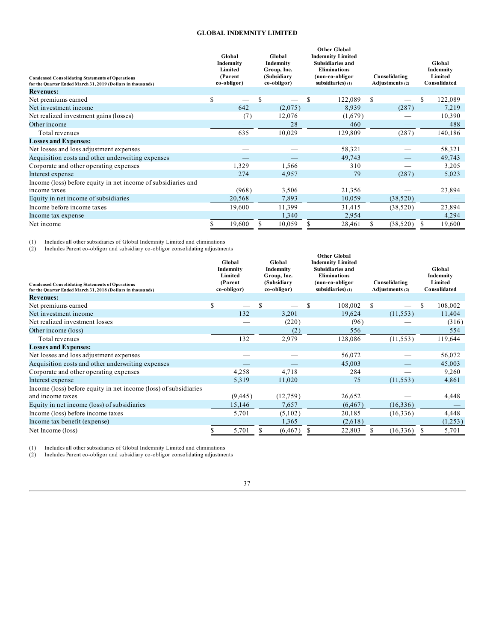| <b>Condensed Consolidating Statements of Operations</b><br>for the Quarter Ended March 31, 2019 (Dollars in thousands) | Global<br>Indemnity<br>Limited<br>(Parent<br>co-obligor) |   | Global<br>Indemnity<br>Group, Inc.<br>(Subsidiary<br>co-obligor) | <b>Other Global</b><br><b>Indemnity Limited</b><br>Subsidiaries and<br><b>Eliminations</b><br>(non-co-obligor<br>subsidiaries $(1)$ |   | Consolidating<br>Adjustments (2) |     | Global<br>Indemnity<br>Limited<br>Consolidated |
|------------------------------------------------------------------------------------------------------------------------|----------------------------------------------------------|---|------------------------------------------------------------------|-------------------------------------------------------------------------------------------------------------------------------------|---|----------------------------------|-----|------------------------------------------------|
| <b>Revenues:</b>                                                                                                       |                                                          |   |                                                                  |                                                                                                                                     |   |                                  |     |                                                |
| Net premiums earned                                                                                                    | \$                                                       | S |                                                                  | \$<br>122,089                                                                                                                       | S |                                  | \$  | 122,089                                        |
| Net investment income                                                                                                  | 642                                                      |   | (2,075)                                                          | 8,939                                                                                                                               |   | (287)                            |     | 7,219                                          |
| Net realized investment gains (losses)                                                                                 | (7)                                                      |   | 12,076                                                           | (1,679)                                                                                                                             |   |                                  |     | 10,390                                         |
| Other income                                                                                                           |                                                          |   | 28                                                               | 460                                                                                                                                 |   |                                  |     | 488                                            |
| Total revenues                                                                                                         | 635                                                      |   | 10,029                                                           | 129,809                                                                                                                             |   | (287)                            |     | 140,186                                        |
| <b>Losses and Expenses:</b>                                                                                            |                                                          |   |                                                                  |                                                                                                                                     |   |                                  |     |                                                |
| Net losses and loss adjustment expenses                                                                                |                                                          |   |                                                                  | 58,321                                                                                                                              |   |                                  |     | 58,321                                         |
| Acquisition costs and other underwriting expenses                                                                      |                                                          |   |                                                                  | 49,743                                                                                                                              |   |                                  |     | 49,743                                         |
| Corporate and other operating expenses                                                                                 | 1,329                                                    |   | 1,566                                                            | 310                                                                                                                                 |   |                                  |     | 3,205                                          |
| Interest expense                                                                                                       | 274                                                      |   | 4,957                                                            | 79                                                                                                                                  |   | (287)                            |     | 5,023                                          |
| Income (loss) before equity in net income of subsidiaries and                                                          |                                                          |   |                                                                  |                                                                                                                                     |   |                                  |     |                                                |
| income taxes                                                                                                           | (968)                                                    |   | 3,506                                                            | 21,356                                                                                                                              |   |                                  |     | 23,894                                         |
| Equity in net income of subsidiaries                                                                                   | 20,568                                                   |   | 7,893                                                            | 10,059                                                                                                                              |   | (38,520)                         |     |                                                |
| Income before income taxes                                                                                             | 19,600                                                   |   | 11,399                                                           | 31,415                                                                                                                              |   | (38,520)                         |     | 23,894                                         |
| Income tax expense                                                                                                     |                                                          |   | 1,340                                                            | 2,954                                                                                                                               |   |                                  |     | 4,294                                          |
| Net income                                                                                                             | \$<br>19,600                                             | S | 10,059                                                           | \$<br>28,461                                                                                                                        | S | (38,520)                         | \$. | 19,600                                         |

(1) Includes all other subsidiaries of Global Indemnity Limited and eliminations

(2) Includes Parent co-obligor and subsidiary co-obligor consolidating adjustments

| <b>Condensed Consolidating Statements of Operations</b><br>for the Quarter Ended March 31, 2018 (Dollars in thousands) | Global<br>Indemnity<br>Limited<br>(Parent<br>co-obligor) | Global<br>Indemnity<br>Group, Inc.<br>(Subsidiary<br>co-obligor) | <b>Other Global</b><br><b>Indemnity Limited</b><br>Subsidiaries and<br><b>Eliminations</b><br>(non-co-obligor<br>subsidiaries) (1) | Consolidating<br>Adjustments (2) | Global<br>Indemnity<br>Limited<br>Consolidated |
|------------------------------------------------------------------------------------------------------------------------|----------------------------------------------------------|------------------------------------------------------------------|------------------------------------------------------------------------------------------------------------------------------------|----------------------------------|------------------------------------------------|
| <b>Revenues:</b>                                                                                                       |                                                          |                                                                  |                                                                                                                                    |                                  |                                                |
| Net premiums earned                                                                                                    | \$                                                       | \$                                                               | \$<br>108,002                                                                                                                      | S.                               | S<br>108,002                                   |
| Net investment income                                                                                                  | 132                                                      | 3,201                                                            | 19,624                                                                                                                             | (11, 553)                        | 11,404                                         |
| Net realized investment losses                                                                                         |                                                          | (220)                                                            | (96)                                                                                                                               |                                  | (316)                                          |
| Other income (loss)                                                                                                    |                                                          | (2)                                                              | 556                                                                                                                                |                                  | 554                                            |
| Total revenues                                                                                                         | 132                                                      | 2,979                                                            | 128,086                                                                                                                            | (11, 553)                        | 119,644                                        |
| <b>Losses and Expenses:</b>                                                                                            |                                                          |                                                                  |                                                                                                                                    |                                  |                                                |
| Net losses and loss adjustment expenses                                                                                |                                                          |                                                                  | 56,072                                                                                                                             |                                  | 56,072                                         |
| Acquisition costs and other underwriting expenses                                                                      |                                                          |                                                                  | 45,003                                                                                                                             |                                  | 45,003                                         |
| Corporate and other operating expenses                                                                                 | 4,258                                                    | 4,718                                                            | 284                                                                                                                                |                                  | 9,260                                          |
| Interest expense                                                                                                       | 5,319                                                    | 11,020                                                           | 75                                                                                                                                 | (11, 553)                        | 4,861                                          |
| Income (loss) before equity in net income (loss) of subsidiaries<br>and income taxes                                   | (9, 445)                                                 | (12,759)                                                         | 26,652                                                                                                                             |                                  | 4,448                                          |
| Equity in net income (loss) of subsidiaries                                                                            | 15,146                                                   | 7,657                                                            | (6, 467)                                                                                                                           | (16,336)                         |                                                |
| Income (loss) before income taxes                                                                                      | 5,701                                                    | (5,102)                                                          | 20,185                                                                                                                             | (16,336)                         | 4,448                                          |
| Income tax benefit (expense)                                                                                           |                                                          | 1,365                                                            | (2,618)                                                                                                                            |                                  | (1,253)                                        |
| Net Income (loss)                                                                                                      | 5,701                                                    | (6, 467)                                                         | 22,803                                                                                                                             | (16,336)                         | 5,701<br>S                                     |

(1) Includes all other subsidiaries of Global Indemnity Limited and eliminations

(2) Includes Parent co-obligor and subsidiary co-obligor consolidating adjustments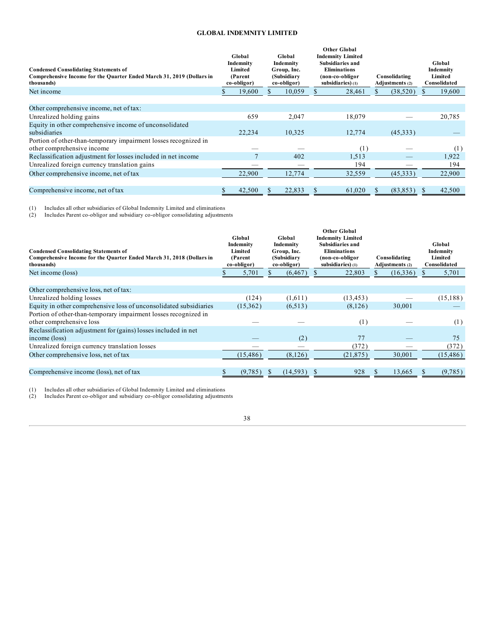| <b>Condensed Consolidating Statements of</b><br>Comprehensive Income for the Quarter Ended March 31, 2019 (Dollars in<br>thousands) | Global<br>Indemnity<br>Limited<br>(Parent<br>co-obligor) | Global<br>Indemnity<br>Group, Inc.<br>(Subsidiary<br>co-obligor) |   | <b>Other Global</b><br><b>Indemnity Limited</b><br>Subsidiaries and<br><b>Eliminations</b><br>(non-co-obligor<br>subsidiaries) (1) |   | Consolidating<br>Adjustments (2) | Global<br>Indemnity<br>Limited<br>Consolidated |
|-------------------------------------------------------------------------------------------------------------------------------------|----------------------------------------------------------|------------------------------------------------------------------|---|------------------------------------------------------------------------------------------------------------------------------------|---|----------------------------------|------------------------------------------------|
| Net income                                                                                                                          | 19,600                                                   | 10,059                                                           |   | 28,461                                                                                                                             | S | (38,520)                         | 19,600                                         |
|                                                                                                                                     |                                                          |                                                                  |   |                                                                                                                                    |   |                                  |                                                |
| Other comprehensive income, net of tax:                                                                                             |                                                          |                                                                  |   |                                                                                                                                    |   |                                  |                                                |
| Unrealized holding gains                                                                                                            | 659                                                      | 2,047                                                            |   | 18,079                                                                                                                             |   |                                  | 20,785                                         |
| Equity in other comprehensive income of unconsolidated<br>subsidiaries                                                              | 22,234                                                   | 10,325                                                           |   | 12,774                                                                                                                             |   | (45,333)                         |                                                |
| Portion of other-than-temporary impairment losses recognized in<br>other comprehensive income                                       |                                                          |                                                                  |   | (1)                                                                                                                                |   |                                  | (1)                                            |
| Reclassification adjustment for losses included in net income                                                                       |                                                          | 402                                                              |   | 1,513                                                                                                                              |   |                                  | 1,922                                          |
| Unrealized foreign currency translation gains                                                                                       |                                                          |                                                                  |   | 194                                                                                                                                |   |                                  | 194                                            |
| Other comprehensive income, net of tax                                                                                              | 22,900                                                   | 12,774                                                           |   | 32,559                                                                                                                             |   | (45,333)                         | 22,900                                         |
| Comprehensive income, net of tax                                                                                                    | \$<br>42,500                                             | 22,833                                                           | ъ | 61,020                                                                                                                             | S | (83, 853)                        | 42,500                                         |

(1) Includes all other subsidiaries of Global Indemnity Limited and eliminations

(2) Includes Parent co-obligor and subsidiary co-obligor consolidating adjustments

| <b>Condensed Consolidating Statements of</b><br>Comprehensive Income for the Quarter Ended March 31, 2018 (Dollars in<br>thousands) | Global<br>Indemnity<br>Limited<br>(Parent<br>co-obligor) | Global<br>Indemnity<br>Group, Inc.<br>(Subsidiary<br>co-obligor) | <b>Other Global</b><br><b>Indemnity Limited</b><br>Subsidiaries and<br><b>Eliminations</b><br>(non-co-obligor<br>subsidiaries $(1)$ | Consolidating<br>Adjustments (2) | Global<br>Indemnity<br>Limited<br>Consolidated |
|-------------------------------------------------------------------------------------------------------------------------------------|----------------------------------------------------------|------------------------------------------------------------------|-------------------------------------------------------------------------------------------------------------------------------------|----------------------------------|------------------------------------------------|
| Net income (loss)                                                                                                                   | 5,701                                                    | (6, 467)                                                         | 22,803                                                                                                                              | (16,336)                         | 5,701                                          |
| Other comprehensive loss, net of tax:                                                                                               |                                                          |                                                                  |                                                                                                                                     |                                  |                                                |
| Unrealized holding losses                                                                                                           | (124)                                                    | (1,611)                                                          | (13, 453)                                                                                                                           |                                  | (15, 188)                                      |
| Equity in other comprehensive loss of unconsolidated subsidiaries                                                                   | (15,362)                                                 | (6,513)                                                          | (8,126)                                                                                                                             | 30,001                           |                                                |
| Portion of other-than-temporary impairment losses recognized in<br>other comprehensive loss                                         |                                                          |                                                                  | (1)                                                                                                                                 |                                  | (1)                                            |
| Reclassification adjustment for (gains) losses included in net<br>income (loss)                                                     |                                                          | (2)                                                              | 77                                                                                                                                  |                                  | 75                                             |
| Unrealized foreign currency translation losses                                                                                      |                                                          |                                                                  | (372)                                                                                                                               |                                  | (372)                                          |
| Other comprehensive loss, net of tax                                                                                                | (15, 486)                                                | (8,126)                                                          | (21, 875)                                                                                                                           | 30,001                           | (15, 486)                                      |
| Comprehensive income (loss), net of tax                                                                                             | (9, 785)                                                 | (14, 593)                                                        | 928                                                                                                                                 | 13,665                           | (9,785)                                        |

(1) Includes all other subsidiaries of Global Indemnity Limited and eliminations

(2) Includes Parent co-obligor and subsidiary co-obligor consolidating adjustments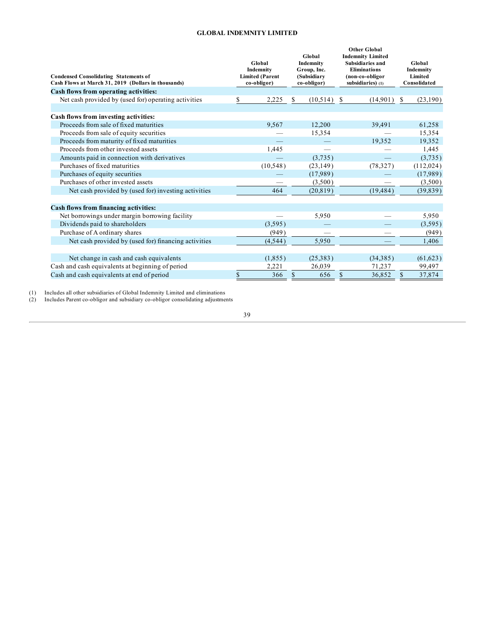| <b>Condensed Consolidating Statements of</b><br>Cash Flows at March 31, 2019 (Dollars in thousands) | Global<br>Indemnity<br><b>Limited</b> (Parent<br>co-obligor) | Global<br>Indemnity<br>Group, Inc.<br>(Subsidiary<br>co-obligor) | <b>Other Global</b><br><b>Indemnity Limited</b><br>Subsidiaries and<br><b>Eliminations</b><br>(non-co-obligor<br>subsidiaries) (1) | Global<br>Indemnity<br>Limited<br>Consolidated |
|-----------------------------------------------------------------------------------------------------|--------------------------------------------------------------|------------------------------------------------------------------|------------------------------------------------------------------------------------------------------------------------------------|------------------------------------------------|
| Cash flows from operating activities:                                                               |                                                              |                                                                  |                                                                                                                                    |                                                |
| Net cash provided by (used for) operating activities                                                | \$<br>2,225                                                  | (10,514)<br>\$                                                   | (14,901)<br>\$                                                                                                                     | (23,190)<br>S                                  |
|                                                                                                     |                                                              |                                                                  |                                                                                                                                    |                                                |
| Cash flows from investing activities:                                                               |                                                              |                                                                  |                                                                                                                                    |                                                |
| Proceeds from sale of fixed maturities                                                              | 9,567                                                        | 12,200                                                           | 39,491                                                                                                                             | 61,258                                         |
| Proceeds from sale of equity securities                                                             |                                                              | 15,354                                                           |                                                                                                                                    | 15,354                                         |
| Proceeds from maturity of fixed maturities                                                          |                                                              |                                                                  | 19.352                                                                                                                             | 19.352                                         |
| Proceeds from other invested assets                                                                 | 1,445                                                        |                                                                  |                                                                                                                                    | 1,445                                          |
| Amounts paid in connection with derivatives                                                         |                                                              | (3,735)                                                          |                                                                                                                                    | (3,735)                                        |
| Purchases of fixed maturities                                                                       | (10, 548)                                                    | (23, 149)                                                        | (78, 327)                                                                                                                          | (112, 024)                                     |
| Purchases of equity securities                                                                      |                                                              | (17,989)                                                         |                                                                                                                                    | (17,989)                                       |
| Purchases of other invested assets                                                                  |                                                              | (3,500)                                                          |                                                                                                                                    | (3,500)                                        |
| Net cash provided by (used for) investing activities                                                | 464                                                          | (20, 819)                                                        | (19, 484)                                                                                                                          | (39, 839)                                      |
|                                                                                                     |                                                              |                                                                  |                                                                                                                                    |                                                |
| Cash flows from financing activities:                                                               |                                                              |                                                                  |                                                                                                                                    |                                                |
| Net borrowings under margin borrowing facility                                                      |                                                              | 5,950                                                            |                                                                                                                                    | 5,950                                          |
| Dividends paid to shareholders                                                                      | (3,595)                                                      |                                                                  |                                                                                                                                    | (3,595)                                        |
| Purchase of A ordinary shares                                                                       | (949)                                                        |                                                                  |                                                                                                                                    | (949)                                          |
| Net cash provided by (used for) financing activities                                                | (4,544)                                                      | 5,950                                                            |                                                                                                                                    | 1,406                                          |
|                                                                                                     |                                                              |                                                                  |                                                                                                                                    |                                                |
| Net change in cash and cash equivalents                                                             | (1, 855)                                                     | (25, 383)                                                        | (34, 385)                                                                                                                          | (61, 623)                                      |
| Cash and cash equivalents at beginning of period                                                    | 2,221                                                        | 26,039                                                           | 71,237                                                                                                                             | 99,497                                         |
| Cash and cash equivalents at end of period                                                          | \$<br>366                                                    | $\mathbb{S}$<br>656                                              | \$<br>36,852                                                                                                                       | 37,874<br>\$                                   |

(1) Includes all other subsidiaries of Global Indemnity Limited and eliminations

(2) Includes Parent co-obligor and subsidiary co-obligor consolidating adjustments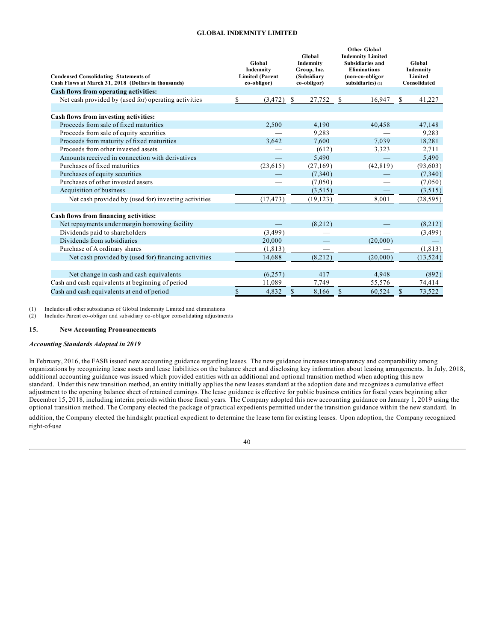| <b>Condensed Consolidating Statements of</b><br>Cash Flows at March 31, 2018 (Dollars in thousands) |    | Global<br>Indemnity<br><b>Limited (Parent</b><br>co-obligor) |               | Global<br>Indemnity<br>Group, Inc.<br>(Subsidiary<br>co-obligor) | <b>Other Global</b><br><b>Indemnity Limited</b><br>Subsidiaries and<br><b>Eliminations</b><br>(non-co-obligor<br>subsidiaries $(1)$ |           | Global<br>Indemnity<br>Limited<br>Consolidated |           |
|-----------------------------------------------------------------------------------------------------|----|--------------------------------------------------------------|---------------|------------------------------------------------------------------|-------------------------------------------------------------------------------------------------------------------------------------|-----------|------------------------------------------------|-----------|
| Cash flows from operating activities:                                                               |    |                                                              |               |                                                                  |                                                                                                                                     |           |                                                |           |
| Net cash provided by (used for) operating activities                                                | S  | (3, 472)                                                     | <sup>\$</sup> | 27,752                                                           | \$                                                                                                                                  | 16,947    | S                                              | 41,227    |
| Cash flows from investing activities:                                                               |    |                                                              |               |                                                                  |                                                                                                                                     |           |                                                |           |
| Proceeds from sale of fixed maturities                                                              |    | 2,500                                                        |               | 4,190                                                            |                                                                                                                                     | 40,458    |                                                | 47,148    |
| Proceeds from sale of equity securities                                                             |    |                                                              |               | 9.283                                                            |                                                                                                                                     |           |                                                | 9,283     |
| Proceeds from maturity of fixed maturities                                                          |    | 3,642                                                        |               | 7,600                                                            |                                                                                                                                     | 7,039     |                                                | 18,281    |
| Proceeds from other invested assets                                                                 |    |                                                              |               | (612)                                                            |                                                                                                                                     | 3,323     |                                                | 2,711     |
| Amounts received in connection with derivatives                                                     |    |                                                              |               | 5,490                                                            |                                                                                                                                     |           |                                                | 5,490     |
| Purchases of fixed maturities                                                                       |    | (23, 615)                                                    |               | (27,169)                                                         |                                                                                                                                     | (42, 819) |                                                | (93, 603) |
| Purchases of equity securities                                                                      |    |                                                              |               | (7,340)                                                          |                                                                                                                                     |           |                                                | (7,340)   |
| Purchases of other invested assets                                                                  |    |                                                              |               | (7,050)                                                          |                                                                                                                                     |           |                                                | (7,050)   |
| Acquisition of business                                                                             |    |                                                              |               | (3,515)                                                          |                                                                                                                                     |           |                                                | (3,515)   |
| Net cash provided by (used for) investing activities                                                |    | (17, 473)                                                    |               | (19, 123)                                                        |                                                                                                                                     | 8,001     |                                                | (28, 595) |
|                                                                                                     |    |                                                              |               |                                                                  |                                                                                                                                     |           |                                                |           |
| Cash flows from financing activities:                                                               |    |                                                              |               |                                                                  |                                                                                                                                     |           |                                                |           |
| Net repayments under margin borrowing facility                                                      |    |                                                              |               | (8,212)                                                          |                                                                                                                                     |           |                                                | (8,212)   |
| Dividends paid to shareholders                                                                      |    | (3, 499)                                                     |               |                                                                  |                                                                                                                                     |           |                                                | (3, 499)  |
| Dividends from subsidiaries                                                                         |    | 20,000                                                       |               |                                                                  |                                                                                                                                     | (20,000)  |                                                |           |
| Purchase of A ordinary shares                                                                       |    | (1, 813)                                                     |               |                                                                  |                                                                                                                                     |           |                                                | (1, 813)  |
| Net cash provided by (used for) financing activities                                                |    | 14,688                                                       |               | (8,212)                                                          |                                                                                                                                     | (20,000)  |                                                | (13, 524) |
| Net change in cash and cash equivalents                                                             |    | (6,257)                                                      |               | 417                                                              |                                                                                                                                     | 4,948     |                                                | (892)     |
| Cash and cash equivalents at beginning of period                                                    |    | 11,089                                                       |               | 7,749                                                            |                                                                                                                                     | 55,576    |                                                | 74,414    |
| Cash and cash equivalents at end of period                                                          | \$ | 4,832                                                        | \$            | 8,166                                                            | \$                                                                                                                                  | 60,524    | $\mathbb{S}$                                   | 73,522    |

(1) Includes all other subsidiaries of Global Indemnity Limited and eliminations (2) Includes Parent co-obligor and subsidiary co-obligor consolidating adjustment

Includes Parent co-obligor and subsidiary co-obligor consolidating adjustments

#### **15. New Accounting Pronouncements**

#### *Accounting Standards Adopted in 2019*

In February, 2016, the FASB issued new accounting guidance regarding leases. The new guidance increases transparency and comparability among organizations by recognizing lease assets and lease liabilities on the balance sheet and disclosing key information about leasing arrangements. In July, 2018, additional accounting guidance was issued which provided entities with an additional and optional transition method when adopting this new standard. Under this new transition method, an entity initially applies the new leases standard at the adoption date and recognizes a cumulative effect adjustment to the opening balance sheet of retained earnings. The lease guidance is effective for public business entities for fiscal years beginning after December 15, 2018, including interim periods within those fiscal years. The Company adopted this new accounting guidance on January 1, 2019 using the optional transition method. The Company elected the package of practical expedients permitted under the transition guidance within the new standard. In

addition, the Company elected the hindsight practical expedient to determine the lease term for existing leases. Upon adoption, the Company recognized right-of-use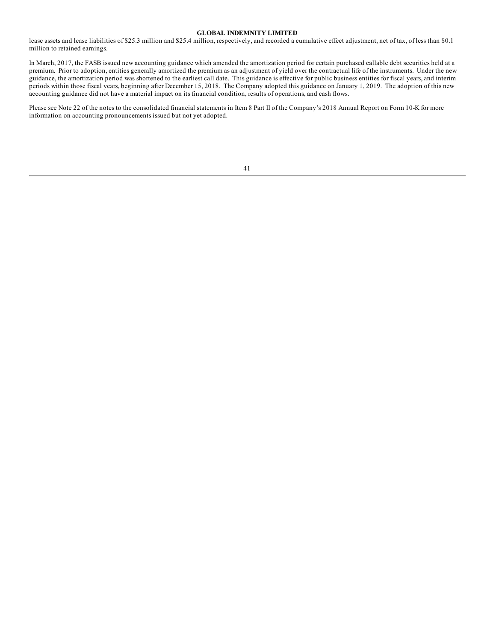lease assets and lease liabilities of \$25.3 million and \$25.4 million, respectively, and recorded a cumulative effect adjustment, net of tax, of less than \$0.1 million to retained earnings.

In March, 2017, the FASB issued new accounting guidance which amended the amortization period for certain purchased callable debt securities held at a premium. Prior to adoption, entities generally amortized the premium as an adjustment of yield over the contractual life of the instruments. Under the new guidance, the amortization period was shortened to the earliest call date. This guidance is effective for public business entities for fiscal years, and interim guidance, the amortization period was shortened to the earlie periods within those fiscal years, beginning after December 15, 2018. The Company adopted this guidance on January 1, 2019. The adoption of this new accounting guidance did not have a material impact on its financial condition, results of operations, and cash flows.

Please see Note 22 of the notes to the consolidated financial statements in Item 8 Part II of the Company's 2018 Annual Report on Form 10-K for more information on accounting pronouncements issued but not yet adopted.

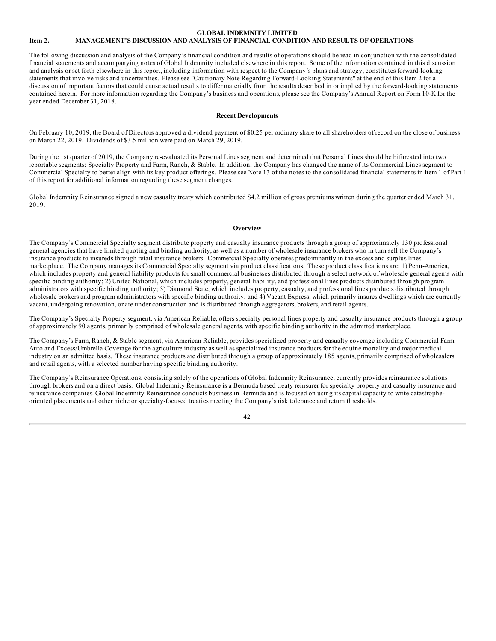# <span id="page-41-0"></span>**Item 2. MANAGEMENT'S DISCUSSION AND ANALYSIS OF FINANCIAL CONDITION AND RESULTS OF OPERATIONS**

The following discussion and analysis of the Company's financial condition and results of operations should be read in conjunction with the consolidated financial statements and accompanying notes of Global Indemnity included elsewhere in this report. Some of the information contained in this discussion and analysis or set forth elsewhere in this report, including information with respect to the Company's plans and strategy, constitutes forward-looking statements that involve risks and uncertainties. Please see "Cautionary Note Regarding Forward-Looking Statements" at the end of this Item 2 for a discussion of important factors that could cause actual results to differ materially from the results described in or implied by the forward-looking statements contained herein. For more information regarding the Company's business and operations, please see the Company's Annual Report on Form 10-K for the year ended December 31, 2018.

#### **Recent Developments**

On February 10, 2019, the Board of Directors approved a dividend payment of \$0.25 per ordinary share to all shareholders of record on the close of business on March 22, 2019. Dividends of \$3.5 million were paid on March 29, 2019.

During the 1st quarter of 2019, the Company re-evaluated its Personal Lines segment and determined that Personal Lines should be bifurcated into two reportable segments: Specialty Property and Farm, Ranch, & Stable. In addition, the Company has changed the name of its Commercial Lines segment to Commercial Specialty to better align with its key product offerings. Please see Note 13 of the notes to the consolidated financial statements in Item 1 of Part I of this report for additional information regarding these segment changes.

Global Indemnity Reinsurance signed a new casualty treaty which contributed \$4.2 million of gross premiums written during the quarter ended March 31, 2019.

#### **Overview**

The Company's Commercial Specialty segment distribute property and casualty insurance products through a group of approximately 130 professional general agencies that have limited quoting and binding authority, as well as a number of wholesale insurance brokers who in turn sell the Company's insurance products to insureds through retail insurance brokers. Commercial Specialty operates predominantly in the excess and surplus lines marketplace. The Company manages its Commercial Specialty segment via product classifications. These product classifications are: 1) Penn-America, which includes property and general liability products for small commercial businesses distributed through a select network of wholesale general agents with specific binding authority; 2) United National, which includes property, general liability, and professional lines products distributed through program administrators with specific binding authority; 3) Diamond State, which includes property, casualty, and professional lines products distributed through wholesale brokers and program administrators with specific binding authority; and 4) Vacant Express, which primarily insures dwellings which are currently vacant, undergoing renovation, or are under construction and is distributed through aggregators, brokers, and retail agents.

The Company's Specialty Property segment, via American Reliable, offers specialty personal lines property and casualty insurance products through a group of approximately 90 agents, primarily comprised of wholesale general agents, with specific binding authority in the admitted marketplace.

The Company's Farm, Ranch, & Stable segment, via American Reliable, provides specialized property and casualty coverage including Commercial Farm Auto and Excess/Umbrella Coverage for the agriculture industry as well as specialized insurance products for the equine mortality and major medical industry on an admitted basis. These insurance products are distributed through a group of approximately 185 agents, primarily comprised of wholesalers and retail agents, with a selected number having specific binding authority.

The Company's Reinsurance Operations, consisting solely of the operations of Global Indemnity Reinsurance, currently provides reinsurance solutions through brokers and on a direct basis. Global Indemnity Reinsurance is a Bermuda based treaty reinsurer for specialty property and casualty insurance and reinsurance companies. Global Indemnity Reinsurance conducts business in Bermuda and is focused on using its capital capacity to write catastropheoriented placements and other niche or specialty-focused treaties meeting the Company's risk tolerance and return thresholds.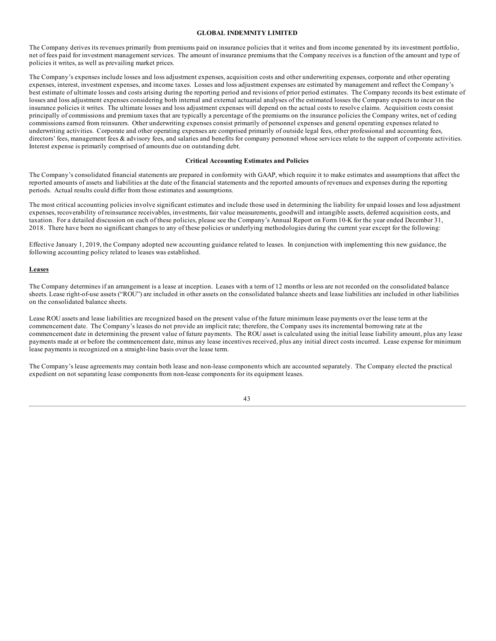The Company derives its revenues primarily from premiums paid on insurance policies that it writes and from income generated by its investment portfolio, net of fees paid for investment management services. The amount of insurance premiums that the Company receives is a function of the amount and type of policies it writes, as well as prevailing market prices.

The Company's expenses include losses and loss adjustment expenses, acquisition costs and other underwriting expenses, corporate and other operating expenses, interest, investment expenses, and income taxes. Losses and loss adjustment expenses are estimated by management and reflect the Company's best estimate of ultimate losses and costs arising during the reporting period and revisions of prior period estimates. The Company records its best estimate of losses and loss adjustment expenses considering both internal and external actuarial analyses of the estimated losses the Company expects to incur on the insurance policies it writes. The ultimate losses and loss adjustment expenses will depend on the actual costs to resolve claims. Acquisition costs consist principally of commissions and premium taxes that are typically a percentage of the premiums on the insurance policies the Company writes, net of ceding commissions earned from reinsurers. Other underwriting expenses consist primarily of personnel expenses and general operating expenses related to underwriting activities. Corporate and other operating expenses are comprised primarily of outside legal fees, other professional and accounting fees, directors' fees, management fees & advisory fees, and salaries and benefits for company personnel whose services relate to the support of corporate activities. Interest expense is primarily comprised of amounts due on outstanding debt.

# **Critical Accounting Estimates and Policies**

The Company's consolidated financial statements are prepared in conformity with GAAP, which require it to make estimates and assumptions that affect the reported amounts of assets and liabilities at the date of the financial statements and the reported amounts of revenues and expenses during the reporting periods. Actual results could differ from those estimates and assumptions.

The most critical accounting policies involve significant estimates and include those used in determining the liability for unpaid losses and loss adjustment expenses, recoverability of reinsurance receivables, investments, fair value measurements, goodwill and intangible assets, deferred acquisition costs, and taxation. For a detailed discussion on each of these policies, please see the Company's Annual Report on Form 10-K for the year ended December 31, 2018. There have been no significant changes to any of these policies or underlying methodologies during the current year except for the following:

Effective January 1, 2019, the Company adopted new accounting guidance related to leases. In conjunction with implementing this new guidance, the following accounting policy related to leases was established.

#### **Leases**

The Company determines if an arrangement is a lease at inception. Leases with a term of 12 months or less are not recorded on the consolidated balance sheets. Lease right-of-use assets ("ROU") are included in other assets on the consolidated balance sheets and lease liabilities are included in other liabilities on the consolidated balance sheets.

Lease ROU assets and lease liabilities are recognized based on the present value of the future minimum lease payments over the lease term at the commencement date. The Company's leases do not provide an implicit rate; therefore, the Company uses its incremental borrowing rate at the commencement date in determining the present value of future payments. The ROU asset is calculated using the initial lease liability amount, plus any lease payments made at or before the commencement date, minus any lease incentives received, plus any initial direct costs incurred. Lease expense for minimum lease payments is recognized on a straight-line basis over the lease term.

The Company's lease agreements may contain both lease and non-lease components which are accounted separately. The Company elected the practical expedient on not separating lease components from non-lease components for its equipment leases.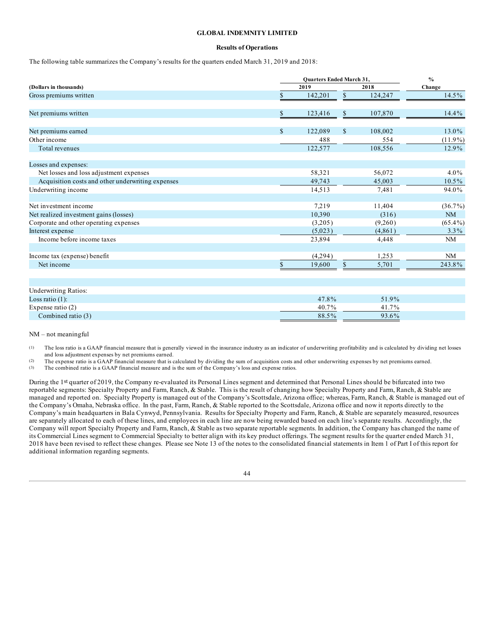#### **Results of Operations**

The following table summarizes the Company's results for the quarters ended March 31, 2019 and 2018:

|                                                   |              | Quarters Ended March 31, |              |         |            |  |  |  |
|---------------------------------------------------|--------------|--------------------------|--------------|---------|------------|--|--|--|
| (Dollars in thousands)                            |              | 2019                     |              | 2018    | Change     |  |  |  |
| Gross premiums written                            | \$           | 142,201                  | \$           | 124,247 | $14.5\%$   |  |  |  |
| Net premiums written                              | S            | 123,416                  | \$           | 107,870 | 14.4%      |  |  |  |
| Net premiums earned                               | $\mathbb{S}$ | 122,089                  | $\mathbb{S}$ | 108,002 | 13.0%      |  |  |  |
| Other income                                      |              | 488                      |              | 554     | $(11.9\%)$ |  |  |  |
| Total revenues                                    |              | 122,577                  |              | 108,556 | 12.9%      |  |  |  |
| Losses and expenses:                              |              |                          |              |         |            |  |  |  |
| Net losses and loss adjustment expenses           |              | 58,321                   |              | 56,072  | $4.0\%$    |  |  |  |
| Acquisition costs and other underwriting expenses |              | 49,743                   |              | 45,003  | $10.5\%$   |  |  |  |
| Underwriting income                               |              | 14,513                   |              | 7,481   | 94.0%      |  |  |  |
| Net investment income                             |              | 7,219                    |              | 11,404  | $(36.7\%)$ |  |  |  |
| Net realized investment gains (losses)            |              | 10,390                   |              | (316)   | NM         |  |  |  |
| Corporate and other operating expenses            |              | (3,205)                  |              | (9,260) | $(65.4\%)$ |  |  |  |
| Interest expense                                  |              | (5,023)                  |              | (4,861) | $3.3\%$    |  |  |  |
| Income before income taxes                        |              | 23,894                   |              | 4,448   | NM         |  |  |  |
| Income tax (expense) benefit                      |              | (4,294)                  |              | 1,253   | NM         |  |  |  |
| Net income                                        |              | 19,600                   | \$           | 5,701   | 243.8%     |  |  |  |
|                                                   |              |                          |              |         |            |  |  |  |
| <b>Underwriting Ratios:</b>                       |              |                          |              |         |            |  |  |  |
| Loss ratio $(1)$ :                                |              | 47.8%                    |              | 51.9%   |            |  |  |  |
| Expense ratio (2)                                 |              | 40.7%                    |              | 41.7%   |            |  |  |  |
| Combined ratio (3)                                |              | 88.5%                    |              | 93.6%   |            |  |  |  |

#### NM – not meaningful

(1) The loss ratio is a GAAP financial measure that is generally viewed in the insurance industry as an indicator of underwriting profitability and is calculated by dividing net losses and loss adjustment expenses by net premiums earned.

(2) The expense ratio is a GAAP financial measure that is calculated by dividing the sum of acquisition costs and other underwriting expenses by net premiums earned.<br>(3) The combined ratio is a GAAP financial measure and i

The combined ratio is a GAAP financial measure and is the sum of the Company's loss and expense ratios.

During the 1st quarter of 2019, the Company re-evaluated its Personal Lines segment and determined that Personal Lines should be bifurcated into two reportable segments: Specialty Property and Farm, Ranch, & Stable. This is the result of changing how Specialty Property and Farm, Ranch, & Stable are managed and reported on. Specialty Property is managed out of the Company's Scottsdale, Arizona office; whereas, Farm, Ranch, & Stable is managed out of the Company's Omaha, Nebraska office. In the past, Farm, Ranch, & Stable reported to the Scottsdale, Arizona office and now it reports directly to the Company's main headquarters in Bala Cynwyd, Pennsylvania. Results for Specialty Property and Farm, Ranch, & Stable are separately measured, resources are separately allocated to each of these lines, and employees in each line are now being rewarded based on each line's separate results. Accordingly, the Company will report Specialty Property and Farm, Ranch, & Stable as two separate reportable segments. In addition, the Company has changed the name of its Commercial Lines segment to Commercial Specialty to better align with its key product offerings. The segment results for the quarter ended March 31, 2018 have been revised to reflect these changes. Please see Note 13 of the notes to the consolidated financial statements in Item 1 of Part I of this report for additional information regarding segments.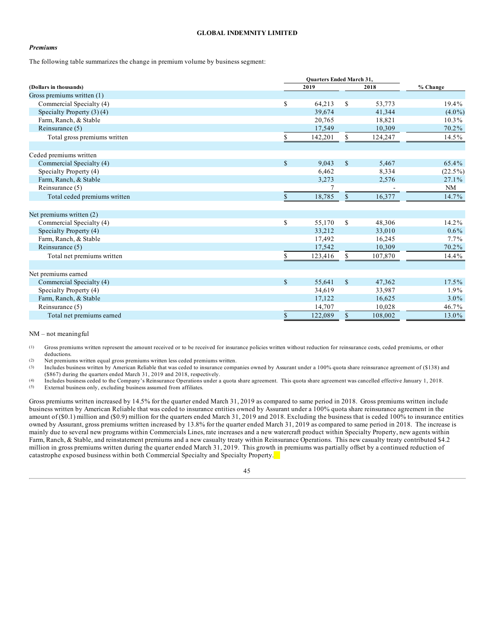### *Premiums*

The following table summarizes the change in premium volume by business segment:

|                                                 |              | <b>Ouarters Ended March 31,</b> |              |         |            |  |  |  |  |
|-------------------------------------------------|--------------|---------------------------------|--------------|---------|------------|--|--|--|--|
| (Dollars in thousands)                          |              | 2019                            |              | 2018    | % Change   |  |  |  |  |
| Gross premiums written (1)                      |              |                                 |              |         |            |  |  |  |  |
| Commercial Specialty (4)                        | \$           | 64,213                          | \$           | 53,773  | 19.4%      |  |  |  |  |
| Specialty Property $(3)(4)$                     |              | 39,674                          |              | 41,344  | $(4.0\%)$  |  |  |  |  |
| Farm, Ranch, & Stable                           |              | 20,765                          |              | 18,821  | 10.3%      |  |  |  |  |
| Reinsurance (5)                                 |              | 17,549                          |              | 10,309  | 70.2%      |  |  |  |  |
| Total gross premiums written                    | \$           | 142,201                         | \$           | 124,247 | 14.5%      |  |  |  |  |
| Ceded premiums written                          |              |                                 |              |         |            |  |  |  |  |
| Commercial Specialty (4)                        | $\mathbb{S}$ | 9.043                           | $\mathbb{S}$ | 5,467   | 65.4%      |  |  |  |  |
| Specialty Property (4)                          |              | 6,462                           |              | 8,334   | $(22.5\%)$ |  |  |  |  |
| Farm, Ranch, & Stable                           |              | 3,273                           |              | 2,576   | 27.1%      |  |  |  |  |
| Reinsurance (5)                                 |              | 7                               |              |         | NM         |  |  |  |  |
| Total ceded premiums written                    | $\mathbb{S}$ | 18,785                          | \$           | 16,377  | 14.7%      |  |  |  |  |
| Net premiums written (2)                        |              |                                 |              |         |            |  |  |  |  |
| Commercial Specialty (4)                        | \$           | 55,170                          | \$           | 48,306  | $14.2\%$   |  |  |  |  |
| Specialty Property (4)                          |              | 33,212                          |              | 33,010  | $0.6\%$    |  |  |  |  |
| Farm, Ranch, & Stable                           |              | 17,492                          |              | 16,245  | $7.7\%$    |  |  |  |  |
| Reinsurance (5)                                 |              | 17.542                          |              | 10,309  | 70.2%      |  |  |  |  |
| Total net premiums written                      | \$           | 123,416                         | S.           | 107,870 | 14.4%      |  |  |  |  |
| Net premiums earned                             |              |                                 |              |         |            |  |  |  |  |
|                                                 | $\mathbb{S}$ | 55,641                          | $\mathbb{S}$ | 47,362  | $17.5\%$   |  |  |  |  |
| Commercial Specialty (4)                        |              | 34,619                          |              | 33,987  | $1.9\%$    |  |  |  |  |
| Specialty Property (4)<br>Farm, Ranch, & Stable |              | 17,122                          |              | 16,625  | $3.0\%$    |  |  |  |  |
| Reinsurance (5)                                 |              | 14,707                          |              | 10,028  | 46.7%      |  |  |  |  |
|                                                 |              |                                 | $\mathbb{S}$ |         |            |  |  |  |  |
| Total net premiums earned                       | \$           | 122,089                         |              | 108,002 | 13.0%      |  |  |  |  |

#### NM – not meaningful

(1) Gross premiums written represent the amount received or to be received for insurance policies written without reduction for reinsurance costs, ceded premiums, or other deductions.

(2) Net premiums written equal gross premiums written less ceded premiums written.

(3) Includes business written by American Reliable that was ceded to insurance companies owned by Assurant under a 100% quota share reinsurance agreement of (\$138) and (\$867) during the quarters ended March 31, 2019 and 2018, respectively.

(4) Includes business ceded to the Company's Reinsurance Operations under a quota share agreement. This quota share agreement was cancelled effective January 1, 2018.<br>External business only, excluding business assumed from

External business only, excluding business assumed from affiliates.

Gross premiums written increased by 14.5% for the quarter ended March 31, 2019 as compared to same period in 2018. Gross premiums written include business written by American Reliable that was ceded to insurance entities owned by Assurant under a 100% quota share reinsurance agreement in the amount of (\$0.1) million and (\$0.9) million for the quarters ended March 31, 2019 and 2018. Excluding the business that is ceded 100% to insurance entities owned by Assurant, gross premiums written increased by 13.8% for the quarter ended March 31, 2019 as compared to same period in 2018. The increase is mainly due to several new programs within Commercials Lines, rate increases and a new watercraft product within Specialty Property, new agents within Farm, Ranch, & Stable, and reinstatement premiums and a new casualty treaty within Reinsurance Operations. This new casualty treaty contributed \$4.2 million in gross premiums written during the quarter ended March 31, 2019. This growth in premiums was partially offset by a continued reduction of catastrophe exposed business within both Commercial Specialty and Specialty Property.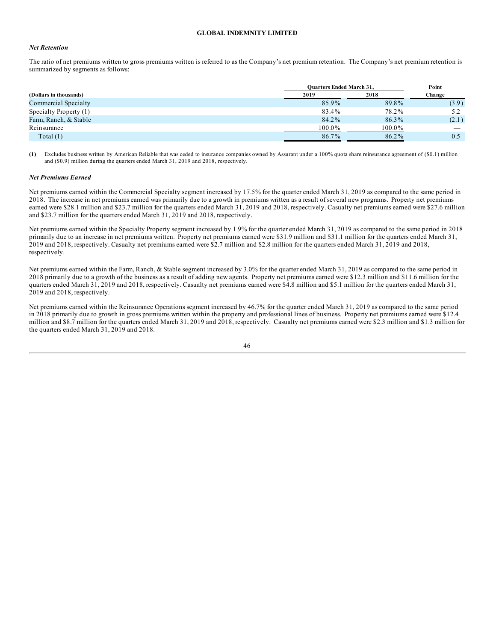#### *Net Retention*

The ratio of net premiums written to gross premiums written is referred to as the Company's net premium retention. The Company's net premium retention is summarized by segments as follows:

|                        |        | <b>Ouarters Ended March 31.</b> |        |  |  |  |  |
|------------------------|--------|---------------------------------|--------|--|--|--|--|
| (Dollars in thousands) | 2019   | 2018                            | Change |  |  |  |  |
| Commercial Specialty   | 85.9%  | 89.8%                           | (3.9)  |  |  |  |  |
| Specialty Property (1) | 83.4%  | 78.2%                           | 5.2    |  |  |  |  |
| Farm, Ranch, & Stable  | 84.2%  | 86.3%                           | (2.1)  |  |  |  |  |
| Reinsurance            | 100.0% | $100.0\%$                       |        |  |  |  |  |
| Total $(1)$            | 86.7%  | 86.2%                           | 0.5    |  |  |  |  |

**(1)** Excludes business written by American Reliable that was ceded to insurance companies owned by Assurant under a 100% quota share reinsurance agreement of (\$0.1) million and (\$0.9) million during the quarters ended March 31, 2019 and 2018, respectively.

# *Net Premiums Earned*

Net premiums earned within the Commercial Specialty segment increased by 17.5% for the quarter ended March 31, 2019 as compared to the same period in 2018. The increase in net premiums earned was primarily due to a growth in premiums written as a result of several new programs. Property net premiums earned were \$28.1 million and \$23.7 million for the quarters ended March 31, 2019 and 2018, respectively. Casualty net premiums earned were \$27.6 million and \$23.7 million for the quarters ended March 31, 2019 and 2018, respectively.

Net premiums earned within the Specialty Property segment increased by 1.9% for the quarter ended March 31, 2019 as compared to the same period in 2018 primarily due to an increase in net premiums written. Property net premiums earned were \$31.9 million and \$31.1 million for the quarters ended March 31, 2019 and 2018, respectively. Casualty net premiums earned were \$2.7 million and \$2.8 million for the quarters ended March 31, 2019 and 2018, respectively.

Net premiums earned within the Farm, Ranch, & Stable segment increased by 3.0% for the quarter ended March 31, 2019 as compared to the same period in 2018 primarily due to a growth of the business as a result of adding new agents. Property net premiums earned were \$12.3 million and \$11.6 million for the quarters ended March 31, 2019 and 2018, respectively. Casualty net premiums earned were \$4.8 million and \$5.1 million for the quarters ended March 31, 2019 and 2018, respectively.

Net premiums earned within the Reinsurance Operations segment increased by 46.7% for the quarter ended March 31, 2019 as compared to the same period in 2018 primarily due to growth in gross premiums written within the property and professional lines of business. Property net premiums earned were \$12.4 million and \$8.7 million for the quarters ended March 31, 2019 and 2018, respectively. Casualty net premiums earned were \$2.3 million and \$1.3 million for the quarters ended March 31, 2019 and 2018.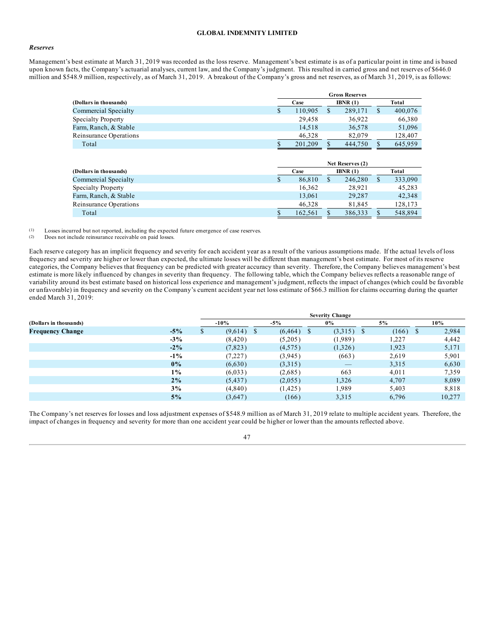#### *Reserves*

Management's best estimate at March 31, 2019 was recorded as the loss reserve. Management's best estimate is as of a particular point in time and is based upon known facts, the Company's actuarial analyses, current law, and the Company's judgment. This resulted in carried gross and net reserves of \$646.0 million and \$548.9 million, respectively, as of March 31, 2019. A breakout of the Company's gross and net reserves, as of March 31, 2019, is as follows:

|                        | <b>Gross Reserves</b> |         |    |                  |               |         |  |  |
|------------------------|-----------------------|---------|----|------------------|---------------|---------|--|--|
| (Dollars in thousands) |                       | Case    |    | IBNR $(1)$       |               | Total   |  |  |
| Commercial Specialty   | \$                    | 110,905 | \$ | 289,171          | <sup>\$</sup> | 400,076 |  |  |
| Specialty Property     |                       | 29,458  |    | 36,922           |               | 66,380  |  |  |
| Farm, Ranch, & Stable  |                       | 14,518  |    | 36,578           |               | 51,096  |  |  |
| Reinsurance Operations |                       | 46,328  |    | 82,079           |               | 128,407 |  |  |
| Total                  |                       | 201,209 | \$ | 444,750          | \$            | 645,959 |  |  |
|                        |                       |         |    |                  |               |         |  |  |
|                        |                       |         |    | Net Reserves (2) |               |         |  |  |
| (Dollars in thousands) |                       | Case    |    | IBNR $(1)$       |               | Total   |  |  |
| Commercial Specialty   | \$                    | 86,810  | S  | 246,280          | $\mathbb{S}$  | 333,090 |  |  |
| Specialty Property     |                       | 16.362  |    | 28.921           |               | 45,283  |  |  |
| Farm, Ranch, & Stable  |                       | 13,061  |    | 29,287           |               | 42,348  |  |  |
| Reinsurance Operations |                       | 46,328  |    | 81,845           |               | 128,173 |  |  |
| Total                  | S                     | 162.561 |    | 386.333          | $\mathcal{S}$ | 548,894 |  |  |

(1) Losses incurred but not reported, including the expected future emergence of case reserves.<br>(2) Does not include reinsurance receivable on naid losses

Each reserve category has an implicit frequency and severity for each accident year as a result of the various assumptions made. If the actual levels of loss frequency and severity are higher or lower than expected, the ultimate losses will be different than management's best estimate. For most of its reserve categories, the Company believes that frequency can be predicted with greater accuracy than severity. Therefore, the Company believes management's best estimate is more likely influenced by changes in severity than frequency. The following table, which the Company believes reflects a reasonable range of variability around its best estimate based on historical loss experience and management's judgment, reflects the impact of changes (which could be favorable or unfavorable) in frequency and severity on the Company's current accident year net loss estimate of \$66.3 million for claims occurring during the quarter ended March 31, 2019:

|                         |        | <b>Severity Change</b> |              |  |          |              |               |       |              |        |  |  |
|-------------------------|--------|------------------------|--------------|--|----------|--------------|---------------|-------|--------------|--------|--|--|
| (Dollars in thousands)  |        |                        | $-10%$       |  | $-5%$    | $0\%$        |               | 5%    |              | 10%    |  |  |
| <b>Frequency Change</b> | $-5\%$ | п.                     | $(9,614)$ \$ |  | (6, 464) | (3,315)<br>D | <sup>\$</sup> | (166) | <sup>8</sup> | 2,984  |  |  |
|                         | $-3\%$ |                        | (8,420)      |  | (5,205)  | (1,989)      |               | 1,227 |              | 4,442  |  |  |
|                         | $-2\%$ |                        | (7,823)      |  | (4,575)  | (1,326)      |               | 1,923 |              | 5,171  |  |  |
|                         | $-1\%$ |                        | (7,227)      |  | (3,945)  | (663)        |               | 2,619 |              | 5,901  |  |  |
|                         | $0\%$  |                        | (6,630)      |  | (3,315)  |              |               | 3,315 |              | 6,630  |  |  |
|                         | $1\%$  |                        | (6,033)      |  | (2,685)  | 663          |               | 4,011 |              | 7,359  |  |  |
|                         | $2\%$  |                        | (5, 437)     |  | (2,055)  | 1,326        |               | 4,707 |              | 8,089  |  |  |
|                         | 3%     |                        | (4,840)      |  | (1, 425) | 1,989        |               | 5,403 |              | 8,818  |  |  |
|                         | 5%     |                        | (3,647)      |  | (166)    | 3,315        |               | 6,796 |              | 10,277 |  |  |

The Company's net reserves for losses and loss adjustment expenses of \$548.9 million as of March 31, 2019 relate to multiple accident years. Therefore, the impact of changes in frequency and severity for more than one accident year could be higher or lower than the amounts reflected above.

Does not include reinsurance receivable on paid losses.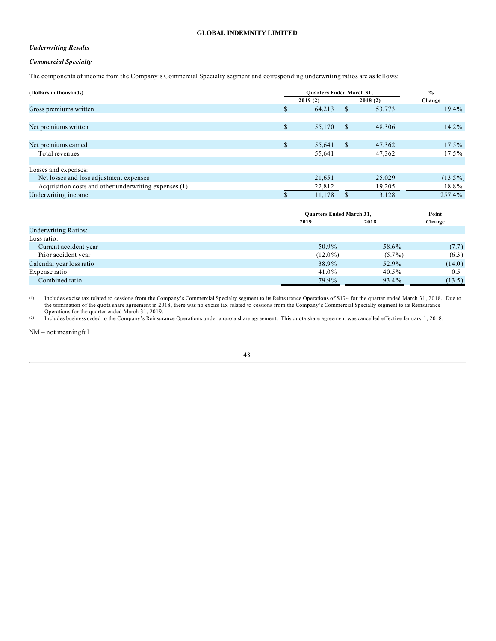# *Underwriting Results*

# *Commercial Specialty*

The components of income from the Company's Commercial Specialty segment and corresponding underwriting ratios are as follows:

| (Dollars in thousands)                                | <b>Ouarters Ended March 31,</b> |   |         |            |  |
|-------------------------------------------------------|---------------------------------|---|---------|------------|--|
|                                                       | 2019(2)                         |   | 2018(2) | Change     |  |
| Gross premiums written                                | 64,213                          |   | 53,773  | $19.4\%$   |  |
|                                                       |                                 |   |         |            |  |
| Net premiums written                                  | 55,170                          |   | 48,306  | $14.2\%$   |  |
|                                                       |                                 |   |         |            |  |
| Net premiums earned                                   | 55,641                          | S | 47,362  | $17.5\%$   |  |
| Total revenues                                        | 55,641                          |   | 47,362  | $17.5\%$   |  |
|                                                       |                                 |   |         |            |  |
| Losses and expenses:                                  |                                 |   |         |            |  |
| Net losses and loss adjustment expenses               | 21,651                          |   | 25,029  | $(13.5\%)$ |  |
| Acquisition costs and other underwriting expenses (1) | 22,812                          |   | 19,205  | 18.8%      |  |
| Underwriting income                                   | 11,178                          |   | 3,128   | 257.4%     |  |

|                             | <b>Quarters Ended March 31,</b> | Point     |        |
|-----------------------------|---------------------------------|-----------|--------|
|                             | 2019                            | 2018      | Change |
| <b>Underwriting Ratios:</b> |                                 |           |        |
| Loss ratio:                 |                                 |           |        |
| Current accident year       | 50.9%                           | 58.6%     | (7.7)  |
| Prior accident year         | $(12.0\%)$                      | $(5.7\%)$ | (6.3)  |
| Calendar year loss ratio    | 38.9%                           | 52.9%     | (14.0) |
| Expense ratio               | 41.0%                           | $40.5\%$  | 0.5    |
| Combined ratio              | 79.9%                           | 93.4%     | (13.5) |

(1) Includes excise tax related to cessions from the Company's Commercial Specialty segment to its Reinsurance Operations of \$174 for the quarter ended March 31, 2018. Due to the termination of the quota share agreement in 2018, there was no excise tax related to cessions from the Company's Commercial Specialty segment to its Reinsurance Operations for the quarter ended March 31, 2019.

(2) Includes business ceded to the Company's Reinsurance Operations under a quota share agreement. This quota share agreement was cancelled effective January 1, 2018.

NM – not meaningful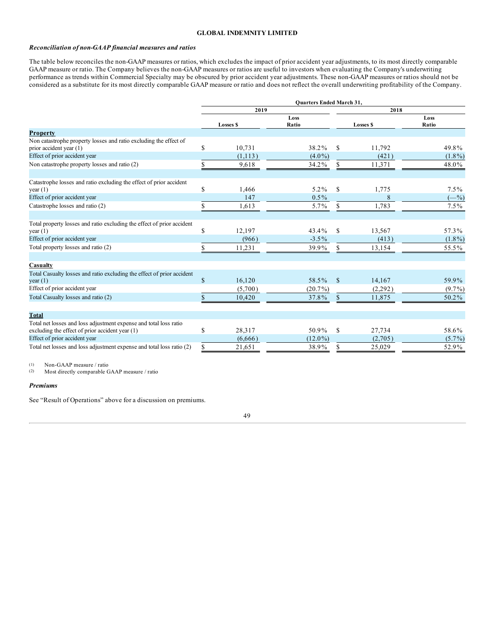# *Reconciliation of non-GAAP financial measures and ratios*

The table below reconciles the non-GAAP measures or ratios, which excludes the impact of prior accident year adjustments, to its most directly comparable GAAP measure or ratio. The Company believes the non-GAAP measures or ratios are useful to investors when evaluating the Company's underwriting performance as trends within Commercial Specialty may be obscured by prior accident year adjustments. These non-GAAP measures or ratios should not be considered as a substitute for its most directly comparable GAAP measure or ratio and does not reflect the overall underwriting profitability of the Company.

|                                                                                              | Quarters Ended March 31, |           |               |               |            |               |  |
|----------------------------------------------------------------------------------------------|--------------------------|-----------|---------------|---------------|------------|---------------|--|
|                                                                                              |                          | 2019      |               | 2018          |            |               |  |
|                                                                                              |                          | Losses \$ | Loss<br>Ratio |               | Losses \$  | Loss<br>Ratio |  |
| Property                                                                                     |                          |           |               |               |            |               |  |
| Non catastrophe property losses and ratio excluding the effect of<br>prior accident year (1) | \$                       | 10,731    | 38.2%         | \$            | 11,792     | 49.8%         |  |
| Effect of prior accident year                                                                |                          | (1, 113)  | $(4.0\%)$     |               | (421)      | $(1.8\%)$     |  |
| Non catastrophe property losses and ratio (2)                                                | S.                       | 9,618     | 34.2%         | \$            | 11,371     | 48.0%         |  |
| Catastrophe losses and ratio excluding the effect of prior accident                          | \$                       | 1,466     | 5.2%          | \$            |            | $7.5\%$       |  |
| year(1)<br>Effect of prior accident year                                                     |                          | 147       | $0.5\%$       |               | 1,775<br>8 | $-$ %)        |  |
| Catastrophe losses and ratio (2)                                                             |                          |           |               |               |            |               |  |
|                                                                                              | \$                       | 1,613     | 5.7%          | \$            | 1,783      | $7.5\%$       |  |
| Total property losses and ratio excluding the effect of prior accident<br>year(1)            | \$                       | 12,197    | 43.4%         | <sup>\$</sup> | 13,567     | 57.3%         |  |
| Effect of prior accident year                                                                |                          | (966)     | $-3.5\%$      |               | (413)      | $(1.8\%)$     |  |
| Total property losses and ratio (2)                                                          | \$                       | 11,231    | 39.9%         | \$            | 13,154     | 55.5%         |  |
| Casualty                                                                                     |                          |           |               |               |            |               |  |
| Total Casualty losses and ratio excluding the effect of prior accident<br>year(1)            | $\mathbb{S}$             | 16,120    | 58.5%         | $\mathbf S$   | 14,167     | 59.9%         |  |
| Effect of prior accident year                                                                |                          | (5,700)   | $(20.7\%)$    |               | (2,292)    | $(9.7\%)$     |  |
| Total Casualty losses and ratio (2)                                                          | $\mathbb{S}$             | 10,420    | 37.8%         | \$            | 11,875     | 50.2%         |  |
| <b>Total</b>                                                                                 |                          |           |               |               |            |               |  |
| Total net losses and loss adjustment expense and total loss ratio                            |                          |           |               |               |            |               |  |
| excluding the effect of prior accident year (1)                                              | \$                       | 28,317    | 50.9%         | \$            | 27,734     | 58.6%         |  |
| Effect of prior accident year                                                                |                          | (6,666)   | $(12.0\%)$    |               | (2,705)    | $(5.7\%)$     |  |
| Total net losses and loss adjustment expense and total loss ratio (2)                        | \$                       | 21,651    | 38.9%         | \$            | 25,029     | 52.9%         |  |

(1) Non-GAAP measure / ratio<br>(2) Most directly comparable C

Most directly comparable GAAP measure / ratio

#### *Premiums*

See "Result of Operations" above for a discussion on premiums.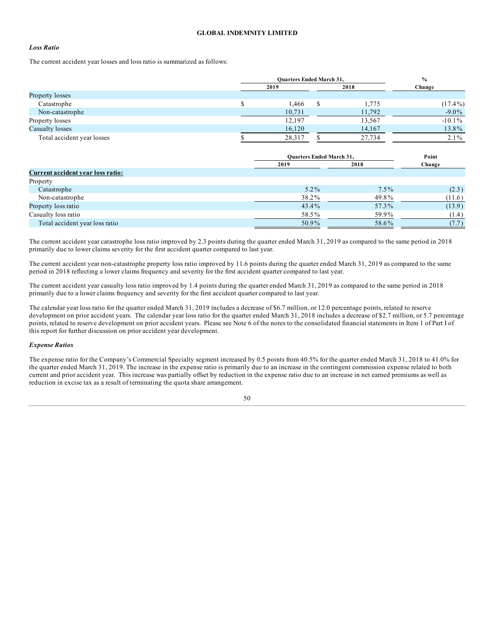# *Loss Ratio*

The current accident year losses and loss ratio is summarized as follows:

|                            |      | <b>Ouarters Ended March 31,</b> | $\%$ |        |            |
|----------------------------|------|---------------------------------|------|--------|------------|
|                            | 2019 |                                 | 2018 |        | Change     |
| Property losses            |      |                                 |      |        |            |
| Catastrophe                |      | 1,466                           |      | 1,775  | $(17.4\%)$ |
| Non-catastrophe            |      | 10,731                          |      | 11,792 | $-9.0\%$   |
| Property losses            |      | 12,197                          |      | 13,567 | $-10.1\%$  |
| Casualty losses            |      | 16,120                          |      | 14.167 | 13.8%      |
| Total accident year losses |      | 28,317                          |      | 27,734 | $2.1\%$    |

|                                   |         | <b>Ouarters Ended March 31,</b> |        |  |  |
|-----------------------------------|---------|---------------------------------|--------|--|--|
|                                   | 2019    | 2018                            | Change |  |  |
| Current accident year loss ratio: |         |                                 |        |  |  |
| Property                          |         |                                 |        |  |  |
| Catastrophe                       | $5.2\%$ | $7.5\%$                         | (2.3)  |  |  |
| Non-catastrophe                   | 38.2%   | 49.8%                           | (11.6) |  |  |
| Property loss ratio               | 43.4%   | 57.3%                           | (13.9) |  |  |
| Casualty loss ratio               | 58.5%   | 59.9%                           | (1.4)  |  |  |
| Total accident year loss ratio    | 50.9%   | 58.6%                           | (7.7)  |  |  |

The current accident year catastrophe loss ratio improved by 2.3 points during the quarter ended March 31, 2019 as compared to the same period in 2018 primarily due to lower claims severity for the first accident quarter compared to last year.

The current accident year non-catastrophe property loss ratio improved by 11.6 points during the quarter ended March 31, 2019 as compared to the same period in 2018 reflecting a lower claims frequency and severity for the first accident quarter compared to last year.

The current accident year casualty loss ratio improved by 1.4 points during the quarter ended March 31, 2019 as compared to the same period in 2018 primarily due to a lower claims frequency and severity for the first accident quarter compared to last year.

The calendar year loss ratio for the quarter ended March 31, 2019 includes a decrease of \$6.7 million, or 12.0 percentage points, related to reserve development on prior accident years. The calendar year loss ratio for the quarter ended March 31, 2018 includes a decrease of \$2.7 million, or 5.7 percentage points, related to reserve development on prior accident years. Please see Note 6 of the notes to the consolidated financial statements in Item 1 of Part I of this report for further discussion on prior accident year development.

# *Expense Ratios*

The expense ratio for the Company's Commercial Specialty segment increased by 0.5 points from 40.5% for the quarter ended March 31, 2018 to 41.0% for the quarter ended March 31, 2019. The increase in the expense ratio is primarily due to an increase in the contingent commission expense related to both current and prior accident year. This increase was partially offset by reduction in the expense ratio due to an increase in net earned premiums as well as reduction in excise tax as a result of terminating the quota share arrangement.

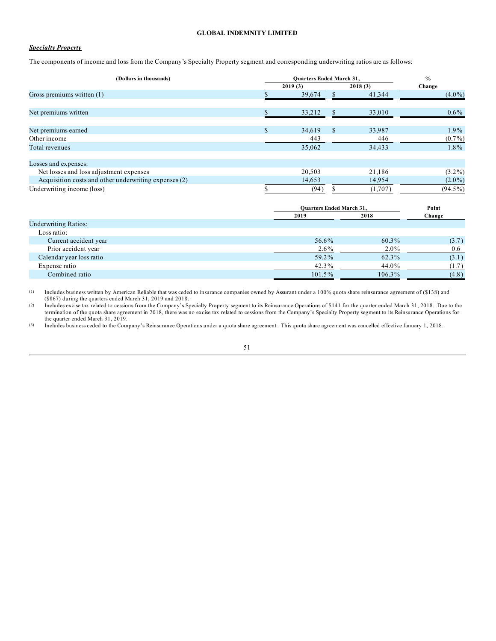# *Specialty Property*

The components of income and loss from the Company's Specialty Property segment and corresponding underwriting ratios are as follows:

| (Dollars in thousands)                                |    | <b>Ouarters Ended March 31,</b> |               |         |            |  |  |
|-------------------------------------------------------|----|---------------------------------|---------------|---------|------------|--|--|
|                                                       |    | 2019(3)                         |               | 2018(3) | Change     |  |  |
| Gross premiums written $(1)$                          |    | 39,674                          |               | 41,344  | $(4.0\%)$  |  |  |
| Net premiums written                                  |    | 33,212                          | \$.           | 33,010  | $0.6\%$    |  |  |
| Net premiums earned                                   | \$ | 34,619                          | <sup>\$</sup> | 33,987  | $1.9\%$    |  |  |
| Other income                                          |    | 443                             |               | 446     | $(0.7\%)$  |  |  |
| Total revenues                                        |    | 35,062                          |               | 34,433  | $1.8\%$    |  |  |
| Losses and expenses:                                  |    |                                 |               |         |            |  |  |
| Net losses and loss adjustment expenses               |    | 20,503                          |               | 21,186  | $(3.2\%)$  |  |  |
| Acquisition costs and other underwriting expenses (2) |    | 14,653                          |               | 14,954  | $(2.0\%)$  |  |  |
| Underwriting income (loss)                            |    | (94)                            |               | (1,707) | $(94.5\%)$ |  |  |

|                             |         | <b>Ouarters Ended March 31,</b> |        |  |
|-----------------------------|---------|---------------------------------|--------|--|
|                             | 2019    | 2018                            | Change |  |
| <b>Underwriting Ratios:</b> |         |                                 |        |  |
| Loss ratio:                 |         |                                 |        |  |
| Current accident year       | 56.6%   | 60.3%                           | (3.7)  |  |
| Prior accident year         | $2.6\%$ | $2.0\%$                         | 0.6    |  |
| Calendar year loss ratio    | 59.2%   | 62.3%                           | (3.1)  |  |
| Expense ratio               | 42.3%   | 44.0%                           | (1.7)  |  |
| Combined ratio              | 101.5%  | 106.3%                          | (4.8)  |  |

(1) Includes business written by American Reliable that was ceded to insurance companies owned by Assurant under a 100% quota share reinsurance agreement of (\$138) and (\$867) during the quarters ended March 31, 2019 and 2018.

(2) Includes excise tax related to cessions from the Company's Specialty Property segment to its Reinsurance Operations of \$141 for the quarter ended March 31, 2018. Due to the termination of the quota share agreement in 2018, there was no excise tax related to cessions from the Company's Specialty Property segment to its Reinsurance Operations for the quarter ended March 31, 2019.

(3) Includes business ceded to the Company's Reinsurance Operations under a quota share agreement. This quota share agreement was cancelled effective January 1, 2018.

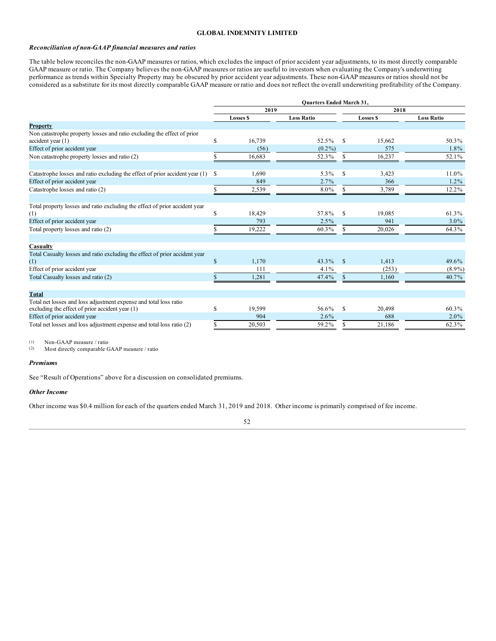# *Reconciliation of non-GAAP financial measures and ratios*

The table below reconciles the non-GAAP measures or ratios, which excludes the impact of prior accident year adjustments, to its most directly comparable GAAP measure or ratio. The Company believes the non-GAAP measures or ratios are useful to investors when evaluating the Company's underwriting performance as trends within Specialty Property may be obscured by prior accident year adjustments. These non-GAAP measures or ratios should not be considered as a substitute for its most directly comparable GAAP measure or ratio and does not reflect the overall underwriting profitability of the Company.

|                                                                              | <b>Ouarters Ended March 31,</b> |                  |                   |               |           |                   |
|------------------------------------------------------------------------------|---------------------------------|------------------|-------------------|---------------|-----------|-------------------|
|                                                                              | 2019                            |                  |                   |               | 2018      |                   |
|                                                                              |                                 | <b>Losses \$</b> | <b>Loss Ratio</b> |               | Losses \$ | <b>Loss Ratio</b> |
| <b>Property</b>                                                              |                                 |                  |                   |               |           |                   |
| Non catastrophe property losses and ratio excluding the effect of prior      |                                 |                  |                   |               |           |                   |
| accident year (1)                                                            | \$                              | 16.739           | 52.5%             | $\mathbf S$   | 15,662    | 50.3%             |
| Effect of prior accident year                                                |                                 | (56)             | $(0.2\%)$         |               | 575       | 1.8%              |
| Non catastrophe property losses and ratio (2)                                | \$                              | 16,683           | 52.3%             | \$            | 16,237    | 52.1%             |
| Catastrophe losses and ratio excluding the effect of prior accident year (1) | \$                              | 1,690            | 5.3%              | \$            | 3.423     | 11.0%             |
| Effect of prior accident year                                                |                                 | 849              | 2.7%              |               | 366       | $1.2\%$           |
| Catastrophe losses and ratio (2)                                             | \$                              | 2,539            | $8.0\%$           | \$            | 3,789     | 12.2%             |
| Total property losses and ratio excluding the effect of prior accident year  |                                 |                  |                   |               |           |                   |
| (1)                                                                          | \$                              | 18,429           | 57.8%             | \$            | 19,085    | 61.3%             |
| Effect of prior accident year                                                |                                 | 793              | $2.5\%$           |               | 941       | $3.0\%$           |
| Total property losses and ratio (2)                                          | \$                              | 19,222           | 60.3%             | \$            | 20,026    | 64.3%             |
| Casualty                                                                     |                                 |                  |                   |               |           |                   |
| Total Casualty losses and ratio excluding the effect of prior accident year  |                                 |                  |                   |               |           |                   |
| (1)                                                                          | \$                              | 1.170            | $43.3\%$          | <sup>\$</sup> | 1.413     | 49.6%             |
| Effect of prior accident year                                                |                                 | 111              | $4.1\%$           |               | (253)     | $(8.9\%)$         |
| Total Casualty losses and ratio (2)                                          | \$                              | 1,281            | 47.4%             | \$            | 1,160     | 40.7%             |
| <b>Total</b>                                                                 |                                 |                  |                   |               |           |                   |
| Total net losses and loss adjustment expense and total loss ratio            |                                 |                  |                   |               |           |                   |
| excluding the effect of prior accident year (1)                              | \$                              | 19,599           | 56.6%             | <sup>\$</sup> | 20,498    | 60.3%             |
| Effect of prior accident year                                                |                                 | 904              | $2.6\%$           |               | 688       | $2.0\%$           |
| Total net losses and loss adjustment expense and total loss ratio (2)        |                                 | 20,503           | 59.2%             | \$            | 21,186    | 62.3%             |

(1) Non-GAAP measure / ratio

(2) Most directly comparable GAAP measure / ratio

#### *Premiums*

See "Result of Operations" above for a discussion on consolidated premiums.

# *Other Income*

Other income was \$0.4 million for each of the quarters ended March 31, 2019 and 2018. Other income is primarily comprised of fee income.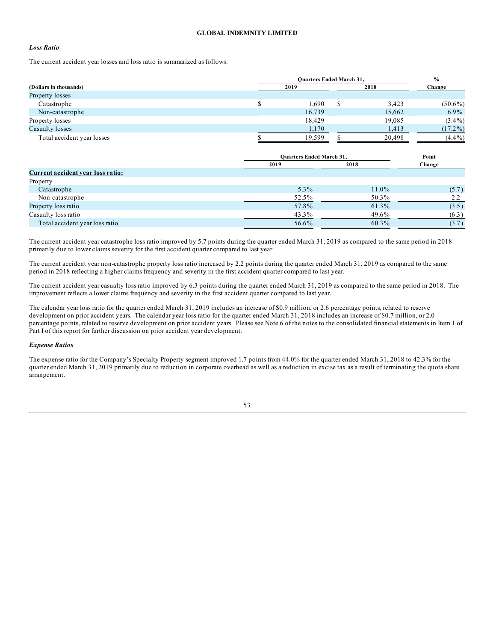# *Loss Ratio*

The current accident year losses and loss ratio is summarized as follows:

|                            | <b>Quarters Ended March 31,</b> |  |        |            |  |  |
|----------------------------|---------------------------------|--|--------|------------|--|--|
| (Dollars in thousands)     | 2019                            |  | 2018   | Change     |  |  |
| Property losses            |                                 |  |        |            |  |  |
| Catastrophe                | 1,690                           |  | 3,423  | $(50.6\%)$ |  |  |
| Non-catastrophe            | 16,739                          |  | 15,662 | $6.9\%$    |  |  |
| Property losses            | 18,429                          |  | 19,085 | $(3.4\%)$  |  |  |
| Casualty losses            | 1,170                           |  | 1,413  | $(17.2\%)$ |  |  |
| Total accident year losses | 19.599                          |  | 20,498 | $(4.4\%)$  |  |  |

|                                   |         | <b>Ouarters Ended March 31,</b> |        |  |  |  |
|-----------------------------------|---------|---------------------------------|--------|--|--|--|
|                                   | 2019    | 2018                            | Change |  |  |  |
| Current accident year loss ratio: |         |                                 |        |  |  |  |
| Property                          |         |                                 |        |  |  |  |
| Catastrophe                       | $5.3\%$ | $11.0\%$                        | (5.7)  |  |  |  |
| Non-catastrophe                   | 52.5%   | 50.3%                           | 2.2    |  |  |  |
| Property loss ratio               | 57.8%   | 61.3%                           | (3.5)  |  |  |  |
| Casualty loss ratio               | 43.3%   | 49.6%                           | (6.3)  |  |  |  |
| Total accident year loss ratio    | 56.6%   | 60.3%                           | (3.7)  |  |  |  |

The current accident year catastrophe loss ratio improved by 5.7 points during the quarter ended March 31, 2019 as compared to the same period in 2018 primarily due to lower claims severity for the first accident quarter compared to last year.

The current accident year non-catastrophe property loss ratio increased by 2.2 points during the quarter ended March 31, 2019 as compared to the same period in 2018 reflecting a higher claims frequency and severity in the first accident quarter compared to last year.

The current accident year casualty loss ratio improved by 6.3 points during the quarter ended March 31, 2019 as compared to the same period in 2018. The improvement reflects a lower claims frequency and severity in the first accident quarter compared to last year.

The calendar year loss ratio for the quarter ended March 31, 2019 includes an increase of \$0.9 million, or 2.6 percentage points, related to reserve development on prior accident years. The calendar year loss ratio for the quarter ended March 31, 2018 includes an increase of \$0.7 million, or 2.0 percentage points, related to reserve development on prior accident years. Please see Note 6 of the notes to the consolidated financial statements in Item 1 of Part I of this report for further discussion on prior accident year development.

# *Expense Ratios*

The expense ratio for the Company's Specialty Property segment improved 1.7 points from 44.0% for the quarter ended March 31, 2018 to 42.3% for the quarter ended March 31, 2019 primarily due to reduction in corporate overhead as well as a reduction in excise tax as a result of terminating the quota share arrangement.

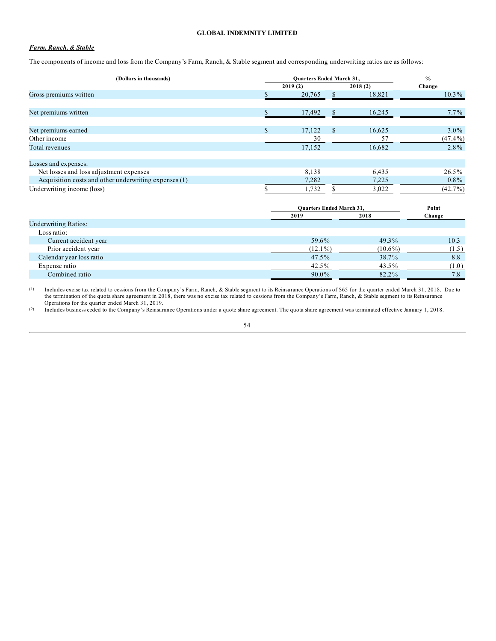# *Farm, Ranch, & Stable*

The components of income and loss from the Company's Farm, Ranch, & Stable segment and corresponding underwriting ratios are as follows:

| (Dollars in thousands)                                |               | <b>Ouarters Ended March 31,</b> |              | $\frac{6}{6}$ |            |
|-------------------------------------------------------|---------------|---------------------------------|--------------|---------------|------------|
|                                                       |               | 2019(2)                         |              | 2018(2)       | Change     |
| Gross premiums written                                |               | 20,765                          |              | 18,821        | $10.3\%$   |
|                                                       |               |                                 |              |               |            |
| Net premiums written                                  |               | 17,492                          |              | 16,245        | $7.7\%$    |
|                                                       |               |                                 |              |               |            |
| Net premiums earned                                   | $\mathcal{S}$ | 17,122                          | $\mathbf{s}$ | 16,625        | $3.0\%$    |
| Other income                                          |               | 30                              |              | 57            | $(47.4\%)$ |
| Total revenues                                        |               | 17,152                          |              | 16,682        | $2.8\%$    |
|                                                       |               |                                 |              |               |            |
| Losses and expenses:                                  |               |                                 |              |               |            |
| Net losses and loss adjustment expenses               |               | 8,138                           |              | 6,435         | 26.5%      |
| Acquisition costs and other underwriting expenses (1) |               | 7,282                           |              | 7,225         | $0.8\%$    |
| Underwriting income (loss)                            |               | 1,732                           |              | 3,022         | $(42.7\%)$ |
|                                                       |               |                                 |              |               |            |

|                             |            | <b>Ouarters Ended March 31,</b> |        |  |
|-----------------------------|------------|---------------------------------|--------|--|
|                             | 2019       | 2018                            | Change |  |
| <b>Underwriting Ratios:</b> |            |                                 |        |  |
| Loss ratio:                 |            |                                 |        |  |
| Current accident year       | 59.6%      | 49.3%                           | 10.3   |  |
| Prior accident year         | $(12.1\%)$ | $(10.6\%)$                      | (1.5)  |  |
| Calendar year loss ratio    | 47.5%      | 38.7%                           | 8.8    |  |
| Expense ratio               | $42.5\%$   | 43.5%                           | (1.0)  |  |
| Combined ratio              | 90.0%      | 82.2%                           | 7.8    |  |

(1) Includes excise tax related to cessions from the Company's Farm, Ranch, & Stable segment to its Reinsurance Operations of \$65 for the quarter ended March 31, 2018. Due to the termination of the quota share agreement in 2018, there was no excise tax related to cessions from the Company's Farm, Ranch, & Stable segment to its Reinsurance Operations for the quarter ended March 31, 2019.

(2) Includes business ceded to the Company's Reinsurance Operations under a quote share agreement. The quota share agreement was terminated effective January 1, 2018.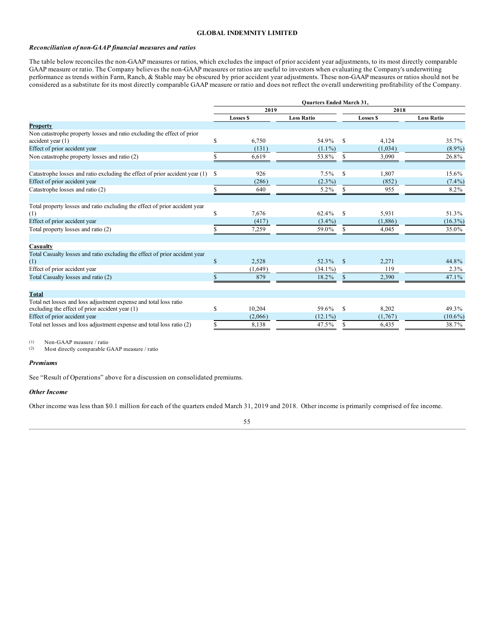#### *Reconciliation of non-GAAP financial measures and ratios*

The table below reconciles the non-GAAP measures or ratios, which excludes the impact of prior accident year adjustments, to its most directly comparable GAAP measure or ratio. The Company believes the non-GAAP measures or ratios are useful to investors when evaluating the Company's underwriting performance as trends within Farm, Ranch, & Stable may be obscured by prior accident year adjustments. These non-GAAP measures or ratios should not be considered as a substitute for its most directly comparable GAAP measure or ratio and does not reflect the overall underwriting profitability of the Company.

|                                                                              | <b>Ouarters Ended March 31,</b> |                  |                   |               |           |                   |  |
|------------------------------------------------------------------------------|---------------------------------|------------------|-------------------|---------------|-----------|-------------------|--|
|                                                                              | 2019                            |                  |                   |               | 2018      |                   |  |
|                                                                              |                                 | <b>Losses \$</b> | <b>Loss Ratio</b> |               | Losses \$ | <b>Loss Ratio</b> |  |
| <b>Property</b>                                                              |                                 |                  |                   |               |           |                   |  |
| Non catastrophe property losses and ratio excluding the effect of prior      |                                 |                  |                   |               |           |                   |  |
| accident year (1)                                                            | \$                              | 6,750            | 54.9%             | \$            | 4,124     | 35.7%             |  |
| Effect of prior accident year                                                |                                 | (131)            | $(1.1\%)$         |               | (1,034)   | $(8.9\%)$         |  |
| Non catastrophe property losses and ratio (2)                                | \$                              | 6,619            | 53.8%             | \$            | 3,090     | 26.8%             |  |
| Catastrophe losses and ratio excluding the effect of prior accident year (1) | <sup>\$</sup>                   | 926              | $7.5\%$           | <sup>\$</sup> | 1,807     | 15.6%             |  |
| Effect of prior accident year                                                |                                 | (286)            | $(2.3\%)$         |               | (852)     | $(7.4\%)$         |  |
| Catastrophe losses and ratio (2)                                             | \$                              | 640              | 5.2%              | \$            | 955       | 8.2%              |  |
| Total property losses and ratio excluding the effect of prior accident year  |                                 |                  |                   |               |           |                   |  |
| (1)                                                                          | \$                              | 7,676            | 62.4%             | <sup>\$</sup> | 5,931     | 51.3%             |  |
| Effect of prior accident year                                                |                                 | (417)            | $(3.4\%)$         |               | (1,886)   | $(16.3\%)$        |  |
| Total property losses and ratio (2)                                          | \$                              | 7,259            | 59.0%             | \$            | 4,045     | 35.0%             |  |
| Casualty                                                                     |                                 |                  |                   |               |           |                   |  |
| Total Casualty losses and ratio excluding the effect of prior accident year  |                                 |                  |                   |               |           |                   |  |
| (1)                                                                          | $\mathcal{S}$                   | 2,528            | 52.3%             | $\mathcal{S}$ | 2,271     | 44.8%             |  |
| Effect of prior accident year                                                |                                 | (1,649)          | $(34.1\%)$        |               | 119       | $2.3\%$           |  |
| Total Casualty losses and ratio (2)                                          | \$                              | 879              | 18.2%             | \$            | 2,390     | 47.1%             |  |
| <b>Total</b>                                                                 |                                 |                  |                   |               |           |                   |  |
| Total net losses and loss adjustment expense and total loss ratio            |                                 |                  |                   |               |           |                   |  |
| excluding the effect of prior accident year (1)                              | \$                              | 10,204           | 59.6%             | <sup>\$</sup> | 8,202     | 49.3%             |  |
| Effect of prior accident year                                                |                                 | (2,066)          | $(12.1\%)$        |               | (1,767)   | $(10.6\%)$        |  |
| Total net losses and loss adjustment expense and total loss ratio (2)        |                                 | 8,138            | 47.5%             | \$            | 6,435     | 38.7%             |  |

(1) Non-GAAP measure / ratio

(2) Most directly comparable GAAP measure / ratio

#### *Premiums*

See "Result of Operations" above for a discussion on consolidated premiums.

# *Other Income*

Other income was less than \$0.1 million for each of the quarters ended March 31, 2019 and 2018. Other income is primarily comprised of fee income.

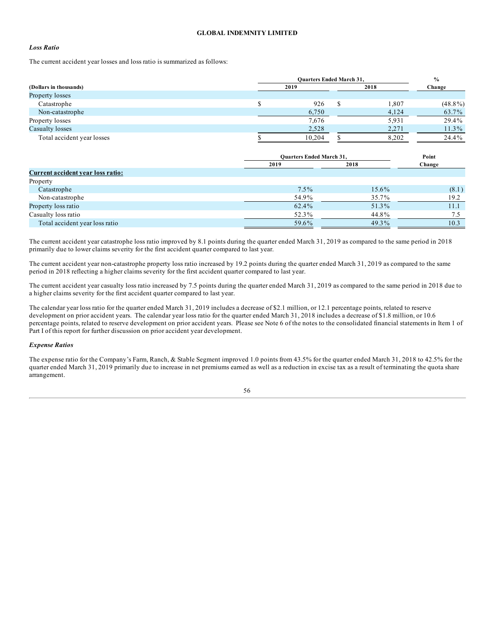# *Loss Ratio*

The current accident year losses and loss ratio is summarized as follows:

|                            | <b>Quarters Ended March 31,</b> |       | $\frac{0}{0}$ |  |
|----------------------------|---------------------------------|-------|---------------|--|
| (Dollars in thousands)     | 2019                            | 2018  | Change        |  |
| Property losses            |                                 |       |               |  |
| Catastrophe                | 926                             | 1,807 | $(48.8\%)$    |  |
| Non-catastrophe            | 6,750                           | 4,124 | 63.7%         |  |
| Property losses            | 7,676                           | 5,931 | 29.4%         |  |
| Casualty losses            | 2,528                           | 2,271 | $11.3\%$      |  |
| Total accident year losses | 10,204                          | 8,202 | 24.4%         |  |

|                                   |         | <b>Ouarters Ended March 31,</b> |        |  |  |  |
|-----------------------------------|---------|---------------------------------|--------|--|--|--|
|                                   | 2019    | 2018                            | Change |  |  |  |
| Current accident year loss ratio: |         |                                 |        |  |  |  |
| Property                          |         |                                 |        |  |  |  |
| Catastrophe                       | $7.5\%$ | $15.6\%$                        | (8.1)  |  |  |  |
| Non-catastrophe                   | 54.9%   | 35.7%                           | 19.2   |  |  |  |
| Property loss ratio               | 62.4%   | 51.3%                           | 11.1   |  |  |  |
| Casualty loss ratio               | 52.3%   | 44.8%                           | 7.5    |  |  |  |
| Total accident year loss ratio    | 59.6%   | 49.3%                           | 10.3   |  |  |  |

The current accident year catastrophe loss ratio improved by 8.1 points during the quarter ended March 31, 2019 as compared to the same period in 2018 primarily due to lower claims severity for the first accident quarter compared to last year.

The current accident year non-catastrophe property loss ratio increased by 19.2 points during the quarter ended March 31, 2019 as compared to the same period in 2018 reflecting a higher claims severity for the first accident quarter compared to last year.

The current accident year casualty loss ratio increased by 7.5 points during the quarter ended March 31, 2019 as compared to the same period in 2018 due to a higher claims severity for the first accident quarter compared to last year.

The calendar year loss ratio for the quarter ended March 31, 2019 includes a decrease of \$2.1 million, or 12.1 percentage points, related to reserve development on prior accident years. The calendar year loss ratio for the quarter ended March 31, 2018 includes a decrease of \$1.8 million, or 10.6 percentage points, related to reserve development on prior accident years. Please see Note 6 of the notes to the consolidated financial statements in Item 1 of Part I of this report for further discussion on prior accident year development.

# *Expense Ratios*

The expense ratio for the Company's Farm, Ranch, & Stable Segment improved 1.0 points from 43.5% for the quarter ended March 31, 2018 to 42.5% for the quarter ended March 31, 2019 primarily due to increase in net premiums earned as well as a reduction in excise tax as a result of terminating the quota share arrangement.

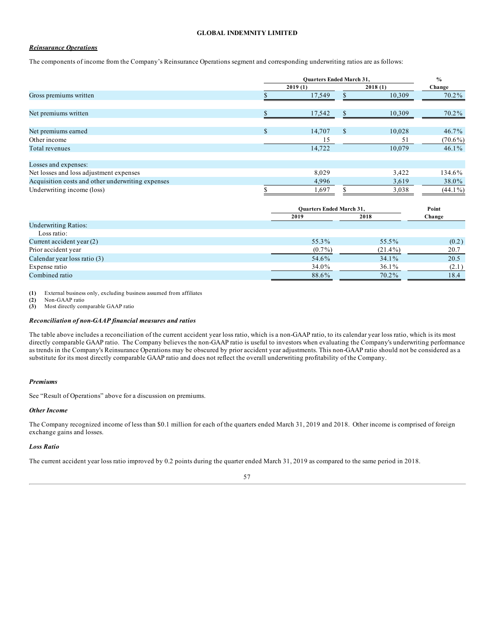# *Reinsurance Operations*

The components of income from the Company's Reinsurance Operations segment and corresponding underwriting ratios are as follows:

|                                                   | <b>Quarters Ended March 31,</b> |         |    |        | $\frac{6}{6}$ |
|---------------------------------------------------|---------------------------------|---------|----|--------|---------------|
|                                                   |                                 | 2018(1) |    | Change |               |
| Gross premiums written                            |                                 | 17,549  |    | 10,309 | 70.2%         |
|                                                   |                                 |         |    |        |               |
| Net premiums written                              |                                 | 17,542  | \$ | 10,309 | 70.2%         |
|                                                   |                                 |         |    |        |               |
| Net premiums earned                               | \$.                             | 14,707  | \$ | 10,028 | 46.7%         |
| Other income                                      |                                 | 15      |    | 51     | $(70.6\%)$    |
| Total revenues                                    |                                 | 14,722  |    | 10.079 | $46.1\%$      |
|                                                   |                                 |         |    |        |               |
| Losses and expenses:                              |                                 |         |    |        |               |
| Net losses and loss adjustment expenses           |                                 | 8,029   |    | 3,422  | 134.6%        |
| Acquisition costs and other underwriting expenses |                                 | 4,996   |    | 3,619  | 38.0%         |
| Underwriting income (loss)                        |                                 | 1,697   |    | 3,038  | $(44.1\%)$    |

|                              |           | <b>Ouarters Ended March 31,</b> |        |  |
|------------------------------|-----------|---------------------------------|--------|--|
|                              | 2019      | 2018                            | Change |  |
| <b>Underwriting Ratios:</b>  |           |                                 |        |  |
| Loss ratio:                  |           |                                 |        |  |
| Current accident year (2)    | 55.3%     | 55.5%                           | (0.2)  |  |
| Prior accident year          | $(0.7\%)$ | $(21.4\%)$                      | 20.7   |  |
| Calendar year loss ratio (3) | 54.6%     | $34.1\%$                        | 20.5   |  |
| Expense ratio                | 34.0%     | $36.1\%$                        | (2.1)  |  |
| Combined ratio               | 88.6%     | 70.2%                           | 18.4   |  |

**(1)** External business only, excluding business assumed from affiliates

**(2)** Non-GAAP ratio

**(3)** Most directly comparable GAAP ratio

# *Reconciliation of non-GAAP financial measures and ratios*

The table above includes a reconciliation of the current accident year loss ratio, which is a non-GAAP ratio, to its calendar year loss ratio, which is its most directly comparable GAAP ratio. The Company believes the non-GAAP ratio is useful to investors when evaluating the Company's underwriting performance as trends in the Company's Reinsurance Operations may be obscured by prior accident year adjustments. This non-GAAP ratio should not be considered as a substitute for its most directly comparable GAAP ratio and does not reflect the overall underwriting profitability of the Company.

### *Premiums*

See "Result of Operations" above for a discussion on premiums.

#### *Other Income*

The Company recognized income of less than \$0.1 million for each of the quarters ended March 31, 2019 and 2018. Other income is comprised of foreign exchange gains and losses.

# *Loss Ratio*

The current accident year loss ratio improved by 0.2 points during the quarter ended March 31, 2019 as compared to the same period in 2018.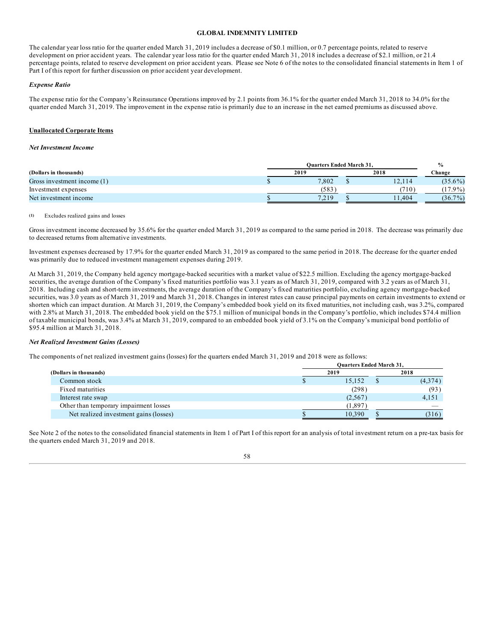The calendar year loss ratio for the quarter ended March 31, 2019 includes a decrease of \$0.1 million, or 0.7 percentage points, related to reserve development on prior accident years. The calendar year loss ratio for the quarter ended March 31, 2018 includes a decrease of \$2.1 million, or 21.4 percentage points, related to reserve development on prior accident years. Please see Note 6 of the notes to the consolidated financial statements in Item 1 of Part I of this report for further discussion on prior accident year development.

#### *Expense Ratio*

The expense ratio for the Company's Reinsurance Operations improved by 2.1 points from 36.1% for the quarter ended March 31, 2018 to 34.0% for the quarter ended March 31, 2019. The improvement in the expense ratio is primarily due to an increase in the net earned premiums as discussed above.

# **Unallocated Corporate Items**

### *Net Investment Income*

|                             | <b>Ouarters Ended March 31,</b> |       |  |        | $\frac{9}{6}$ |
|-----------------------------|---------------------------------|-------|--|--------|---------------|
| (Dollars in thousands)      |                                 | 2019  |  | 2018   | <b>Change</b> |
| Gross investment income (1) |                                 | 7.802 |  | 12.114 | $(35.6\%)$    |
| Investment expenses         |                                 | (583) |  | (710)  | $(17.9\%)$    |
| Net investment income       |                                 | 7.219 |  | 1.404  | $(36.7\%)$    |

#### **(1)** Excludes realized gains and losses

Gross investment income decreased by 35.6% for the quarter ended March 31, 2019 as compared to the same period in 2018. The decrease was primarily due to decreased returns from alternative investments.

Investment expenses decreased by 17.9% for the quarter ended March 31, 2019 as compared to the same period in 2018. The decrease for the quarter ended was primarily due to reduced investment management expenses during 2019.

At March 31, 2019, the Company held agency mortgage-backed securities with a market value of \$22.5 million. Excluding the agency mortgage-backed securities, the average duration of the Company's fixed maturities portfolio was 3.1 years as of March 31, 2019, compared with 3.2 years as of March 31, 2018. Including cash and short-term investments, the average duration of the Company's fixed maturities portfolio, excluding agency mortgage-backed securities, was 3.0 years as of March 31, 2019 and March 31, 2018. Changes in interest rates can cause principal payments on certain investments to extend or shorten which can impact duration. At March 31, 2019, the Company's embedded book yield on its fixed maturities, not including cash, was 3.2%, compared with 2.8% at March 31, 2018. The embedded book yield on the \$75.1 million of municipal bonds in the Company's portfolio, which includes \$74.4 million of taxable municipal bonds, was 3.4% at March 31, 2019, compared to an embedded book yield of 3.1% on the Company's municipal bond portfolio of \$95.4 million at March 31, 2018.

#### *Net Realized Investment Gains (Losses)*

The components of net realized investment gains (losses) for the quarters ended March 31, 2019 and 2018 were as follows:

|                                        |      | <b>Ouarters Ended March 31,</b> |  |         |  |  |  |
|----------------------------------------|------|---------------------------------|--|---------|--|--|--|
| (Dollars in thousands)                 | 2019 | 2018                            |  |         |  |  |  |
| Common stock                           | Φ    | 15.152                          |  | (4,374) |  |  |  |
| Fixed maturities                       |      | (298)                           |  | (93)    |  |  |  |
| Interest rate swap                     |      | (2,567)                         |  | 4,151   |  |  |  |
| Other than temporary impairment losses |      | (1,897                          |  |         |  |  |  |
| Net realized investment gains (losses) |      | 10.390                          |  | (316)   |  |  |  |

See Note 2 of the notes to the consolidated financial statements in Item 1 of Part I of this report for an analysis of total investment return on a pre-tax basis for the quarters ended March 31, 2019 and 2018.

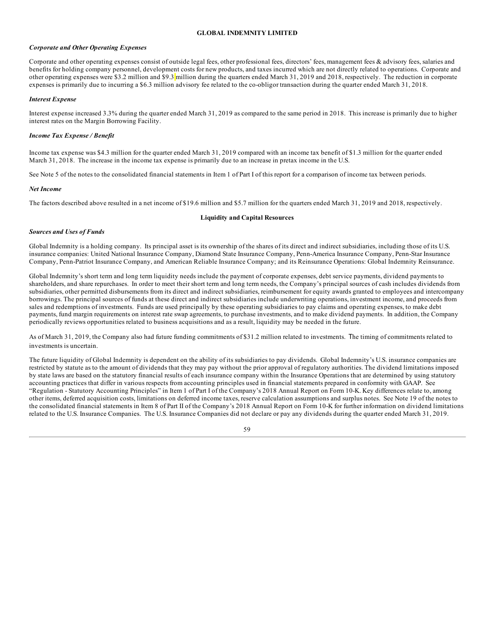#### *Corporate and Other Operating Expenses*

Corporate and other operating expenses consist of outside legal fees, other professional fees, directors' fees, management fees & advisory fees, salaries and benefits for holding company personnel, development costs for new products, and taxes incurred which are not directly related to operations. Corporate and other operating expenses were \$3.2 million and \$9.3 million during the quarters ended March 31, 2019 and 2018, respectively. The reduction in corporate expenses is primarily due to incurring a \$6.3 million advisory fee related to the co-obligor transaction during the quarter ended March 31, 2018.

# *Interest Expense*

Interest expense increased 3.3% during the quarter ended March 31, 2019 as compared to the same period in 2018. This increase is primarily due to higher interest rates on the Margin Borrowing Facility.

#### *Income Tax Expense / Benefit*

Income tax expense was \$4.3 million for the quarter ended March 31, 2019 compared with an income tax benefit of \$1.3 million for the quarter ended March 31, 2018. The increase in the income tax expense is primarily due to an increase in pretax income in the U.S.

See Note 5 of the notes to the consolidated financial statements in Item 1 of Part I of this report for a comparison of income tax between periods.

#### *Net Income*

The factors described above resulted in a net income of \$19.6 million and \$5.7 million for the quarters ended March 31, 2019 and 2018, respectively.

### **Liquidity and Capital Resources**

### *Sources and Uses of Funds*

Global Indemnity is a holding company. Its principal asset is its ownership of the shares of its direct and indirect subsidiaries, including those of its U.S. insurance companies: United National Insurance Company, Diamond State Insurance Company, Penn-America Insurance Company, Penn-Star Insurance Company, Penn-Patriot Insurance Company, and American Reliable Insurance Company; and its Reinsurance Operations: Global Indemnity Reinsurance.

Global Indemnity's short term and long term liquidity needs include the payment of corporate expenses, debt service payments, dividend payments to shareholders, and share repurchases. In order to meet their short term and long term needs, the Company's principal sources of cash includes dividends from subsidiaries, other permitted disbursements from its direct and indirect subsidiaries, reimbursement for equity awards granted to employees and intercompany borrowings. The principal sources of funds at these direct and indirect subsidiaries include underwriting operations, investment income, and proceeds from sales and redemptions of investments. Funds are used principally by these operating subsidiaries to pay claims and operating expenses, to make debt payments, fund margin requirements on interest rate swap agreements, to purchase investments, and to make dividend payments. In addition, the Company periodically reviews opportunities related to business acquisitions and as a result, liquidity may be needed in the future.

As of March 31, 2019, the Company also had future funding commitments of \$31.2 million related to investments. The timing of commitments related to investments is uncertain.

The future liquidity of Global Indemnity is dependent on the ability of its subsidiaries to pay dividends. Global Indemnity's U.S. insurance companies are restricted by statute as to the amount of dividends that they may pay without the prior approval of regulatory authorities. The dividend limitations imposed by state laws are based on the statutory financial results of each insurance company within the Insurance Operations that are determined by using statutory accounting practices that differ in various respects from accounting principles used in financial statements prepared in conformity with GAAP. See "Regulation - Statutory Accounting Principles" in Item 1 of Part I of the Company's 2018 Annual Report on Form 10-K. Key differences relate to, among other items, deferred acquisition costs, limitations on deferred income taxes, reserve calculation assumptions and surplus notes. See Note 19 of the notes to the consolidated financial statements in Item 8 of Part II of the Company's 2018 Annual Report on Form 10-K for further information on dividend limitations related to the U.S. Insurance Companies. The U.S. Insurance Companies did not declare or pay any dividends during the quarter ended March 31, 2019.

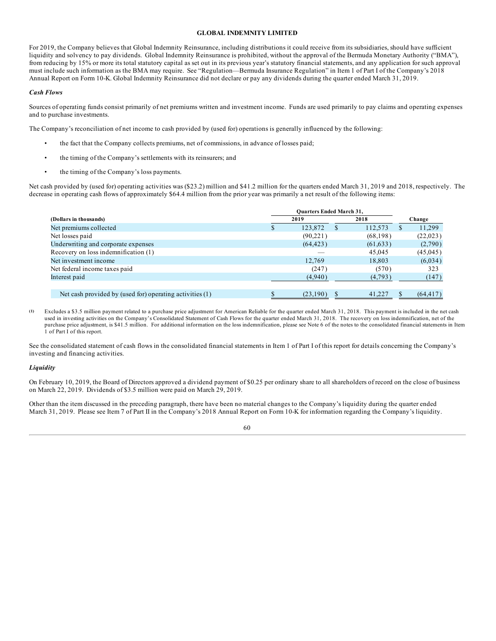For 2019, the Company believes that Global Indemnity Reinsurance, including distributions it could receive from its subsidiaries, should have sufficient liquidity and solvency to pay dividends. Global Indemnity Reinsurance is prohibited, without the approval of the Bermuda Monetary Authority ("BMA"), from reducing by 15% or more its total statutory capital as set out in its previous year's statutory financial statements, and any application for such approval must include such information as the BMA may require. See "Regulation—Bermuda Insurance Regulation" in Item 1 of Part I of the Company's 2018 Annual Report on Form 10-K. Global Indemnity Reinsurance did not declare or pay any dividends during the quarter ended March 31, 2019.

### *Cash Flows*

Sources of operating funds consist primarily of net premiums written and investment income. Funds are used primarily to pay claims and operating expenses and to purchase investments.

The Company's reconciliation of net income to cash provided by (used for) operations is generally influenced by the following:

- the fact that the Company collects premiums, net of commissions, in advance of losses paid;
- the timing of the Company's settlements with its reinsurers; and
- the timing of the Company's loss payments.

Net cash provided by (used for) operating activities was (\$23.2) million and \$41.2 million for the quarters ended March 31, 2019 and 2018, respectively. The decrease in operating cash flows of approximately \$64.4 million from the prior year was primarily a net result of the following items:

|                                                          | <b>Ouarters Ended March 31,</b> |           |               |           |        |           |
|----------------------------------------------------------|---------------------------------|-----------|---------------|-----------|--------|-----------|
| (Dollars in thousands)                                   |                                 | 2019      |               | 2018      | Change |           |
| Net premiums collected                                   |                                 | 123,872   | <sup>\$</sup> | 112,573   |        | 11,299    |
| Net losses paid                                          |                                 | (90,221)  |               | (68, 198) |        | (22, 023) |
| Underwriting and corporate expenses                      |                                 | (64, 423) |               | (61, 633) |        | (2,790)   |
| Recovery on loss indemnification (1)                     |                                 |           |               | 45,045    |        | (45, 045) |
| Net investment income                                    |                                 | 12.769    |               | 18,803    |        | (6,034)   |
| Net federal income taxes paid                            |                                 | (247)     |               | (570)     |        | 323       |
| Interest paid                                            |                                 | (4,940)   |               | (4,793)   |        | (147)     |
|                                                          |                                 |           |               |           |        |           |
| Net cash provided by (used for) operating activities (1) |                                 | (23,190)  |               | 41.227    |        | (64, 417) |

**(1)** Excludes a \$3.5 million payment related to a purchase price adjustment for American Reliable for the quarter ended March 31, 2018. This payment is included in the net cash used in investing activities on the Company's Consolidated Statement of Cash Flows for the quarter ended March 31, 2018. The recovery on loss indemnification, net of the purchase price adjustment, is \$41.5 million. For additional information on the loss indemnification, please see Note 6 of the notes to the consolidated financial statements in Item 1 of Part I of this report.

See the consolidated statement of cash flows in the consolidated financial statements in Item 1 of Part I of this report for details concerning the Company's investing and financing activities.

# *Liquidity*

On February 10, 2019, the Board of Directors approved a dividend payment of \$0.25 per ordinary share to all shareholders of record on the close of business on March 22, 2019. Dividends of \$3.5 million were paid on March 29, 2019.

Other than the item discussed in the preceding paragraph, there have been no material changes to the Company's liquidity during the quarter ended March 31, 2019. Please see Item 7 of Part II in the Company's 2018 Annual Report on Form 10-K for information regarding the Company's liquidity.

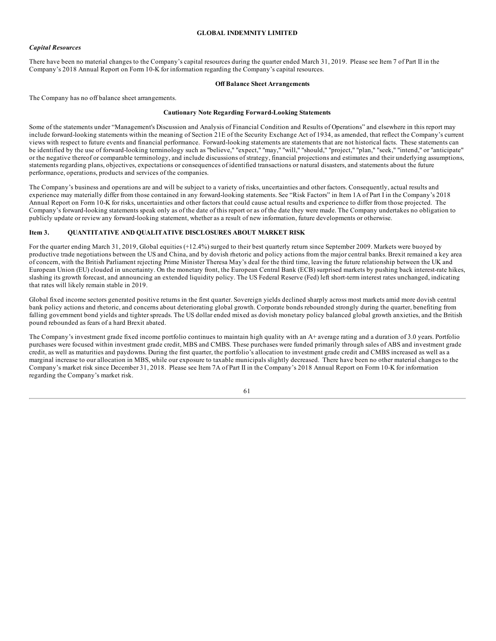### <span id="page-60-0"></span>*Capital Resources*

There have been no material changes to the Company's capital resources during the quarter ended March 31, 2019. Please see Item 7 of Part II in the Company's 2018 Annual Report on Form 10-K for information regarding the Company's capital resources.

#### **Off Balance Sheet Arrangements**

The Company has no off balance sheet arrangements.

#### **Cautionary Note Regarding Forward-Looking Statements**

Some of the statements under "Management's Discussion and Analysis of Financial Condition and Results of Operations" and elsewhere in this report may include forward-looking statements within the meaning of Section 21E of the Security Exchange Act of 1934, as amended, that reflect the Company's current views with respect to future events and financial performance. Forward-looking statements are statements that are not historical facts. These statements can be identified by the use of forward-looking terminology such as "believe," "expect," "may," "will," "should," "project," "plan," "seek," "intend," or "anticipate" or the negative thereof or comparable terminology, and include discussions of strategy, financial projections and estimates and their underlying assumptions, statements regarding plans, objectives, expectations or consequences of identified transactions or natural disasters, and statements about the future performance, operations, products and services of the companies.

The Company's business and operations are and will be subject to a variety of risks, uncertainties and other factors. Consequently, actual results and experience may materially differ from those contained in any forward-looking statements. See "Risk Factors" in Item 1A of Part I in the Company's 2018 Annual Report on Form 10-K for risks, uncertainties and other factors that could cause actual results and experience to differ from those projected. The Company's forward-looking statements speak only as of the date of this report or as of the date they were made. The Company undertakes no obligation to publicly update or review any forward-looking statement, whether as a result of new information, future developments or otherwise.

#### **Item 3. QUANTITATIVE AND QUALITATIVE DISCLOSURES ABOUT MARKET RISK**

For the quarter ending March 31, 2019, Global equities (+12.4%) surged to their best quarterly return since September 2009. Markets were buoyed by productive trade negotiations between the US and China, and by dovish rhetoric and policy actions from the major central banks. Brexit remained a key area of concern, with the British Parliament rejecting Prime Minister Theresa May's deal for the third time, leaving the future relationship between the UK and European Union (EU) clouded in uncertainty. On the monetary front, the European Central Bank (ECB) surprised markets by pushing back interest-rate hikes, slashing its growth forecast, and announcing an extended liquidity policy. The US Federal Reserve (Fed) left short-term interest rates unchanged, indicating that rates will likely remain stable in 2019.

Global fixed income sectors generated positive returns in the first quarter. Sovereign yields declined sharply across most markets amid more dovish central bank policy actions and rhetoric, and concerns about deteriorating global growth. Corporate bonds rebounded strongly during the quarter, benefiting from falling government bond yields and tighter spreads. The US dollar ended mixed as dovish monetary policy balanced global growth anxieties, and the British pound rebounded as fears of a hard Brexit abated.

The Company's investment grade fixed income portfolio continues to maintain high quality with an A+ average rating and a duration of 3.0 years. Portfolio purchases were focused within investment grade credit, MBS and CMBS. These purchases were funded primarily through sales of ABS and investment grade credit, as well as maturities and paydowns. During the first quarter, the portfolio's allocation to investment grade credit and CMBS increased as well as a marginal increase to our allocation in MBS, while our exposure to taxable municipals slightly decreased. There have been no other material changes to the Company's market risk since December 31, 2018. Please see Item 7A of Part II in the Company's 2018 Annual Report on Form 10-K for information regarding the Company's market risk.

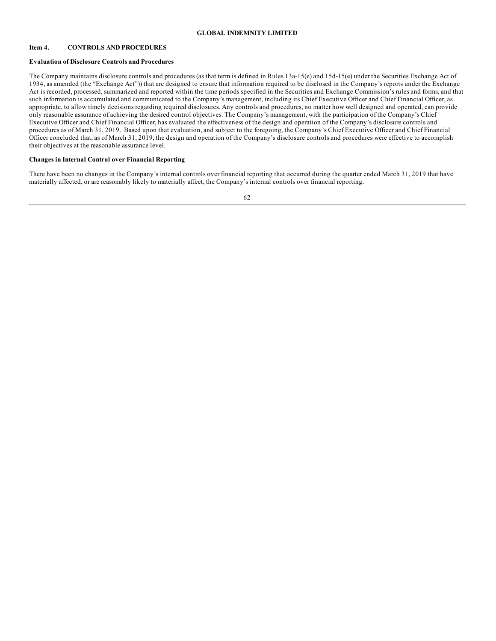# <span id="page-61-0"></span>**Item 4. CONTROLS AND PROCEDURES**

#### **Evaluation of Disclosure Controls and Procedures**

The Company maintains disclosure controls and procedures (as that term is defined in Rules 13a-15(e) and 15d-15(e) under the Securities Exchange Act of 1934, as amended (the "Exchange Act")) that are designed to ensure that information required to be disclosed in the Company's reports under the Exchange Act is recorded, processed, summarized and reported within the time periods specified in the Securities and Exchange Commission's rules and forms, and that such information is accumulated and communicated to the Company's management, including its Chief Executive Officer and Chief Financial Officer, as appropriate, to allow timely decisions regarding required disclosures. Any controls and procedures, no matter how well designed and operated, can provide only reasonable assurance of achieving the desired control objectives. The Company's management, with the participation of the Company's Chief Executive Officer and Chief Financial Officer, has evaluated the effectiveness of the design and operation of the Company's disclosure controls and procedures as of March 31, 2019. Based upon that evaluation, and subject to the foregoing, the Company's Chief Executive Officer and Chief Financial Officer concluded that, as of March 31, 2019, the design and operation of the Company's disclosure controls and procedures were effective to accomplish their objectives at the reasonable assurance level.

### **Changes in Internal Control over Financial Reporting**

There have been no changes in the Company's internal controls over financial reporting that occurred during the quarter ended March 31, 2019 that have materially affected, or are reasonably likely to materially affect, the Company's internal controls over financial reporting.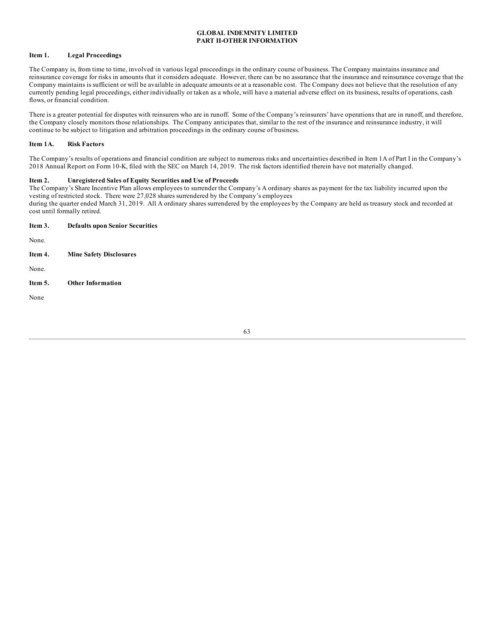# **GLOBAL INDEMNITY LIMITED PART II-OTHER INFORMATION**

### <span id="page-62-0"></span>**Item 1. Legal Proceedings**

The Company is, from time to time, involved in various legal proceedings in the ordinary course of business. The Company maintains insurance and reinsurance coverage for risks in amounts that it considers adequate. However, there can be no assurance that the insurance and reinsurance coverage that the Company maintains is sufficient or will be available in adequate amounts or at a reasonable cost. The Company does not believe that the resolution of any currently pending legal proceedings, either individually or taken as a whole, will have a material adverse effect on its business, results of operations, cash flows, or financial condition.

There is a greater potential for disputes with reinsurers who are in runoff. Some of the Company's reinsurers' have operations that are in runoff, and therefore, the Company closely monitors those relationships. The Company anticipates that, similar to the rest of the insurance and reinsurance industry, it will continue to be subject to litigation and arbitration proceedings in the ordinary course of business.

### **Item 1A. Risk Factors**

The Company's results of operations and financial condition are subject to numerous risks and uncertainties described in Item 1A of Part I in the Company's 2018 Annual Report on Form 10-K, filed with the SEC on March 14, 2019. The risk factors identified therein have not materially changed.

# **Item 2. Unregistered Sales of Equity Securities and Use of Proceeds**

The Company's Share Incentive Plan allows employees to surrender the Company's A ordinary shares as payment for the tax liability incurred upon the vesting of restricted stock. There were 27,028 shares surrendered by the Company's employees

during the quarter ended March 31, 2019. All A ordinary shares surrendered by the employees by the Company are held as treasury stock and recorded at cost until formally retired.

| Item 3. | <b>Defaults upon Senior Securities</b> |
|---------|----------------------------------------|
| None.   |                                        |

**Item 4. Mine Safety Disclosures**

None.

**Item 5. Other Information**

None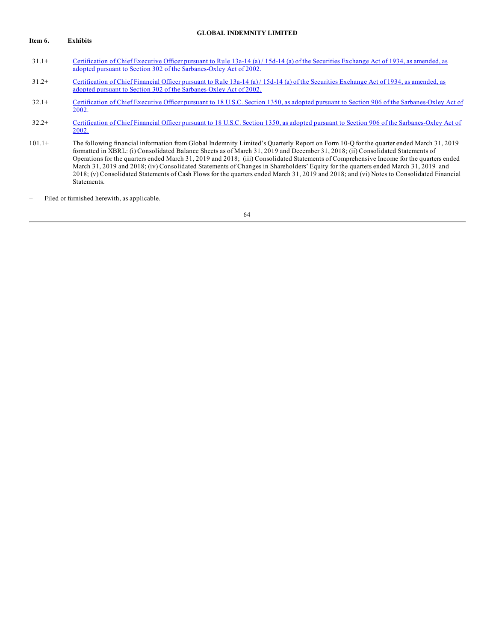# <span id="page-63-0"></span>**Item 6. Exhibits**

# **GLOBAL INDEMNITY LIMITED**

| $31.1+$  | Certification of Chief Executive Officer pursuant to Rule $13a-14$ (a) / $15d-14$ (a) of the Securities Exchange Act of 1934, as amended, as<br>adopted pursuant to Section 302 of the Sarbanes-Oxley Act of 2002.                                                                                                                                                                                                                                                                                                                                                                                                                                                                                                   |
|----------|----------------------------------------------------------------------------------------------------------------------------------------------------------------------------------------------------------------------------------------------------------------------------------------------------------------------------------------------------------------------------------------------------------------------------------------------------------------------------------------------------------------------------------------------------------------------------------------------------------------------------------------------------------------------------------------------------------------------|
| $31.2+$  | Certification of Chief Financial Officer pursuant to Rule 13a-14 (a) / 15d-14 (a) of the Securities Exchange Act of 1934, as amended, as<br>adopted pursuant to Section 302 of the Sarbanes-Oxley Act of 2002.                                                                                                                                                                                                                                                                                                                                                                                                                                                                                                       |
| $32.1+$  | Certification of Chief Executive Officer pursuant to 18 U.S.C. Section 1350, as adopted pursuant to Section 906 of the Sarbanes-Oxley Act of<br>2002.                                                                                                                                                                                                                                                                                                                                                                                                                                                                                                                                                                |
| $32.2+$  | Certification of Chief Financial Officer pursuant to 18 U.S.C. Section 1350, as adopted pursuant to Section 906 of the Sarbanes-Oxley Act of<br>2002.                                                                                                                                                                                                                                                                                                                                                                                                                                                                                                                                                                |
| $101.1+$ | The following financial information from Global Indemnity Limited's Quarterly Report on Form 10-Q for the quarter ended March 31, 2019<br>formatted in XBRL: (i) Consolidated Balance Sheets as of March 31, 2019 and December 31, 2018; (ii) Consolidated Statements of<br>Operations for the quarters ended March 31, 2019 and 2018; (iii) Consolidated Statements of Comprehensive Income for the quarters ended<br>March 31, 2019 and 2018; (iv) Consolidated Statements of Changes in Shareholders' Equity for the quarters ended March 31, 2019 and<br>2018; (v) Consolidated Statements of Cash Flows for the quarters ended March 31, 2019 and 2018; and (vi) Notes to Consolidated Financial<br>Statements. |
| $^{+}$   | Filed or furnished herewith, as applicable.                                                                                                                                                                                                                                                                                                                                                                                                                                                                                                                                                                                                                                                                          |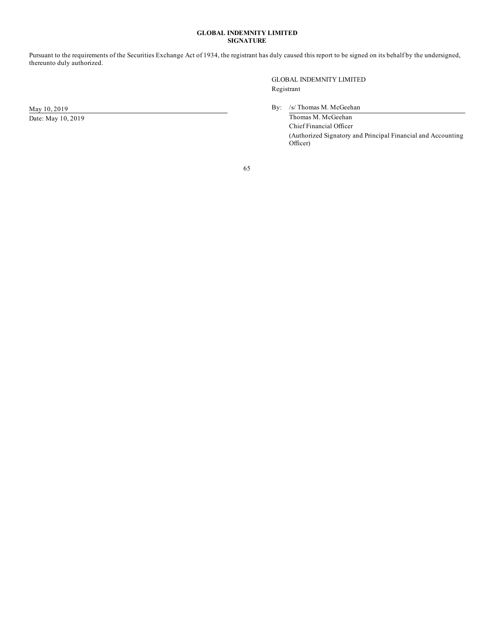# **GLOBAL INDEMNITY LIMITED SIGNATURE**

<span id="page-64-0"></span>Pursuant to the requirements of the Securities Exchange Act of 1934, the registrant has duly caused this report to be signed on its behalf by the undersigned, thereunto duly authorized.

> GLOBAL INDEMNITY LIMITED Registrant

May 10, 2019 By: /s/ Thomas M. McGeehan<br>Date: May 10, 2019 By: /s/ Thomas M. McGeehan<br>Thomas M. McGeehan Date: May 10, 2019

Chief Financial Officer (Authorized Signatory and Principal Financial and Accounting Officer)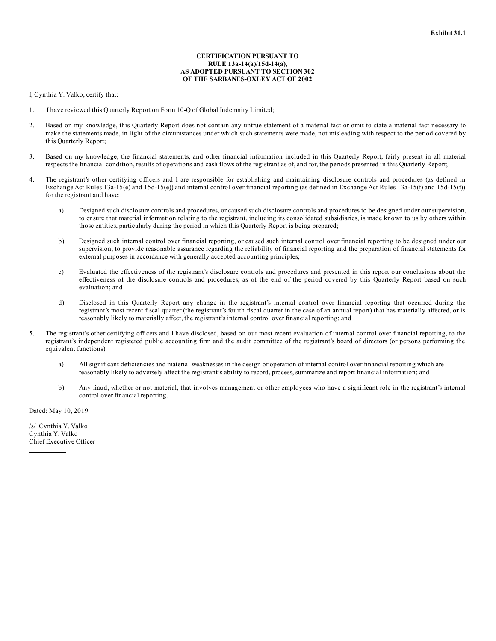# **CERTIFICATION PURSUANT TO RULE 13a-14(a)/15d-14(a), AS ADOPTED PURSUANT TO SECTION 302 OF THE SARBANES-OXLEY ACT OF 2002**

<span id="page-65-0"></span>I, Cynthia Y. Valko, certify that:

- 1. I have reviewed this Quarterly Report on Form 10-Q of Global Indemnity Limited;
- 2. Based on my knowledge, this Quarterly Report does not contain any untrue statement of a material fact or omit to state a material fact necessary to make the statements made, in light of the circumstances under which such statements were made, not misleading with respect to the period covered by this Quarterly Report;
- 3. Based on my knowledge, the financial statements, and other financial information included in this Quarterly Report, fairly present in all material respects the financial condition, results of operations and cash flows of the registrant as of, and for, the periods presented in this Quarterly Report;
- 4. The registrant's other certifying officers and I are responsible for establishing and maintaining disclosure controls and procedures (as defined in Exchange Act Rules 13a-15(e) and 15d-15(e)) and internal control over financial reporting (as defined in Exchange Act Rules 13a-15(f) and 15d-15(f)) for the registrant and have:
	- a) Designed such disclosure controls and procedures, or caused such disclosure controls and procedures to be designed under our supervision, to ensure that material information relating to the registrant, including its consolidated subsidiaries, is made known to us by others within those entities, particularly during the period in which this Quarterly Report is being prepared;
	- b) Designed such internal control over financial reporting, or caused such internal control over financial reporting to be designed under our supervision, to provide reasonable assurance regarding the reliability of financial reporting and the preparation of financial statements for external purposes in accordance with generally accepted accounting principles;
	- c) Evaluated the effectiveness of the registrant's disclosure controls and procedures and presented in this report our conclusions about the effectiveness of the disclosure controls and procedures, as of the end of the period covered by this Quarterly Report based on such evaluation; and
	- d) Disclosed in this Quarterly Report any change in the registrant's internal control over financial reporting that occurred during the registrant's most recent fiscal quarter (the registrant's fourth fiscal quarter in the case of an annual report) that has materially affected, or is reasonably likely to materially affect, the registrant's internal control over financial reporting; and
- 5. The registrant's other certifying officers and I have disclosed, based on our most recent evaluation of internal control over financial reporting, to the registrant's independent registered public accounting firm and the audit committee of the registrant's board of directors (or persons performing the equivalent functions):
	- a) All significant deficiencies and material weaknesses in the design or operation of internal control over financial reporting which are reasonably likely to adversely affect the registrant's ability to record, process, summarize and report financial information; and
	- b) Any fraud, whether or not material, that involves management or other employees who have a significant role in the registrant's internal control over financial reporting.

Dated: May 10, 2019

/s/ Cynthia Y. Valko Cynthia Y. Valko Chief Executive Officer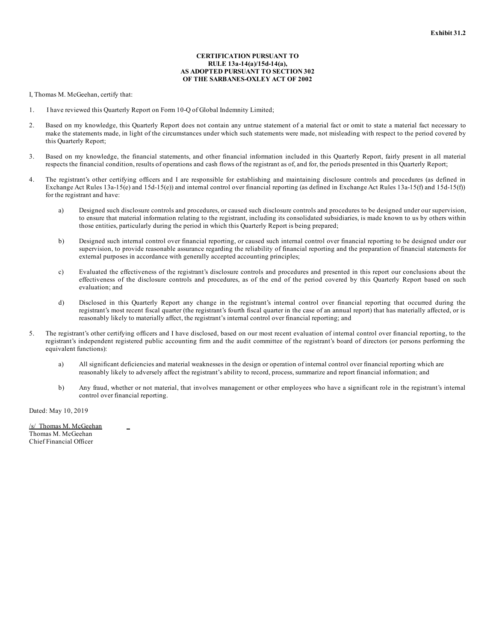# **CERTIFICATION PURSUANT TO RULE 13a-14(a)/15d-14(a), AS ADOPTED PURSUANT TO SECTION 302 OF THE SARBANES-OXLEY ACT OF 2002**

<span id="page-66-0"></span>I, Thomas M. McGeehan, certify that:

- 1. I have reviewed this Quarterly Report on Form 10-Q of Global Indemnity Limited;
- 2. Based on my knowledge, this Quarterly Report does not contain any untrue statement of a material fact or omit to state a material fact necessary to make the statements made, in light of the circumstances under which such statements were made, not misleading with respect to the period covered by this Quarterly Report;
- 3. Based on my knowledge, the financial statements, and other financial information included in this Quarterly Report, fairly present in all material respects the financial condition, results of operations and cash flows of the registrant as of, and for, the periods presented in this Quarterly Report;
- 4. The registrant's other certifying officers and I are responsible for establishing and maintaining disclosure controls and procedures (as defined in Exchange Act Rules 13a-15(e) and 15d-15(e)) and internal control over financial reporting (as defined in Exchange Act Rules 13a-15(f) and 15d-15(f)) for the registrant and have:
	- a) Designed such disclosure controls and procedures, or caused such disclosure controls and procedures to be designed under our supervision, to ensure that material information relating to the registrant, including its consolidated subsidiaries, is made known to us by others within those entities, particularly during the period in which this Quarterly Report is being prepared;
	- b) Designed such internal control over financial reporting, or caused such internal control over financial reporting to be designed under our supervision, to provide reasonable assurance regarding the reliability of financial reporting and the preparation of financial statements for external purposes in accordance with generally accepted accounting principles;
	- c) Evaluated the effectiveness of the registrant's disclosure controls and procedures and presented in this report our conclusions about the effectiveness of the disclosure controls and procedures, as of the end of the period covered by this Quarterly Report based on such evaluation; and
	- d) Disclosed in this Quarterly Report any change in the registrant's internal control over financial reporting that occurred during the registrant's most recent fiscal quarter (the registrant's fourth fiscal quarter in the case of an annual report) that has materially affected, or is reasonably likely to materially affect, the registrant's internal control over financial reporting; and
- 5. The registrant's other certifying officers and I have disclosed, based on our most recent evaluation of internal control over financial reporting, to the registrant's independent registered public accounting firm and the audit committee of the registrant's board of directors (or persons performing the equivalent functions):
	- a) All significant deficiencies and material weaknesses in the design or operation of internal control over financial reporting which are reasonably likely to adversely affect the registrant's ability to record, process, summarize and report financial information; and
	- b) Any fraud, whether or not material, that involves management or other employees who have a significant role in the registrant's internal control over financial reporting.

Dated: May 10, 2019

/s/ Thomas M. McGeehan Thomas M. McGeehan Chief Financial Officer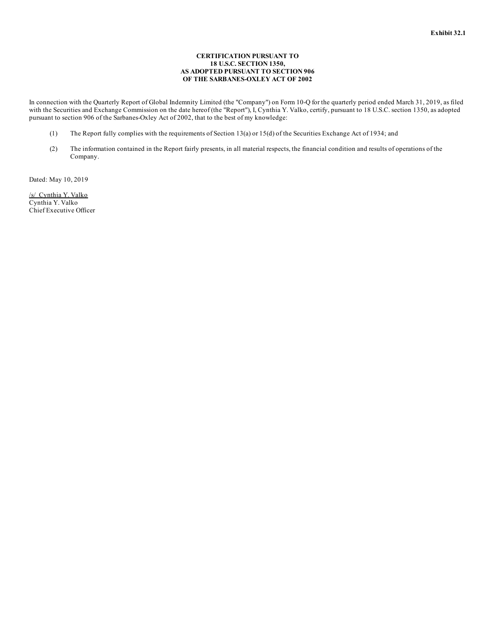# **CERTIFICATION PURSUANT TO 18 U.S.C. SECTION 1350, AS ADOPTED PURSUANT TO SECTION 906 OF THE SARBANES-OXLEY ACT OF 2002**

<span id="page-67-0"></span>In connection with the Quarterly Report of Global Indemnity Limited (the "Company") on Form 10-Q for the quarterly period ended March 31, 2019, as filed with the Securities and Exchange Commission on the date hereof (the "Report"), I, Cynthia Y. Valko, certify, pursuant to 18 U.S.C. section 1350, as adopted pursuant to section 906 of the Sarbanes-Oxley Act of 2002, that to the best of my knowledge:

- (1) The Report fully complies with the requirements of Section 13(a) or 15(d) of the Securities Exchange Act of 1934; and
- (2) The information contained in the Report fairly presents, in all material respects, the financial condition and results of operations of the Company.

Dated: May 10, 2019

/s/ Cynthia Y. Valko Cynthia Y. Valko Chief Executive Officer